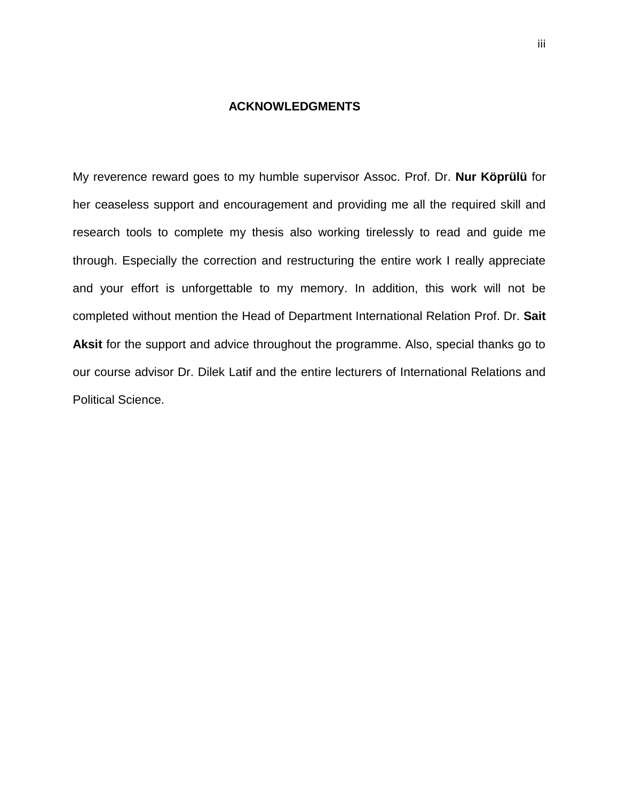#### **ACKNOWLEDGMENTS**

<span id="page-0-0"></span>My reverence reward goes to my humble supervisor Assoc. Prof. Dr. **Nur Köprülü** for her ceaseless support and encouragement and providing me all the required skill and research tools to complete my thesis also working tirelessly to read and guide me through. Especially the correction and restructuring the entire work I really appreciate and your effort is unforgettable to my memory. In addition, this work will not be completed without mention the Head of Department International Relation Prof. Dr. **Sait Aksit** for the support and advice throughout the programme. Also, special thanks go to our course advisor Dr. Dilek Latif and the entire lecturers of International Relations and Political Science.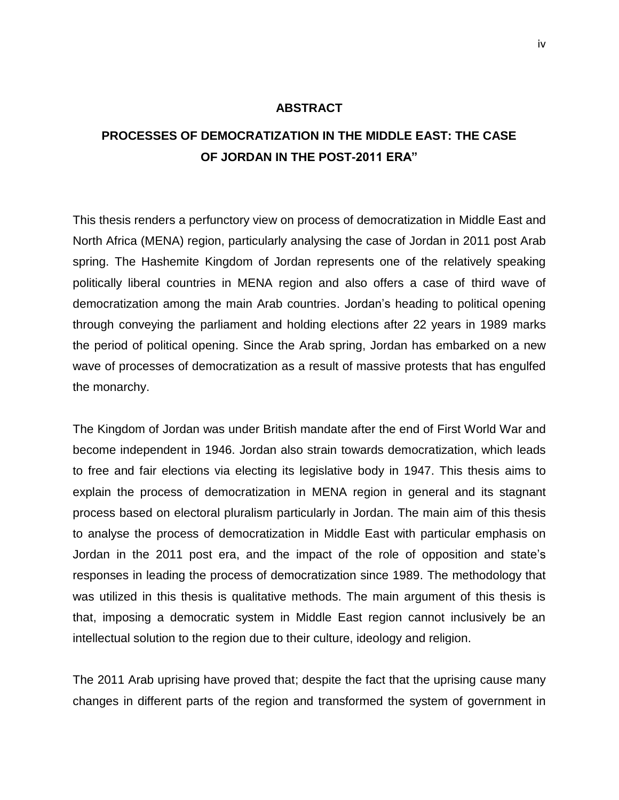#### **ABSTRACT**

## **PROCESSES OF DEMOCRATIZATION IN THE MIDDLE EAST: THE CASE OF JORDAN IN THE POST-2011 ERA"**

This thesis renders a perfunctory view on process of democratization in Middle East and North Africa (MENA) region, particularly analysing the case of Jordan in 2011 post Arab spring. The Hashemite Kingdom of Jordan represents one of the relatively speaking politically liberal countries in MENA region and also offers a case of third wave of democratization among the main Arab countries. Jordan's heading to political opening through conveying the parliament and holding elections after 22 years in 1989 marks the period of political opening. Since the Arab spring, Jordan has embarked on a new wave of processes of democratization as a result of massive protests that has engulfed the monarchy.

The Kingdom of Jordan was under British mandate after the end of First World War and become independent in 1946. Jordan also strain towards democratization, which leads to free and fair elections via electing its legislative body in 1947. This thesis aims to explain the process of democratization in MENA region in general and its stagnant process based on electoral pluralism particularly in Jordan. The main aim of this thesis to analyse the process of democratization in Middle East with particular emphasis on Jordan in the 2011 post era, and the impact of the role of opposition and state's responses in leading the process of democratization since 1989. The methodology that was utilized in this thesis is qualitative methods. The main argument of this thesis is that, imposing a democratic system in Middle East region cannot inclusively be an intellectual solution to the region due to their culture, ideology and religion.

The 2011 Arab uprising have proved that; despite the fact that the uprising cause many changes in different parts of the region and transformed the system of government in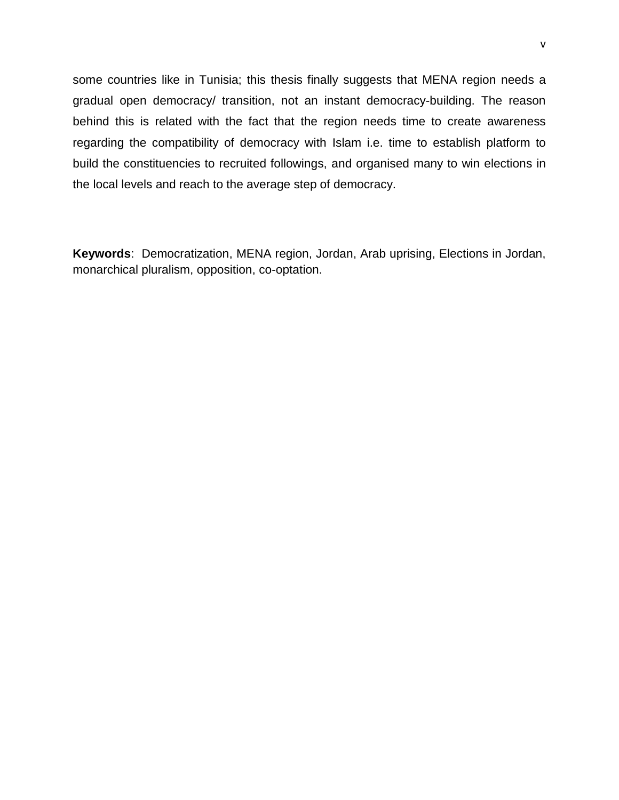some countries like in Tunisia; this thesis finally suggests that MENA region needs a gradual open democracy/ transition, not an instant democracy-building. The reason behind this is related with the fact that the region needs time to create awareness regarding the compatibility of democracy with Islam i.e. time to establish platform to build the constituencies to recruited followings, and organised many to win elections in the local levels and reach to the average step of democracy.

<span id="page-2-0"></span>**Keywords**: Democratization, MENA region, Jordan, Arab uprising, Elections in Jordan, monarchical pluralism, opposition, co-optation.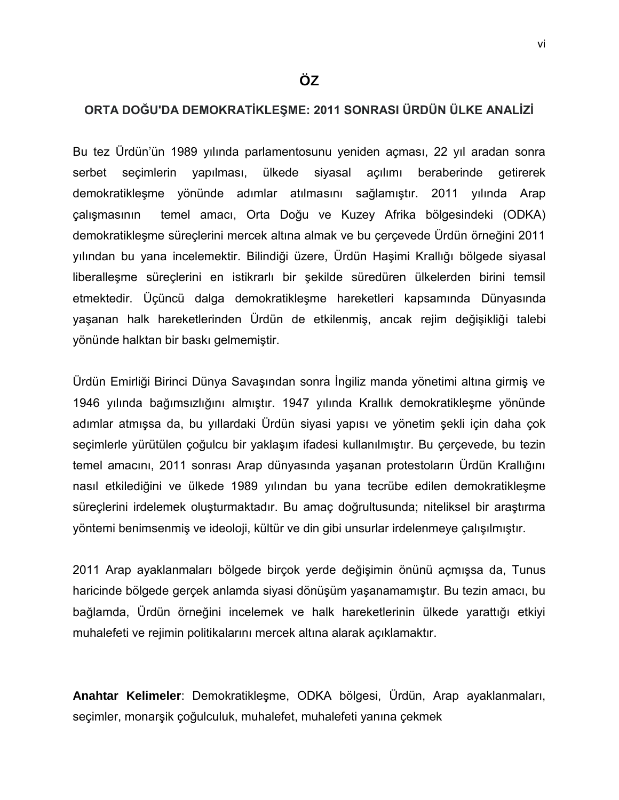### **ORTA DOĞU'DA DEMOKRATİKLEŞME: 2011 SONRASI ÜRDÜN ÜLKE ANALİZİ**

Bu tez Ürdün'ün 1989 yılında parlamentosunu yeniden açması, 22 yıl aradan sonra serbet seçimlerin yapılması, ülkede siyasal açılımı beraberinde getirerek demokratikleşme yönünde adımlar atılmasını sağlamıştır. 2011 yılında Arap çalışmasının temel amacı, Orta Doğu ve Kuzey Afrika bölgesindeki (ODKA) demokratikleşme süreçlerini mercek altına almak ve bu çerçevede Ürdün örneğini 2011 yılından bu yana incelemektir. Bilindiği üzere, Ürdün Haşimi Krallığı bölgede siyasal liberalleşme süreçlerini en istikrarlı bir şekilde süredüren ülkelerden birini temsil etmektedir. Üçüncü dalga demokratikleşme hareketleri kapsamında Dünyasında yaşanan halk hareketlerinden Ürdün de etkilenmiş, ancak rejim değişikliği talebi yönünde halktan bir baskı gelmemiştir.

Ürdün Emirliği Birinci Dünya Savaşından sonra İngiliz manda yönetimi altına girmiş ve 1946 yılında bağımsızlığını almıştır. 1947 yılında Krallık demokratikleşme yönünde adımlar atmışsa da, bu yıllardaki Ürdün siyasi yapısı ve yönetim şekli için daha çok seçimlerle yürütülen çoğulcu bir yaklaşım ifadesi kullanılmıştır. Bu çerçevede, bu tezin temel amacını, 2011 sonrası Arap dünyasında yaşanan protestoların Ürdün Krallığını nasıl etkilediğini ve ülkede 1989 yılından bu yana tecrübe edilen demokratikleşme süreçlerini irdelemek oluşturmaktadır. Bu amaç doğrultusunda; niteliksel bir araştırma yöntemi benimsenmiş ve ideoloji, kültür ve din gibi unsurlar irdelenmeye çalışılmıştır.

2011 Arap ayaklanmaları bölgede birçok yerde değişimin önünü açmışsa da, Tunus haricinde bölgede gerçek anlamda siyasi dönüşüm yaşanamamıştır. Bu tezin amacı, bu bağlamda, Ürdün örneğini incelemek ve halk hareketlerinin ülkede yarattığı etkiyi muhalefeti ve rejimin politikalarını mercek altına alarak açıklamaktır.

**Anahtar Kelimeler**: Demokratikleşme, ODKA bölgesi, Ürdün, Arap ayaklanmaları, seçimler, monarşik çoğulculuk, muhalefet, muhalefeti yanına çekmek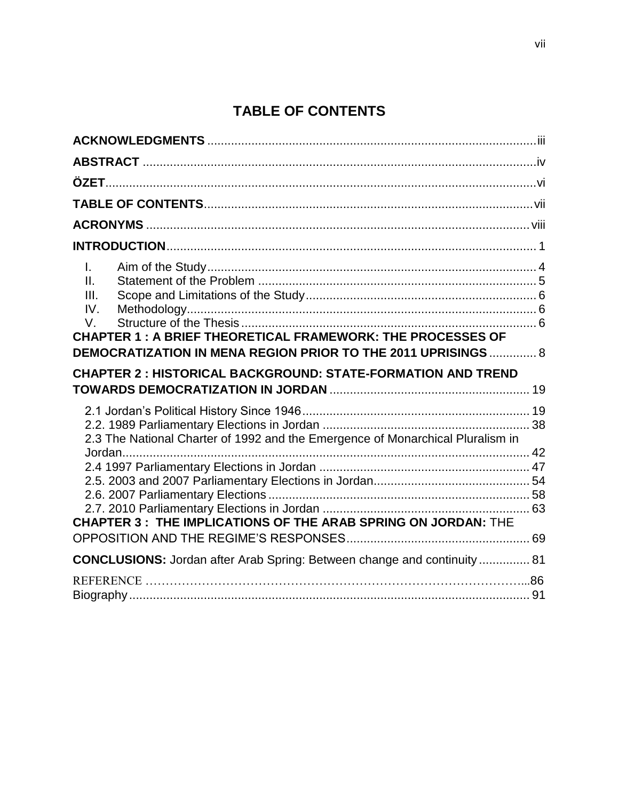# **TABLE OF CONTENTS**

<span id="page-4-1"></span><span id="page-4-0"></span>

| $\mathbf{L}$<br>II.<br>III.<br>IV.<br>V.<br><b>CHAPTER 1: A BRIEF THEORETICAL FRAMEWORK: THE PROCESSES OF</b><br>DEMOCRATIZATION IN MENA REGION PRIOR TO THE 2011 UPRISINGS 8 |  |
|-------------------------------------------------------------------------------------------------------------------------------------------------------------------------------|--|
| <b>CHAPTER 2: HISTORICAL BACKGROUND: STATE-FORMATION AND TREND</b>                                                                                                            |  |
|                                                                                                                                                                               |  |
| 2.3 The National Charter of 1992 and the Emergence of Monarchical Pluralism in                                                                                                |  |
|                                                                                                                                                                               |  |
|                                                                                                                                                                               |  |
| CHAPTER 3: THE IMPLICATIONS OF THE ARAB SPRING ON JORDAN: THE                                                                                                                 |  |
| CONCLUSIONS: Jordan after Arab Spring: Between change and continuity  81                                                                                                      |  |
|                                                                                                                                                                               |  |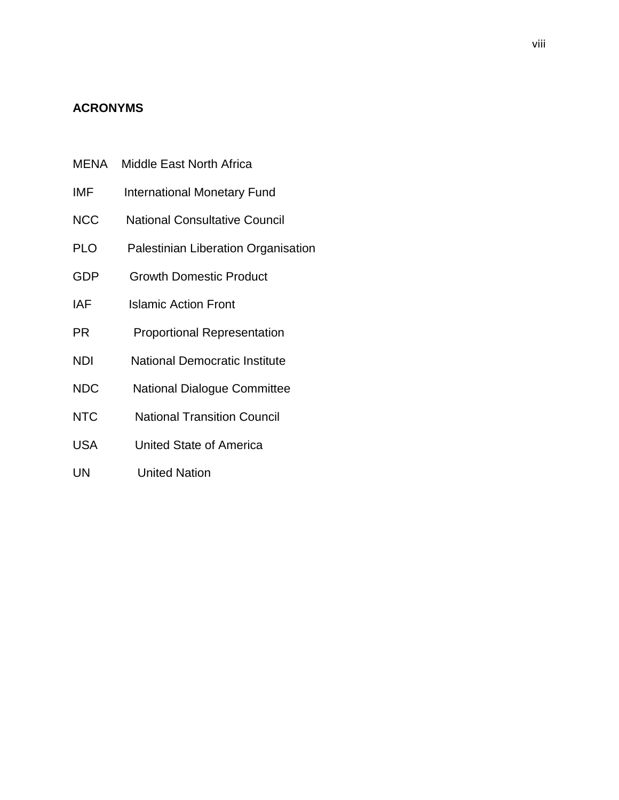### **ACRONYMS**

- MENA Middle East North Africa
- IMF International Monetary Fund
- NCC National Consultative Council
- PLO Palestinian Liberation Organisation
- GDP Growth Domestic Product
- IAF Islamic Action Front
- PR Proportional Representation
- NDI National Democratic Institute
- NDC National Dialogue Committee
- NTC National Transition Council
- USA United State of America
- UN United Nation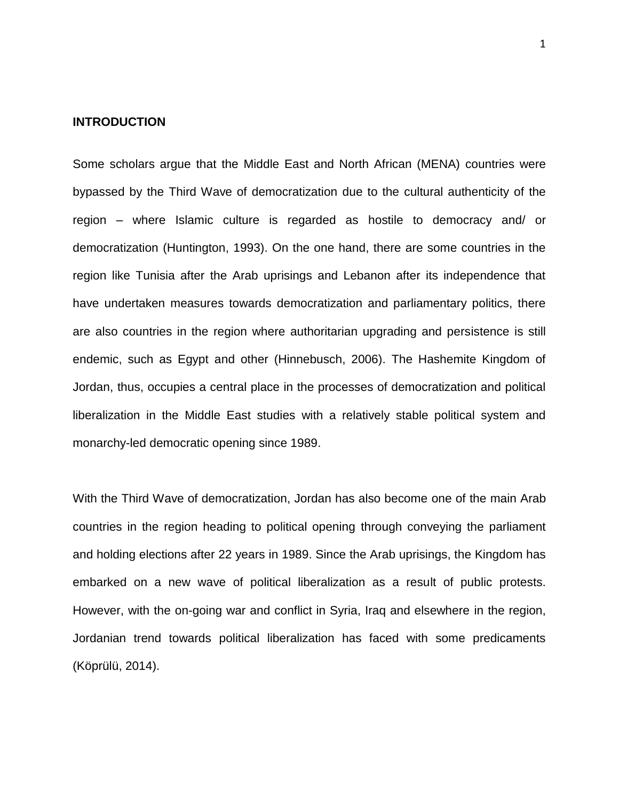#### <span id="page-6-0"></span>**INTRODUCTION**

Some scholars argue that the Middle East and North African (MENA) countries were bypassed by the Third Wave of democratization due to the cultural authenticity of the region – where Islamic culture is regarded as hostile to democracy and/ or democratization (Huntington, 1993). On the one hand, there are some countries in the region like Tunisia after the Arab uprisings and Lebanon after its independence that have undertaken measures towards democratization and parliamentary politics, there are also countries in the region where authoritarian upgrading and persistence is still endemic, such as Egypt and other (Hinnebusch, 2006). The Hashemite Kingdom of Jordan, thus, occupies a central place in the processes of democratization and political liberalization in the Middle East studies with a relatively stable political system and monarchy-led democratic opening since 1989.

With the Third Wave of democratization, Jordan has also become one of the main Arab countries in the region heading to political opening through conveying the parliament and holding elections after 22 years in 1989. Since the Arab uprisings, the Kingdom has embarked on a new wave of political liberalization as a result of public protests. However, with the on-going war and conflict in Syria, Iraq and elsewhere in the region, Jordanian trend towards political liberalization has faced with some predicaments (Köprülü, 2014).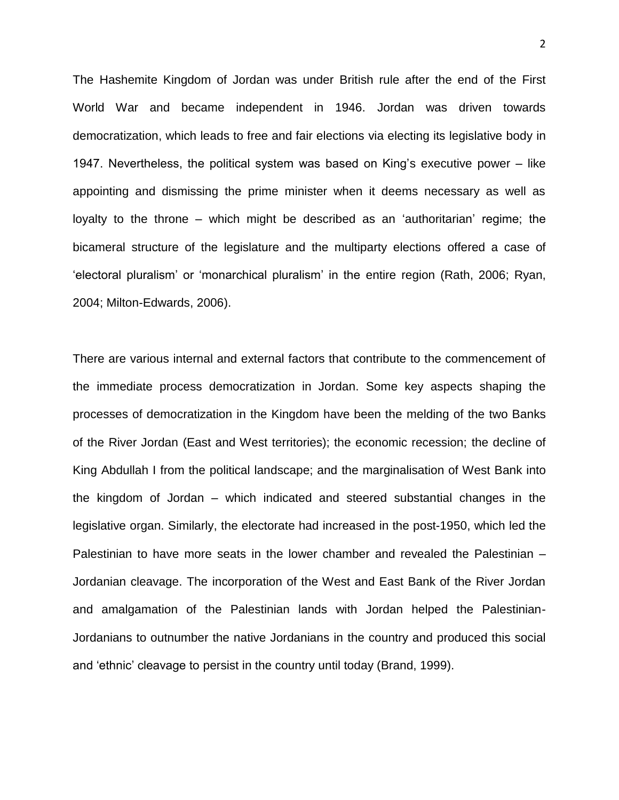The Hashemite Kingdom of Jordan was under British rule after the end of the First World War and became independent in 1946. Jordan was driven towards democratization, which leads to free and fair elections via electing its legislative body in 1947. Nevertheless, the political system was based on King's executive power – like appointing and dismissing the prime minister when it deems necessary as well as loyalty to the throne – which might be described as an 'authoritarian' regime; the bicameral structure of the legislature and the multiparty elections offered a case of 'electoral pluralism' or 'monarchical pluralism' in the entire region (Rath, 2006; Ryan, 2004; Milton-Edwards, 2006).

There are various internal and external factors that contribute to the commencement of the immediate process democratization in Jordan. Some key aspects shaping the processes of democratization in the Kingdom have been the melding of the two Banks of the River Jordan (East and West territories); the economic recession; the decline of King Abdullah I from the political landscape; and the marginalisation of West Bank into the kingdom of Jordan – which indicated and steered substantial changes in the legislative organ. Similarly, the electorate had increased in the post-1950, which led the Palestinian to have more seats in the lower chamber and revealed the Palestinian – Jordanian cleavage. The incorporation of the West and East Bank of the River Jordan and amalgamation of the Palestinian lands with Jordan helped the Palestinian-Jordanians to outnumber the native Jordanians in the country and produced this social and 'ethnic' cleavage to persist in the country until today (Brand, 1999).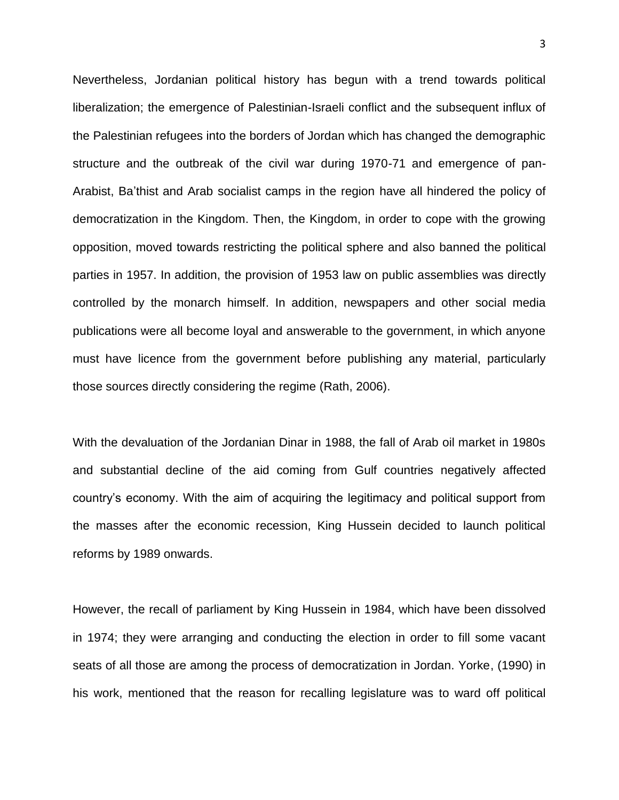Nevertheless, Jordanian political history has begun with a trend towards political liberalization; the emergence of Palestinian-Israeli conflict and the subsequent influx of the Palestinian refugees into the borders of Jordan which has changed the demographic structure and the outbreak of the civil war during 1970-71 and emergence of pan-Arabist, Ba'thist and Arab socialist camps in the region have all hindered the policy of democratization in the Kingdom. Then, the Kingdom, in order to cope with the growing opposition, moved towards restricting the political sphere and also banned the political parties in 1957. In addition, the provision of 1953 law on public assemblies was directly controlled by the monarch himself. In addition, newspapers and other social media publications were all become loyal and answerable to the government, in which anyone must have licence from the government before publishing any material, particularly those sources directly considering the regime (Rath, 2006).

With the devaluation of the Jordanian Dinar in 1988, the fall of Arab oil market in 1980s and substantial decline of the aid coming from Gulf countries negatively affected country's economy. With the aim of acquiring the legitimacy and political support from the masses after the economic recession, King Hussein decided to launch political reforms by 1989 onwards.

However, the recall of parliament by King Hussein in 1984, which have been dissolved in 1974; they were arranging and conducting the election in order to fill some vacant seats of all those are among the process of democratization in Jordan. Yorke, (1990) in his work, mentioned that the reason for recalling legislature was to ward off political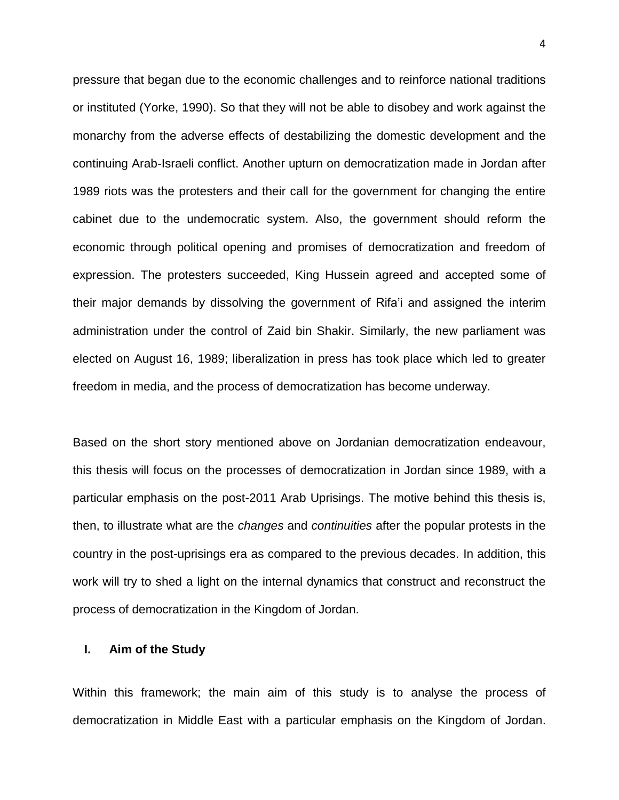pressure that began due to the economic challenges and to reinforce national traditions or instituted (Yorke, 1990). So that they will not be able to disobey and work against the monarchy from the adverse effects of destabilizing the domestic development and the continuing Arab-Israeli conflict. Another upturn on democratization made in Jordan after 1989 riots was the protesters and their call for the government for changing the entire cabinet due to the undemocratic system. Also, the government should reform the economic through political opening and promises of democratization and freedom of expression. The protesters succeeded, King Hussein agreed and accepted some of their major demands by dissolving the government of Rifa'i and assigned the interim administration under the control of Zaid bin Shakir. Similarly, the new parliament was elected on August 16, 1989; liberalization in press has took place which led to greater freedom in media, and the process of democratization has become underway.

Based on the short story mentioned above on Jordanian democratization endeavour, this thesis will focus on the processes of democratization in Jordan since 1989, with a particular emphasis on the post-2011 Arab Uprisings. The motive behind this thesis is, then, to illustrate what are the *changes* and *continuities* after the popular protests in the country in the post-uprisings era as compared to the previous decades. In addition, this work will try to shed a light on the internal dynamics that construct and reconstruct the process of democratization in the Kingdom of Jordan.

#### <span id="page-9-0"></span>**I. Aim of the Study**

Within this framework; the main aim of this study is to analyse the process of democratization in Middle East with a particular emphasis on the Kingdom of Jordan.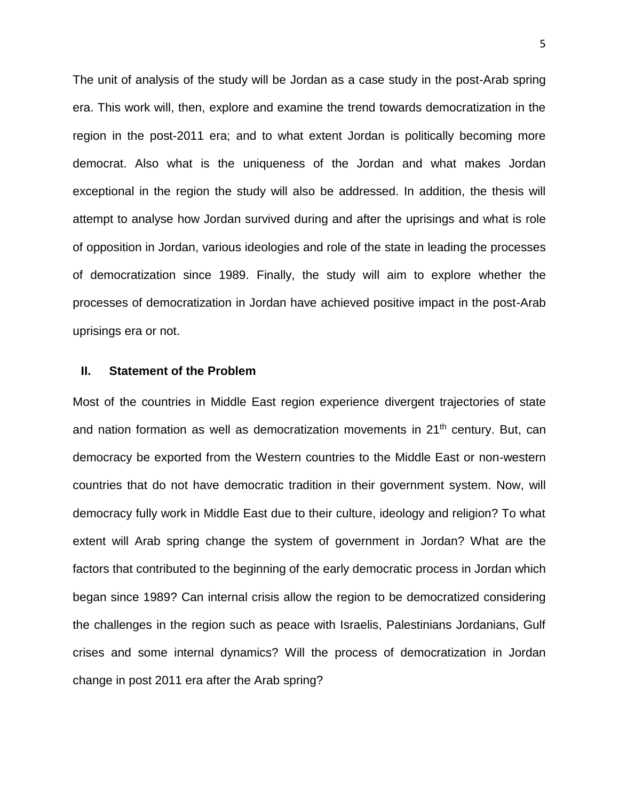The unit of analysis of the study will be Jordan as a case study in the post-Arab spring era. This work will, then, explore and examine the trend towards democratization in the region in the post-2011 era; and to what extent Jordan is politically becoming more democrat. Also what is the uniqueness of the Jordan and what makes Jordan exceptional in the region the study will also be addressed. In addition, the thesis will attempt to analyse how Jordan survived during and after the uprisings and what is role of opposition in Jordan, various ideologies and role of the state in leading the processes of democratization since 1989. Finally, the study will aim to explore whether the processes of democratization in Jordan have achieved positive impact in the post-Arab uprisings era or not.

#### <span id="page-10-0"></span>**II. Statement of the Problem**

Most of the countries in Middle East region experience divergent trajectories of state and nation formation as well as democratization movements in  $21<sup>th</sup>$  century. But, can democracy be exported from the Western countries to the Middle East or non-western countries that do not have democratic tradition in their government system. Now, will democracy fully work in Middle East due to their culture, ideology and religion? To what extent will Arab spring change the system of government in Jordan? What are the factors that contributed to the beginning of the early democratic process in Jordan which began since 1989? Can internal crisis allow the region to be democratized considering the challenges in the region such as peace with Israelis, Palestinians Jordanians, Gulf crises and some internal dynamics? Will the process of democratization in Jordan change in post 2011 era after the Arab spring?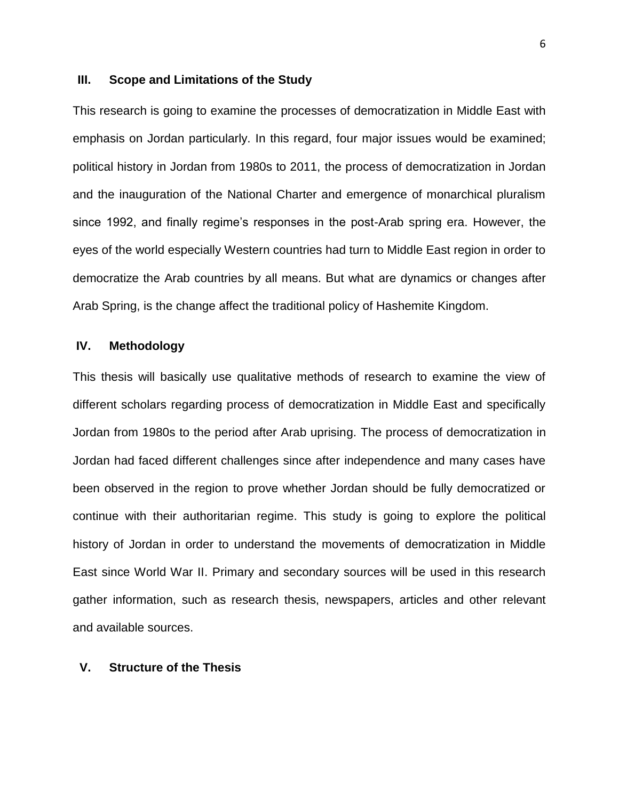#### <span id="page-11-0"></span>**III. Scope and Limitations of the Study**

This research is going to examine the processes of democratization in Middle East with emphasis on Jordan particularly. In this regard, four major issues would be examined; political history in Jordan from 1980s to 2011, the process of democratization in Jordan and the inauguration of the National Charter and emergence of monarchical pluralism since 1992, and finally regime's responses in the post-Arab spring era. However, the eyes of the world especially Western countries had turn to Middle East region in order to democratize the Arab countries by all means. But what are dynamics or changes after Arab Spring, is the change affect the traditional policy of Hashemite Kingdom.

#### <span id="page-11-1"></span>**IV. Methodology**

This thesis will basically use qualitative methods of research to examine the view of different scholars regarding process of democratization in Middle East and specifically Jordan from 1980s to the period after Arab uprising. The process of democratization in Jordan had faced different challenges since after independence and many cases have been observed in the region to prove whether Jordan should be fully democratized or continue with their authoritarian regime. This study is going to explore the political history of Jordan in order to understand the movements of democratization in Middle East since World War II. Primary and secondary sources will be used in this research gather information, such as research thesis, newspapers, articles and other relevant and available sources.

#### <span id="page-11-2"></span>**V. Structure of the Thesis**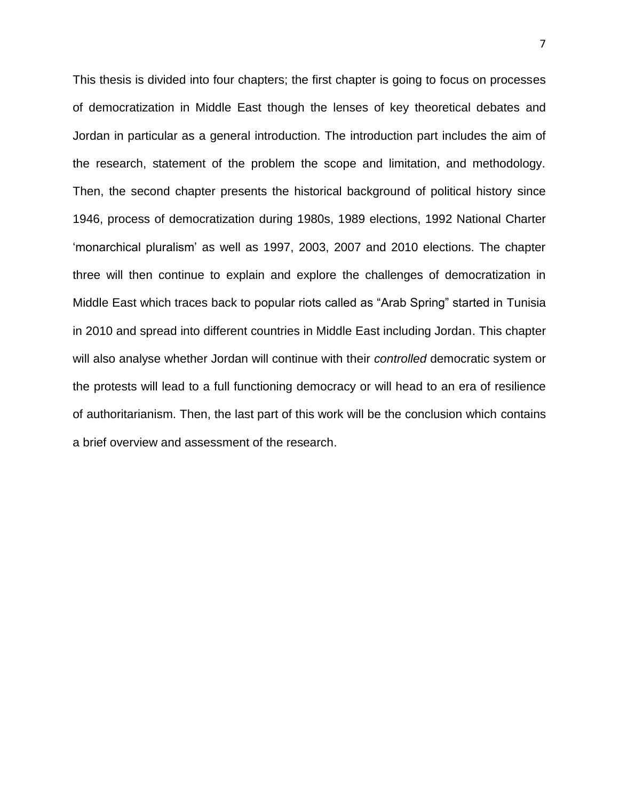<span id="page-12-0"></span>This thesis is divided into four chapters; the first chapter is going to focus on processes of democratization in Middle East though the lenses of key theoretical debates and Jordan in particular as a general introduction. The introduction part includes the aim of the research, statement of the problem the scope and limitation, and methodology. Then, the second chapter presents the historical background of political history since 1946, process of democratization during 1980s, 1989 elections, 1992 National Charter 'monarchical pluralism' as well as 1997, 2003, 2007 and 2010 elections. The chapter three will then continue to explain and explore the challenges of democratization in Middle East which traces back to popular riots called as "Arab Spring" started in Tunisia in 2010 and spread into different countries in Middle East including Jordan. This chapter will also analyse whether Jordan will continue with their *controlled* democratic system or the protests will lead to a full functioning democracy or will head to an era of resilience of authoritarianism. Then, the last part of this work will be the conclusion which contains a brief overview and assessment of the research.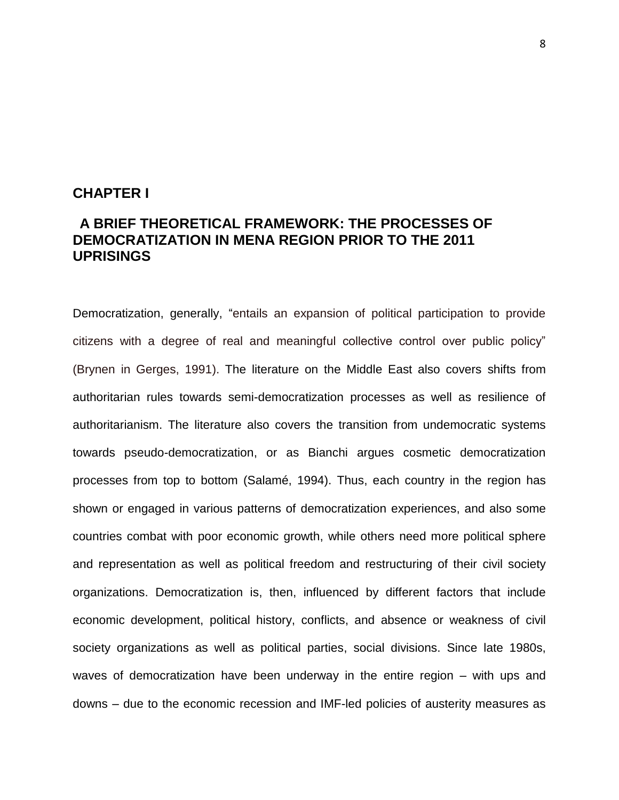### **CHAPTER I**

### **A BRIEF THEORETICAL FRAMEWORK: THE PROCESSES OF DEMOCRATIZATION IN MENA REGION PRIOR TO THE 2011 UPRISINGS**

Democratization, generally, "entails an expansion of political participation to provide citizens with a degree of real and meaningful collective control over public policy" (Brynen in Gerges, 1991). The literature on the Middle East also covers shifts from authoritarian rules towards semi-democratization processes as well as resilience of authoritarianism. The literature also covers the transition from undemocratic systems towards pseudo-democratization, or as Bianchi argues cosmetic democratization processes from top to bottom (Salamé, 1994). Thus, each country in the region has shown or engaged in various patterns of democratization experiences, and also some countries combat with poor economic growth, while others need more political sphere and representation as well as political freedom and restructuring of their civil society organizations. Democratization is, then, influenced by different factors that include economic development, political history, conflicts, and absence or weakness of civil society organizations as well as political parties, social divisions. Since late 1980s, waves of democratization have been underway in the entire region – with ups and downs – due to the economic recession and IMF-led policies of austerity measures as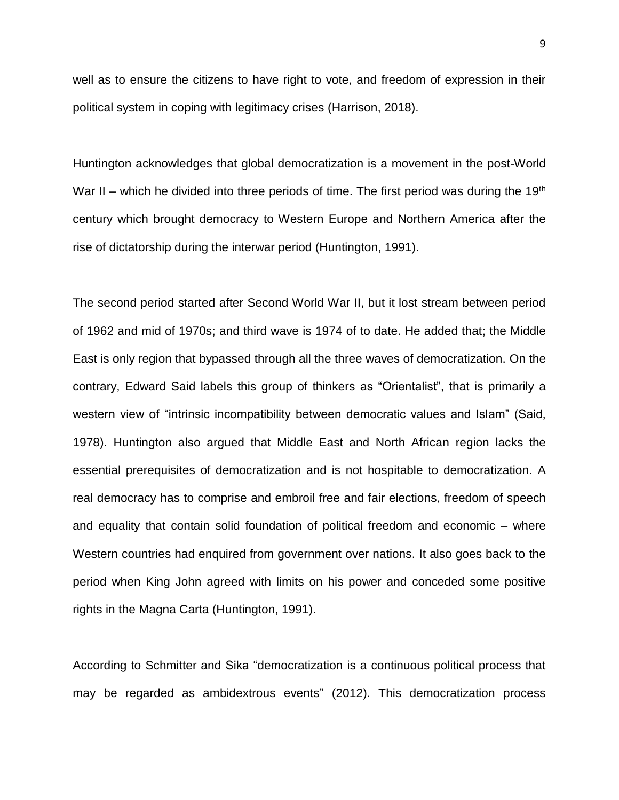well as to ensure the citizens to have right to vote, and freedom of expression in their political system in coping with legitimacy crises (Harrison, 2018).

Huntington acknowledges that global democratization is a movement in the post-World War II – which he divided into three periods of time. The first period was during the 19<sup>th</sup> century which brought democracy to Western Europe and Northern America after the rise of dictatorship during the interwar period (Huntington, 1991).

The second period started after Second World War II, but it lost stream between period of 1962 and mid of 1970s; and third wave is 1974 of to date. He added that; the Middle East is only region that bypassed through all the three waves of democratization. On the contrary, Edward Said labels this group of thinkers as "Orientalist", that is primarily a western view of "intrinsic incompatibility between democratic values and Islam" (Said, 1978). Huntington also argued that Middle East and North African region lacks the essential prerequisites of democratization and is not hospitable to democratization. A real democracy has to comprise and embroil free and fair elections, freedom of speech and equality that contain solid foundation of political freedom and economic – where Western countries had enquired from government over nations. It also goes back to the period when King John agreed with limits on his power and conceded some positive rights in the Magna Carta (Huntington, 1991).

According to Schmitter and Sika "democratization is a continuous political process that may be regarded as ambidextrous events" (2012). This democratization process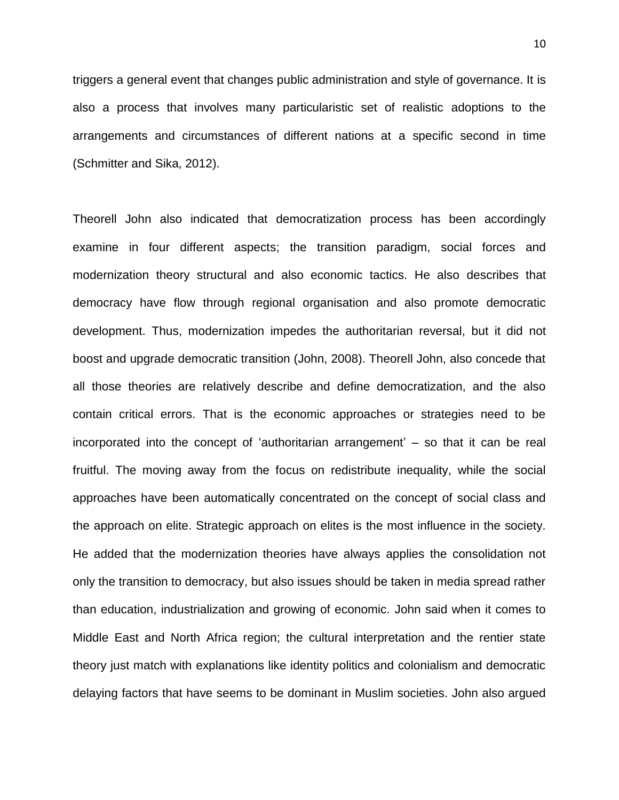10

triggers a general event that changes public administration and style of governance. It is also a process that involves many particularistic set of realistic adoptions to the arrangements and circumstances of different nations at a specific second in time (Schmitter and Sika, 2012).

Theorell John also indicated that democratization process has been accordingly examine in four different aspects; the transition paradigm, social forces and modernization theory structural and also economic tactics. He also describes that democracy have flow through regional organisation and also promote democratic development. Thus, modernization impedes the authoritarian reversal, but it did not boost and upgrade democratic transition (John, 2008). Theorell John, also concede that all those theories are relatively describe and define democratization, and the also contain critical errors. That is the economic approaches or strategies need to be incorporated into the concept of 'authoritarian arrangement' – so that it can be real fruitful. The moving away from the focus on redistribute inequality, while the social approaches have been automatically concentrated on the concept of social class and the approach on elite. Strategic approach on elites is the most influence in the society. He added that the modernization theories have always applies the consolidation not only the transition to democracy, but also issues should be taken in media spread rather than education, industrialization and growing of economic. John said when it comes to Middle East and North Africa region; the cultural interpretation and the rentier state theory just match with explanations like identity politics and colonialism and democratic delaying factors that have seems to be dominant in Muslim societies. John also argued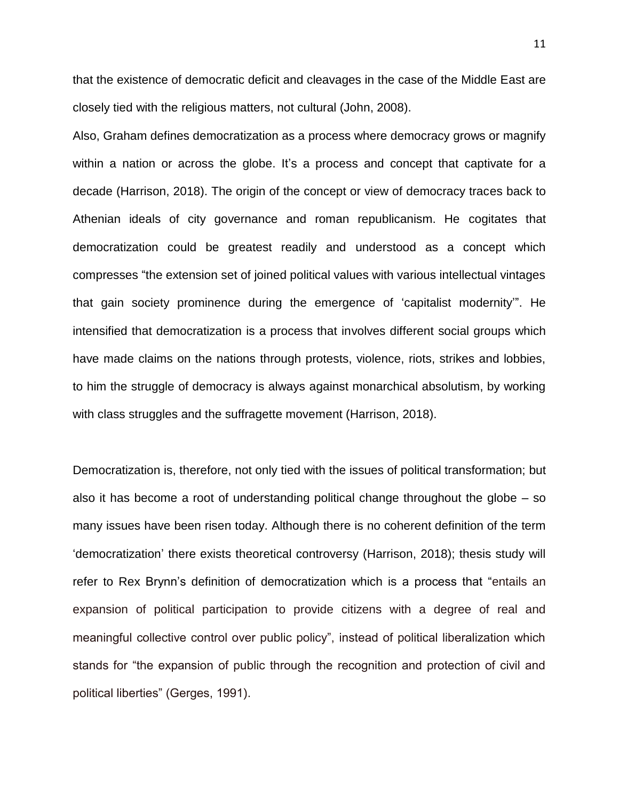that the existence of democratic deficit and cleavages in the case of the Middle East are closely tied with the religious matters, not cultural (John, 2008).

Also, Graham defines democratization as a process where democracy grows or magnify within a nation or across the globe. It's a process and concept that captivate for a decade (Harrison, 2018). The origin of the concept or view of democracy traces back to Athenian ideals of city governance and roman republicanism. He cogitates that democratization could be greatest readily and understood as a concept which compresses "the extension set of joined political values with various intellectual vintages that gain society prominence during the emergence of 'capitalist modernity'". He intensified that democratization is a process that involves different social groups which have made claims on the nations through protests, violence, riots, strikes and lobbies, to him the struggle of democracy is always against monarchical absolutism, by working with class struggles and the suffragette movement (Harrison, 2018).

Democratization is, therefore, not only tied with the issues of political transformation; but also it has become a root of understanding political change throughout the globe – so many issues have been risen today. Although there is no coherent definition of the term 'democratization' there exists theoretical controversy (Harrison, 2018); thesis study will refer to Rex Brynn's definition of democratization which is a process that "entails an expansion of political participation to provide citizens with a degree of real and meaningful collective control over public policy", instead of political liberalization which stands for "the expansion of public through the recognition and protection of civil and political liberties" (Gerges, 1991).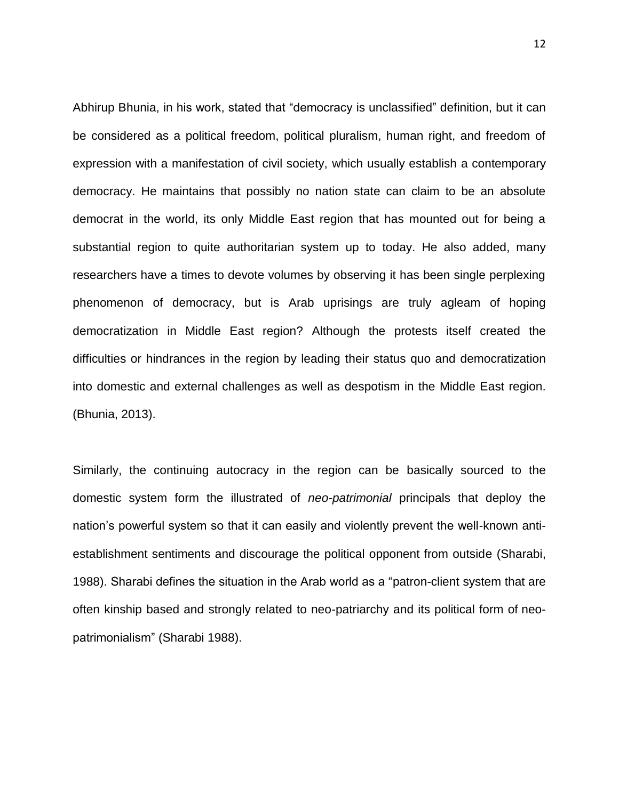Abhirup Bhunia, in his work, stated that "democracy is unclassified" definition, but it can be considered as a political freedom, political pluralism, human right, and freedom of expression with a manifestation of civil society, which usually establish a contemporary democracy. He maintains that possibly no nation state can claim to be an absolute democrat in the world, its only Middle East region that has mounted out for being a substantial region to quite authoritarian system up to today. He also added, many researchers have a times to devote volumes by observing it has been single perplexing phenomenon of democracy, but is Arab uprisings are truly agleam of hoping democratization in Middle East region? Although the protests itself created the difficulties or hindrances in the region by leading their status quo and democratization into domestic and external challenges as well as despotism in the Middle East region. (Bhunia, 2013).

Similarly, the continuing autocracy in the region can be basically sourced to the domestic system form the illustrated of *neo-patrimonial* principals that deploy the nation's powerful system so that it can easily and violently prevent the well-known antiestablishment sentiments and discourage the political opponent from outside (Sharabi, 1988). Sharabi defines the situation in the Arab world as a "patron-client system that are often kinship based and strongly related to neo-patriarchy and its political form of neopatrimonialism" (Sharabi 1988).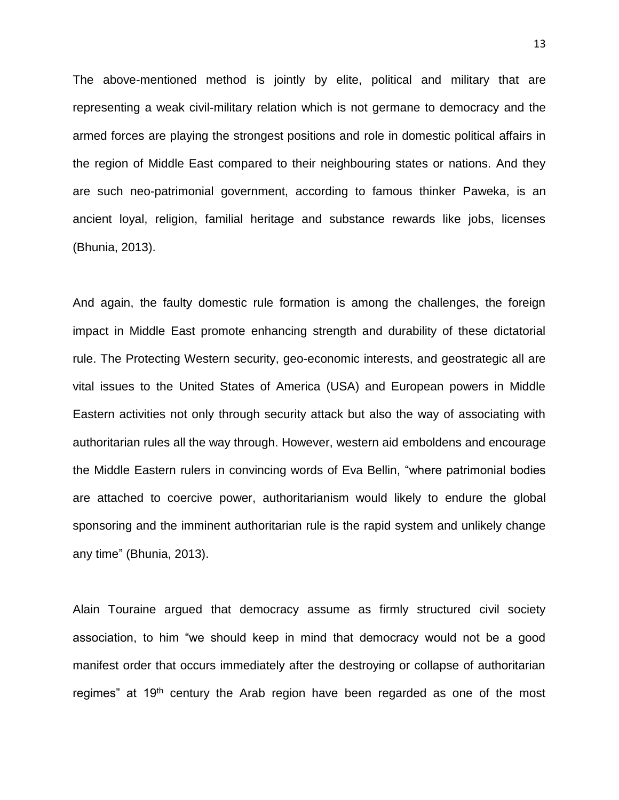The above-mentioned method is jointly by elite, political and military that are representing a weak civil-military relation which is not germane to democracy and the armed forces are playing the strongest positions and role in domestic political affairs in the region of Middle East compared to their neighbouring states or nations. And they are such neo-patrimonial government, according to famous thinker Paweka, is an ancient loyal, religion, familial heritage and substance rewards like jobs, licenses (Bhunia, 2013).

And again, the faulty domestic rule formation is among the challenges, the foreign impact in Middle East promote enhancing strength and durability of these dictatorial rule. The Protecting Western security, geo-economic interests, and geostrategic all are vital issues to the United States of America (USA) and European powers in Middle Eastern activities not only through security attack but also the way of associating with authoritarian rules all the way through. However, western aid emboldens and encourage the Middle Eastern rulers in convincing words of Eva Bellin, "where patrimonial bodies are attached to coercive power, authoritarianism would likely to endure the global sponsoring and the imminent authoritarian rule is the rapid system and unlikely change any time" (Bhunia, 2013).

Alain Touraine argued that democracy assume as firmly structured civil society association, to him "we should keep in mind that democracy would not be a good manifest order that occurs immediately after the destroying or collapse of authoritarian regimes" at 19<sup>th</sup> century the Arab region have been regarded as one of the most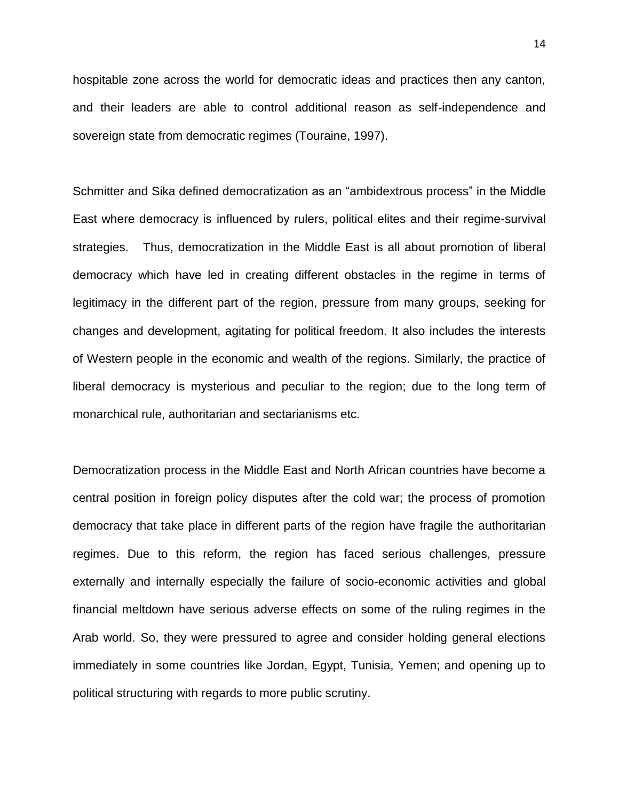hospitable zone across the world for democratic ideas and practices then any canton, and their leaders are able to control additional reason as self-independence and sovereign state from democratic regimes (Touraine, 1997).

Schmitter and Sika defined democratization as an "ambidextrous process" in the Middle East where democracy is influenced by rulers, political elites and their regime-survival strategies. Thus, democratization in the Middle East is all about promotion of liberal democracy which have led in creating different obstacles in the regime in terms of legitimacy in the different part of the region, pressure from many groups, seeking for changes and development, agitating for political freedom. It also includes the interests of Western people in the economic and wealth of the regions. Similarly, the practice of liberal democracy is mysterious and peculiar to the region; due to the long term of monarchical rule, authoritarian and sectarianisms etc.

Democratization process in the Middle East and North African countries have become a central position in foreign policy disputes after the cold war; the process of promotion democracy that take place in different parts of the region have fragile the authoritarian regimes. Due to this reform, the region has faced serious challenges, pressure externally and internally especially the failure of socio-economic activities and global financial meltdown have serious adverse effects on some of the ruling regimes in the Arab world. So, they were pressured to agree and consider holding general elections immediately in some countries like Jordan, Egypt, Tunisia, Yemen; and opening up to political structuring with regards to more public scrutiny.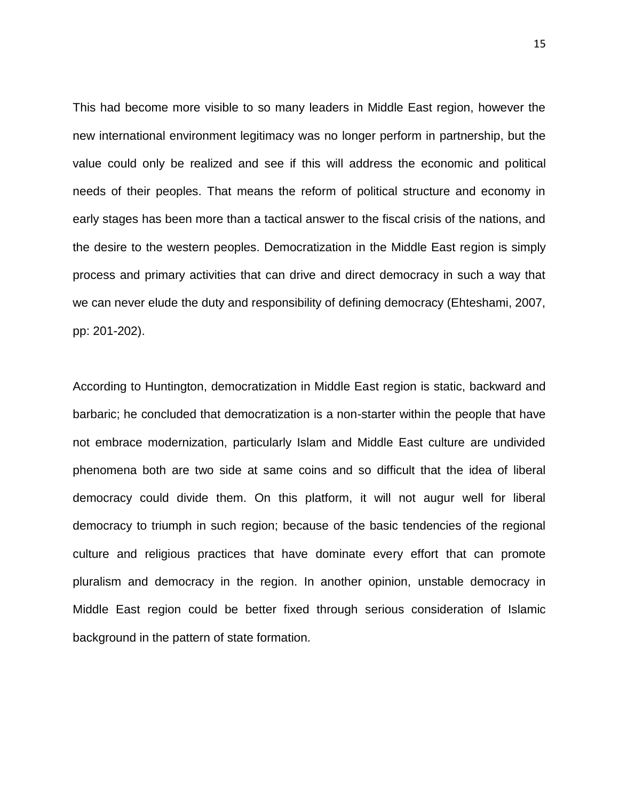This had become more visible to so many leaders in Middle East region, however the new international environment legitimacy was no longer perform in partnership, but the value could only be realized and see if this will address the economic and political needs of their peoples. That means the reform of political structure and economy in early stages has been more than a tactical answer to the fiscal crisis of the nations, and the desire to the western peoples. Democratization in the Middle East region is simply process and primary activities that can drive and direct democracy in such a way that we can never elude the duty and responsibility of defining democracy (Ehteshami, 2007, pp: 201-202).

According to Huntington, democratization in Middle East region is static, backward and barbaric; he concluded that democratization is a non-starter within the people that have not embrace modernization, particularly Islam and Middle East culture are undivided phenomena both are two side at same coins and so difficult that the idea of liberal democracy could divide them. On this platform, it will not augur well for liberal democracy to triumph in such region; because of the basic tendencies of the regional culture and religious practices that have dominate every effort that can promote pluralism and democracy in the region. In another opinion, unstable democracy in Middle East region could be better fixed through serious consideration of Islamic background in the pattern of state formation.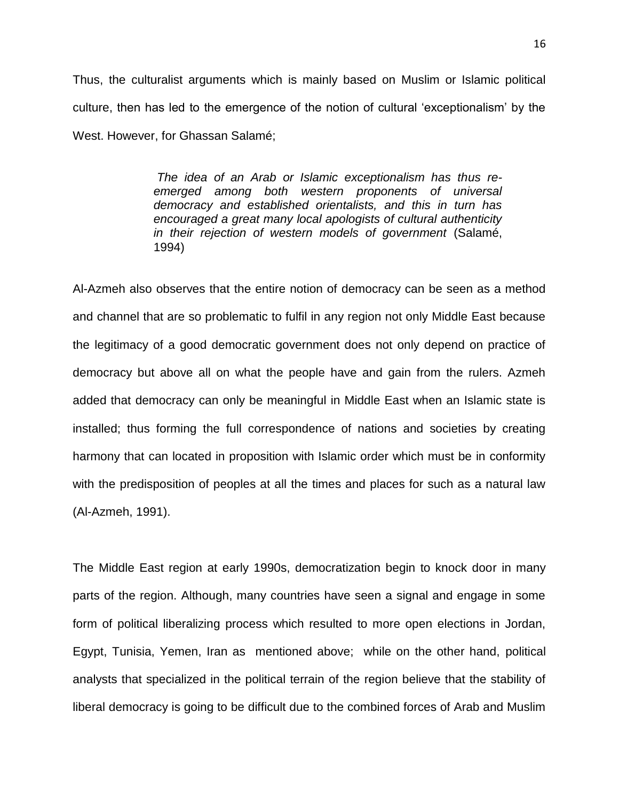Thus, the culturalist arguments which is mainly based on Muslim or Islamic political culture, then has led to the emergence of the notion of cultural 'exceptionalism' by the West. However, for Ghassan Salamé;

> *The idea of an Arab or Islamic exceptionalism has thus reemerged among both western proponents of universal democracy and established orientalists, and this in turn has encouraged a great many local apologists of cultural authenticity in their rejection of western models of government* (Salamé, 1994)

Al-Azmeh also observes that the entire notion of democracy can be seen as a method and channel that are so problematic to fulfil in any region not only Middle East because the legitimacy of a good democratic government does not only depend on practice of democracy but above all on what the people have and gain from the rulers. Azmeh added that democracy can only be meaningful in Middle East when an Islamic state is installed; thus forming the full correspondence of nations and societies by creating harmony that can located in proposition with Islamic order which must be in conformity with the predisposition of peoples at all the times and places for such as a natural law (Al-Azmeh, 1991).

The Middle East region at early 1990s, democratization begin to knock door in many parts of the region. Although, many countries have seen a signal and engage in some form of political liberalizing process which resulted to more open elections in Jordan, Egypt, Tunisia, Yemen, Iran as mentioned above; while on the other hand, political analysts that specialized in the political terrain of the region believe that the stability of liberal democracy is going to be difficult due to the combined forces of Arab and Muslim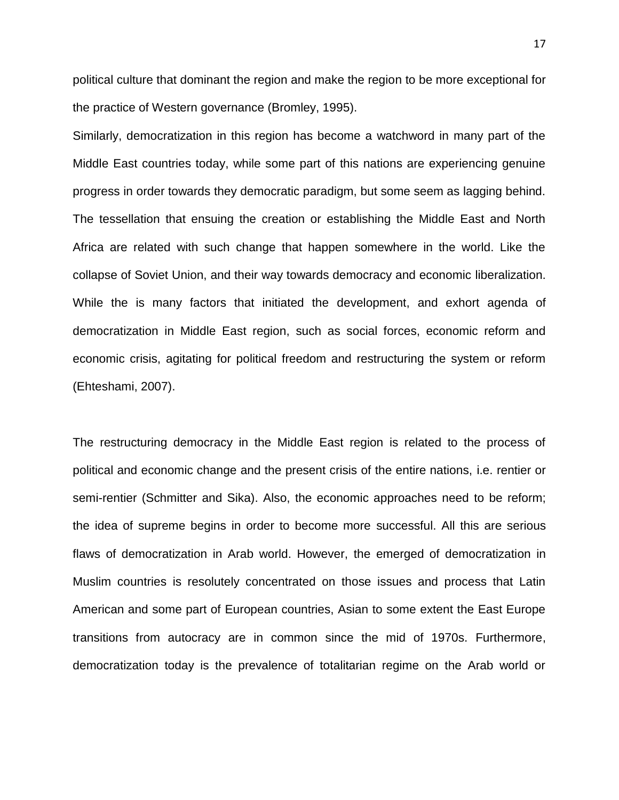political culture that dominant the region and make the region to be more exceptional for the practice of Western governance (Bromley, 1995).

Similarly, democratization in this region has become a watchword in many part of the Middle East countries today, while some part of this nations are experiencing genuine progress in order towards they democratic paradigm, but some seem as lagging behind. The tessellation that ensuing the creation or establishing the Middle East and North Africa are related with such change that happen somewhere in the world. Like the collapse of Soviet Union, and their way towards democracy and economic liberalization. While the is many factors that initiated the development, and exhort agenda of democratization in Middle East region, such as social forces, economic reform and economic crisis, agitating for political freedom and restructuring the system or reform (Ehteshami, 2007).

The restructuring democracy in the Middle East region is related to the process of political and economic change and the present crisis of the entire nations, i.e. rentier or semi-rentier (Schmitter and Sika). Also, the economic approaches need to be reform; the idea of supreme begins in order to become more successful. All this are serious flaws of democratization in Arab world. However, the emerged of democratization in Muslim countries is resolutely concentrated on those issues and process that Latin American and some part of European countries, Asian to some extent the East Europe transitions from autocracy are in common since the mid of 1970s. Furthermore, democratization today is the prevalence of totalitarian regime on the Arab world or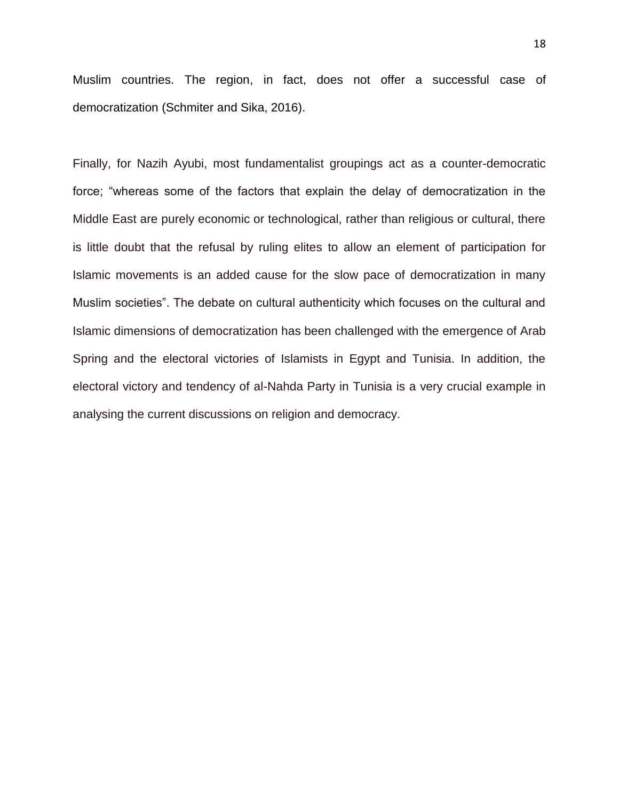Muslim countries. The region, in fact, does not offer a successful case of democratization (Schmiter and Sika, 2016).

<span id="page-23-0"></span>Finally, for Nazih Ayubi, most fundamentalist groupings act as a counter-democratic force; "whereas some of the factors that explain the delay of democratization in the Middle East are purely economic or technological, rather than religious or cultural, there is little doubt that the refusal by ruling elites to allow an element of participation for Islamic movements is an added cause for the slow pace of democratization in many Muslim societies". The debate on cultural authenticity which focuses on the cultural and Islamic dimensions of democratization has been challenged with the emergence of Arab Spring and the electoral victories of Islamists in Egypt and Tunisia. In addition, the electoral victory and tendency of al-Nahda Party in Tunisia is a very crucial example in analysing the current discussions on religion and democracy.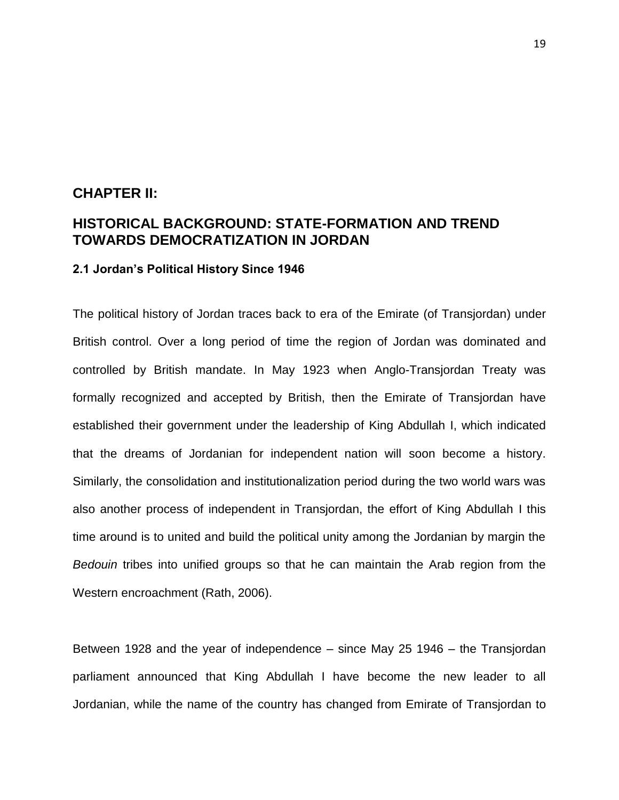### **CHAPTER II:**

### **HISTORICAL BACKGROUND: STATE-FORMATION AND TREND TOWARDS DEMOCRATIZATION IN JORDAN**

#### <span id="page-24-0"></span>**2.1 Jordan's Political History Since 1946**

The political history of Jordan traces back to era of the Emirate (of Transjordan) under British control. Over a long period of time the region of Jordan was dominated and controlled by British mandate. In May 1923 when Anglo-Transjordan Treaty was formally recognized and accepted by British, then the Emirate of Transjordan have established their government under the leadership of King Abdullah I, which indicated that the dreams of Jordanian for independent nation will soon become a history. Similarly, the consolidation and institutionalization period during the two world wars was also another process of independent in Transjordan, the effort of King Abdullah I this time around is to united and build the political unity among the Jordanian by margin the *Bedouin* tribes into unified groups so that he can maintain the Arab region from the Western encroachment (Rath, 2006).

Between 1928 and the year of independence – since May 25 1946 – the Transjordan parliament announced that King Abdullah I have become the new leader to all Jordanian, while the name of the country has changed from Emirate of Transjordan to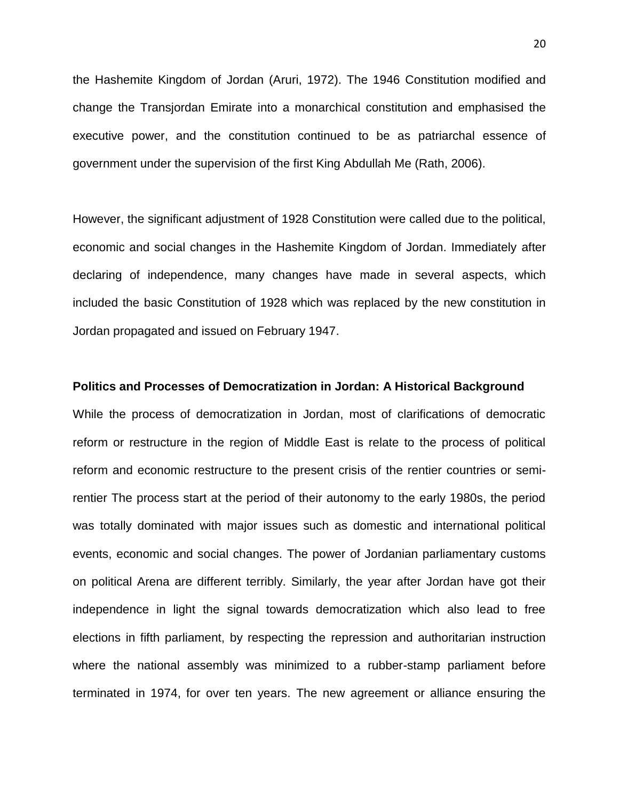the Hashemite Kingdom of Jordan (Aruri, 1972). The 1946 Constitution modified and change the Transjordan Emirate into a monarchical constitution and emphasised the executive power, and the constitution continued to be as patriarchal essence of government under the supervision of the first King Abdullah Me (Rath, 2006).

However, the significant adjustment of 1928 Constitution were called due to the political, economic and social changes in the Hashemite Kingdom of Jordan. Immediately after declaring of independence, many changes have made in several aspects, which included the basic Constitution of 1928 which was replaced by the new constitution in Jordan propagated and issued on February 1947.

#### **Politics and Processes of Democratization in Jordan: A Historical Background**

While the process of democratization in Jordan, most of clarifications of democratic reform or restructure in the region of Middle East is relate to the process of political reform and economic restructure to the present crisis of the rentier countries or semirentier The process start at the period of their autonomy to the early 1980s, the period was totally dominated with major issues such as domestic and international political events, economic and social changes. The power of Jordanian parliamentary customs on political Arena are different terribly. Similarly, the year after Jordan have got their independence in light the signal towards democratization which also lead to free elections in fifth parliament, by respecting the repression and authoritarian instruction where the national assembly was minimized to a rubber-stamp parliament before terminated in 1974, for over ten years. The new agreement or alliance ensuring the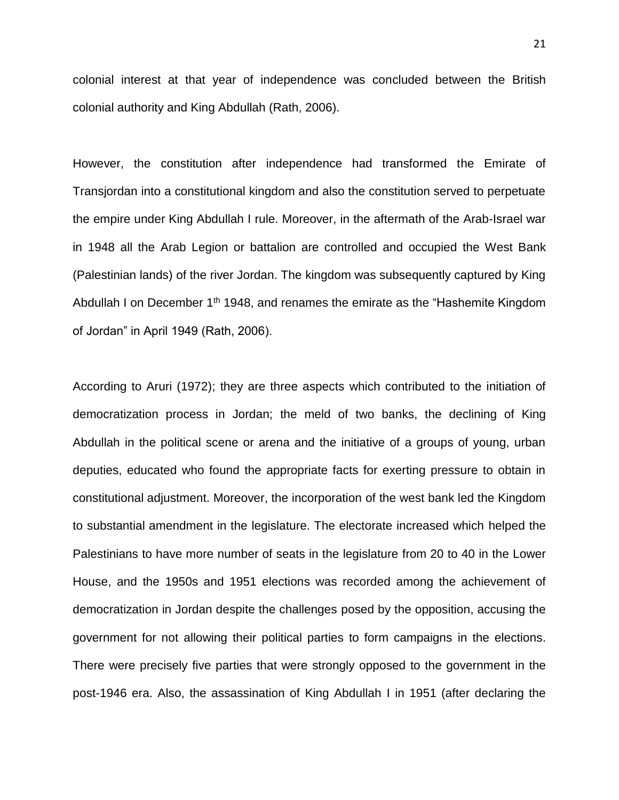colonial interest at that year of independence was concluded between the British colonial authority and King Abdullah (Rath, 2006).

However, the constitution after independence had transformed the Emirate of Transjordan into a constitutional kingdom and also the constitution served to perpetuate the empire under King Abdullah I rule. Moreover, in the aftermath of the Arab-Israel war in 1948 all the Arab Legion or battalion are controlled and occupied the West Bank (Palestinian lands) of the river Jordan. The kingdom was subsequently captured by King Abdullah I on December  $1<sup>th</sup> 1948$ , and renames the emirate as the "Hashemite Kingdom of Jordan" in April 1949 (Rath, 2006).

According to Aruri (1972); they are three aspects which contributed to the initiation of democratization process in Jordan; the meld of two banks, the declining of King Abdullah in the political scene or arena and the initiative of a groups of young, urban deputies, educated who found the appropriate facts for exerting pressure to obtain in constitutional adjustment. Moreover, the incorporation of the west bank led the Kingdom to substantial amendment in the legislature. The electorate increased which helped the Palestinians to have more number of seats in the legislature from 20 to 40 in the Lower House, and the 1950s and 1951 elections was recorded among the achievement of democratization in Jordan despite the challenges posed by the opposition, accusing the government for not allowing their political parties to form campaigns in the elections. There were precisely five parties that were strongly opposed to the government in the post-1946 era. Also, the assassination of King Abdullah I in 1951 (after declaring the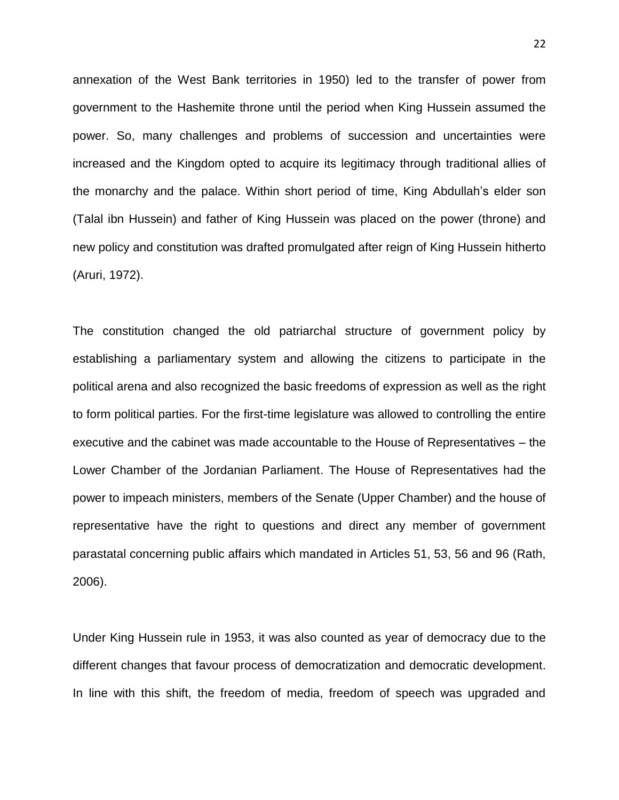annexation of the West Bank territories in 1950) led to the transfer of power from government to the Hashemite throne until the period when King Hussein assumed the power. So, many challenges and problems of succession and uncertainties were increased and the Kingdom opted to acquire its legitimacy through traditional allies of the monarchy and the palace. Within short period of time, King Abdullah's elder son (Talal ibn Hussein) and father of King Hussein was placed on the power (throne) and new policy and constitution was drafted promulgated after reign of King Hussein hitherto (Aruri, 1972).

The constitution changed the old patriarchal structure of government policy by establishing a parliamentary system and allowing the citizens to participate in the political arena and also recognized the basic freedoms of expression as well as the right to form political parties. For the first-time legislature was allowed to controlling the entire executive and the cabinet was made accountable to the House of Representatives – the Lower Chamber of the Jordanian Parliament. The House of Representatives had the power to impeach ministers, members of the Senate (Upper Chamber) and the house of representative have the right to questions and direct any member of government parastatal concerning public affairs which mandated in Articles 51, 53, 56 and 96 (Rath, 2006).

Under King Hussein rule in 1953, it was also counted as year of democracy due to the different changes that favour process of democratization and democratic development. In line with this shift, the freedom of media, freedom of speech was upgraded and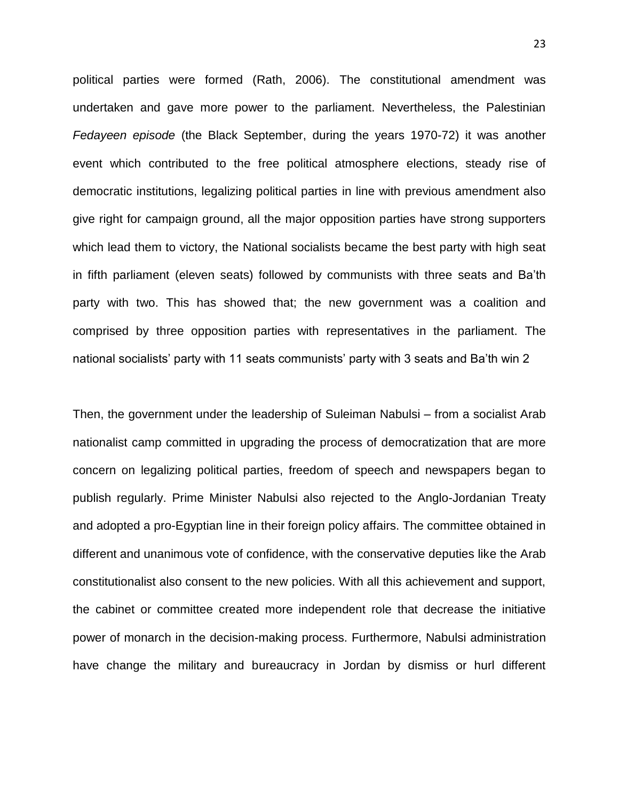political parties were formed (Rath, 2006). The constitutional amendment was undertaken and gave more power to the parliament. Nevertheless, the Palestinian *Fedayeen episode* (the Black September, during the years 1970-72) it was another event which contributed to the free political atmosphere elections, steady rise of democratic institutions, legalizing political parties in line with previous amendment also give right for campaign ground, all the major opposition parties have strong supporters which lead them to victory, the National socialists became the best party with high seat in fifth parliament (eleven seats) followed by communists with three seats and Ba'th party with two. This has showed that; the new government was a coalition and comprised by three opposition parties with representatives in the parliament. The national socialists' party with 11 seats communists' party with 3 seats and Ba'th win 2

Then, the government under the leadership of Suleiman Nabulsi – from a socialist Arab nationalist camp committed in upgrading the process of democratization that are more concern on legalizing political parties, freedom of speech and newspapers began to publish regularly. Prime Minister Nabulsi also rejected to the Anglo-Jordanian Treaty and adopted a pro-Egyptian line in their foreign policy affairs. The committee obtained in different and unanimous vote of confidence, with the conservative deputies like the Arab constitutionalist also consent to the new policies. With all this achievement and support, the cabinet or committee created more independent role that decrease the initiative power of monarch in the decision-making process. Furthermore, Nabulsi administration have change the military and bureaucracy in Jordan by dismiss or hurl different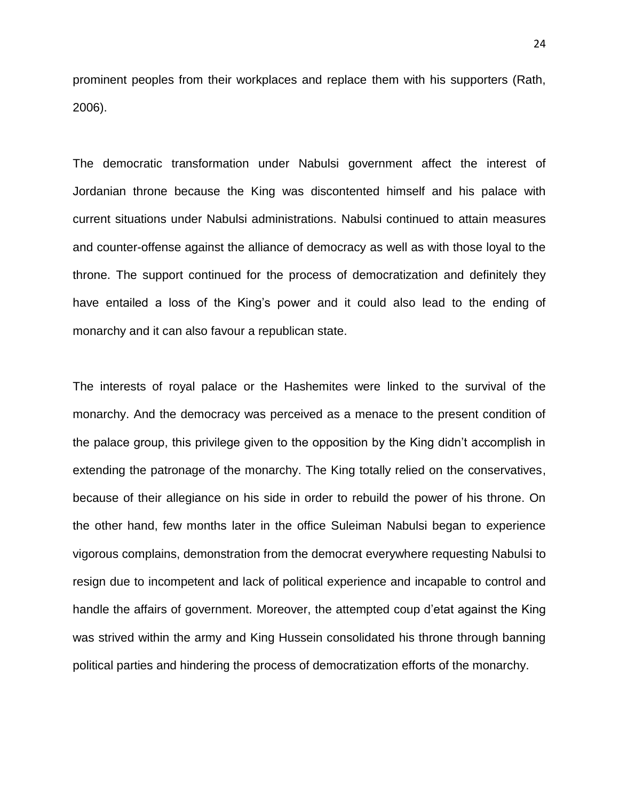prominent peoples from their workplaces and replace them with his supporters (Rath, 2006).

The democratic transformation under Nabulsi government affect the interest of Jordanian throne because the King was discontented himself and his palace with current situations under Nabulsi administrations. Nabulsi continued to attain measures and counter-offense against the alliance of democracy as well as with those loyal to the throne. The support continued for the process of democratization and definitely they have entailed a loss of the King's power and it could also lead to the ending of monarchy and it can also favour a republican state.

The interests of royal palace or the Hashemites were linked to the survival of the monarchy. And the democracy was perceived as a menace to the present condition of the palace group, this privilege given to the opposition by the King didn't accomplish in extending the patronage of the monarchy. The King totally relied on the conservatives, because of their allegiance on his side in order to rebuild the power of his throne. On the other hand, few months later in the office Suleiman Nabulsi began to experience vigorous complains, demonstration from the democrat everywhere requesting Nabulsi to resign due to incompetent and lack of political experience and incapable to control and handle the affairs of government. Moreover, the attempted coup d'etat against the King was strived within the army and King Hussein consolidated his throne through banning political parties and hindering the process of democratization efforts of the monarchy.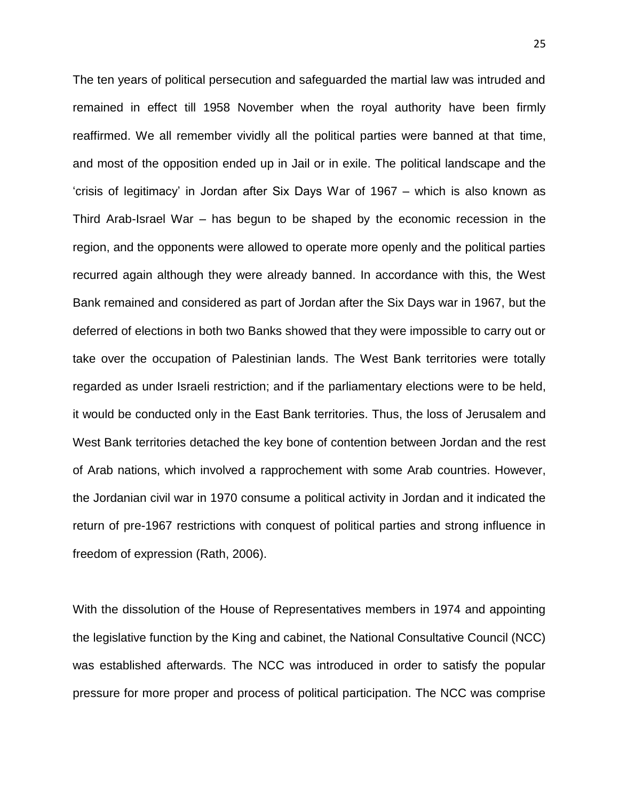The ten years of political persecution and safeguarded the martial law was intruded and remained in effect till 1958 November when the royal authority have been firmly reaffirmed. We all remember vividly all the political parties were banned at that time, and most of the opposition ended up in Jail or in exile. The political landscape and the 'crisis of legitimacy' in Jordan after Six Days War of 1967 – which is also known as Third Arab-Israel War – has begun to be shaped by the economic recession in the region, and the opponents were allowed to operate more openly and the political parties recurred again although they were already banned. In accordance with this, the West Bank remained and considered as part of Jordan after the Six Days war in 1967, but the deferred of elections in both two Banks showed that they were impossible to carry out or take over the occupation of Palestinian lands. The West Bank territories were totally regarded as under Israeli restriction; and if the parliamentary elections were to be held, it would be conducted only in the East Bank territories. Thus, the loss of Jerusalem and West Bank territories detached the key bone of contention between Jordan and the rest of Arab nations, which involved a rapprochement with some Arab countries. However, the Jordanian civil war in 1970 consume a political activity in Jordan and it indicated the return of pre-1967 restrictions with conquest of political parties and strong influence in freedom of expression (Rath, 2006).

With the dissolution of the House of Representatives members in 1974 and appointing the legislative function by the King and cabinet, the National Consultative Council (NCC) was established afterwards. The NCC was introduced in order to satisfy the popular pressure for more proper and process of political participation. The NCC was comprise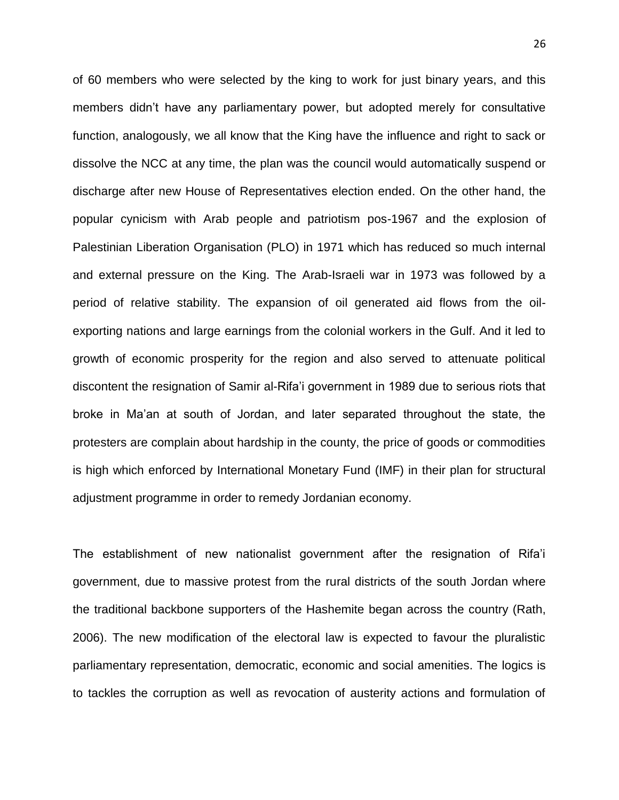of 60 members who were selected by the king to work for just binary years, and this members didn't have any parliamentary power, but adopted merely for consultative function, analogously, we all know that the King have the influence and right to sack or dissolve the NCC at any time, the plan was the council would automatically suspend or discharge after new House of Representatives election ended. On the other hand, the popular cynicism with Arab people and patriotism pos-1967 and the explosion of Palestinian Liberation Organisation (PLO) in 1971 which has reduced so much internal and external pressure on the King. The Arab-Israeli war in 1973 was followed by a period of relative stability. The expansion of oil generated aid flows from the oilexporting nations and large earnings from the colonial workers in the Gulf. And it led to growth of economic prosperity for the region and also served to attenuate political discontent the resignation of Samir al-Rifa'i government in 1989 due to serious riots that broke in Ma'an at south of Jordan, and later separated throughout the state, the protesters are complain about hardship in the county, the price of goods or commodities is high which enforced by International Monetary Fund (IMF) in their plan for structural adjustment programme in order to remedy Jordanian economy.

The establishment of new nationalist government after the resignation of Rifa'i government, due to massive protest from the rural districts of the south Jordan where the traditional backbone supporters of the Hashemite began across the country (Rath, 2006). The new modification of the electoral law is expected to favour the pluralistic parliamentary representation, democratic, economic and social amenities. The logics is to tackles the corruption as well as revocation of austerity actions and formulation of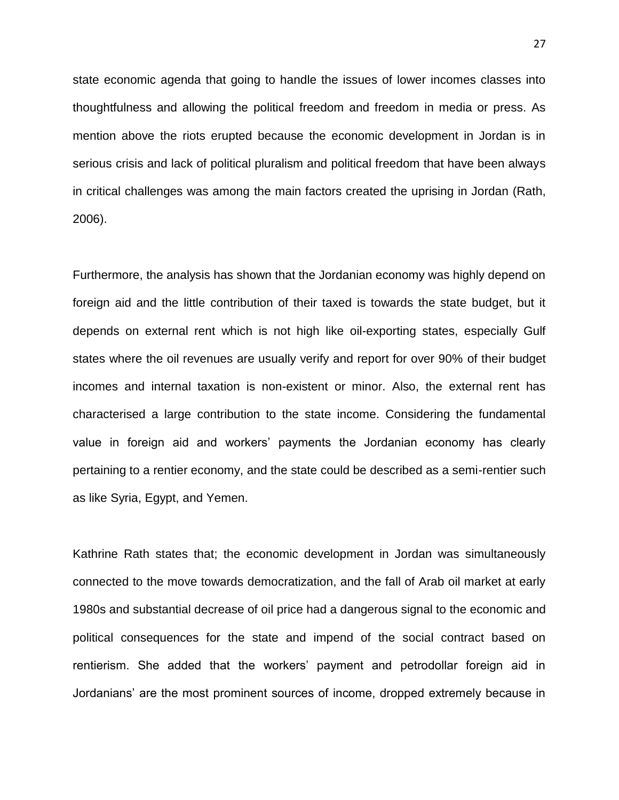state economic agenda that going to handle the issues of lower incomes classes into thoughtfulness and allowing the political freedom and freedom in media or press. As mention above the riots erupted because the economic development in Jordan is in serious crisis and lack of political pluralism and political freedom that have been always in critical challenges was among the main factors created the uprising in Jordan (Rath, 2006).

Furthermore, the analysis has shown that the Jordanian economy was highly depend on foreign aid and the little contribution of their taxed is towards the state budget, but it depends on external rent which is not high like oil-exporting states, especially Gulf states where the oil revenues are usually verify and report for over 90% of their budget incomes and internal taxation is non-existent or minor. Also, the external rent has characterised a large contribution to the state income. Considering the fundamental value in foreign aid and workers' payments the Jordanian economy has clearly pertaining to a rentier economy, and the state could be described as a semi-rentier such as like Syria, Egypt, and Yemen.

Kathrine Rath states that; the economic development in Jordan was simultaneously connected to the move towards democratization, and the fall of Arab oil market at early 1980s and substantial decrease of oil price had a dangerous signal to the economic and political consequences for the state and impend of the social contract based on rentierism. She added that the workers' payment and petrodollar foreign aid in Jordanians' are the most prominent sources of income, dropped extremely because in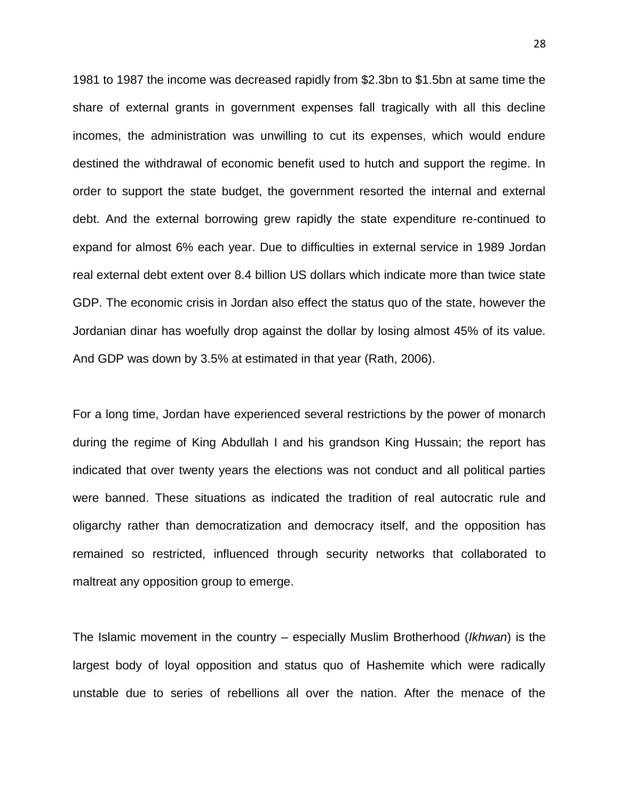1981 to 1987 the income was decreased rapidly from \$2.3bn to \$1.5bn at same time the share of external grants in government expenses fall tragically with all this decline incomes, the administration was unwilling to cut its expenses, which would endure destined the withdrawal of economic benefit used to hutch and support the regime. In order to support the state budget, the government resorted the internal and external debt. And the external borrowing grew rapidly the state expenditure re-continued to expand for almost 6% each year. Due to difficulties in external service in 1989 Jordan real external debt extent over 8.4 billion US dollars which indicate more than twice state GDP. The economic crisis in Jordan also effect the status quo of the state, however the Jordanian dinar has woefully drop against the dollar by losing almost 45% of its value. And GDP was down by 3.5% at estimated in that year (Rath, 2006).

For a long time, Jordan have experienced several restrictions by the power of monarch during the regime of King Abdullah I and his grandson King Hussain; the report has indicated that over twenty years the elections was not conduct and all political parties were banned. These situations as indicated the tradition of real autocratic rule and oligarchy rather than democratization and democracy itself, and the opposition has remained so restricted, influenced through security networks that collaborated to maltreat any opposition group to emerge.

The Islamic movement in the country – especially Muslim Brotherhood (*Ikhwan*) is the largest body of loyal opposition and status quo of Hashemite which were radically unstable due to series of rebellions all over the nation. After the menace of the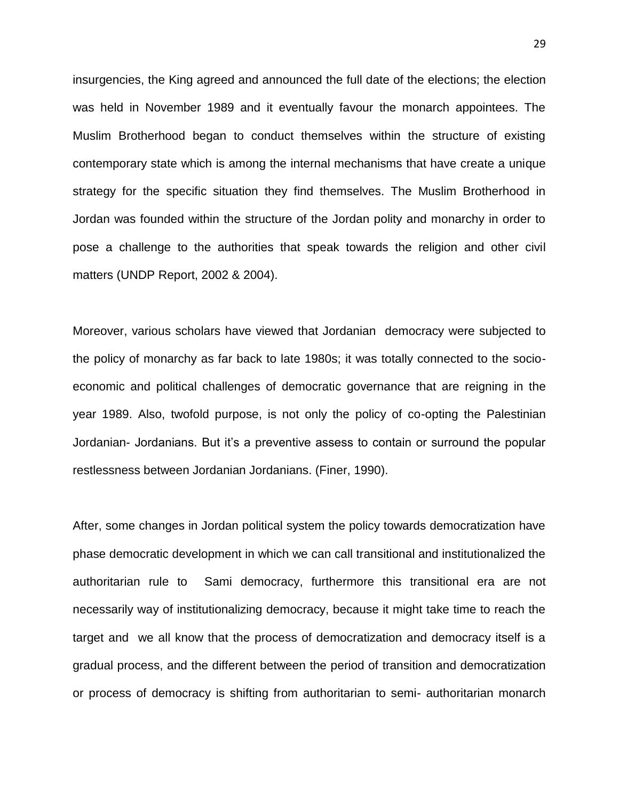insurgencies, the King agreed and announced the full date of the elections; the election was held in November 1989 and it eventually favour the monarch appointees. The Muslim Brotherhood began to conduct themselves within the structure of existing contemporary state which is among the internal mechanisms that have create a unique strategy for the specific situation they find themselves. The Muslim Brotherhood in Jordan was founded within the structure of the Jordan polity and monarchy in order to pose a challenge to the authorities that speak towards the religion and other civil matters (UNDP Report, 2002 & 2004).

Moreover, various scholars have viewed that Jordanian democracy were subjected to the policy of monarchy as far back to late 1980s; it was totally connected to the socioeconomic and political challenges of democratic governance that are reigning in the year 1989. Also, twofold purpose, is not only the policy of co-opting the Palestinian Jordanian- Jordanians. But it's a preventive assess to contain or surround the popular restlessness between Jordanian Jordanians. (Finer, 1990).

After, some changes in Jordan political system the policy towards democratization have phase democratic development in which we can call transitional and institutionalized the authoritarian rule to Sami democracy, furthermore this transitional era are not necessarily way of institutionalizing democracy, because it might take time to reach the target and we all know that the process of democratization and democracy itself is a gradual process, and the different between the period of transition and democratization or process of democracy is shifting from authoritarian to semi- authoritarian monarch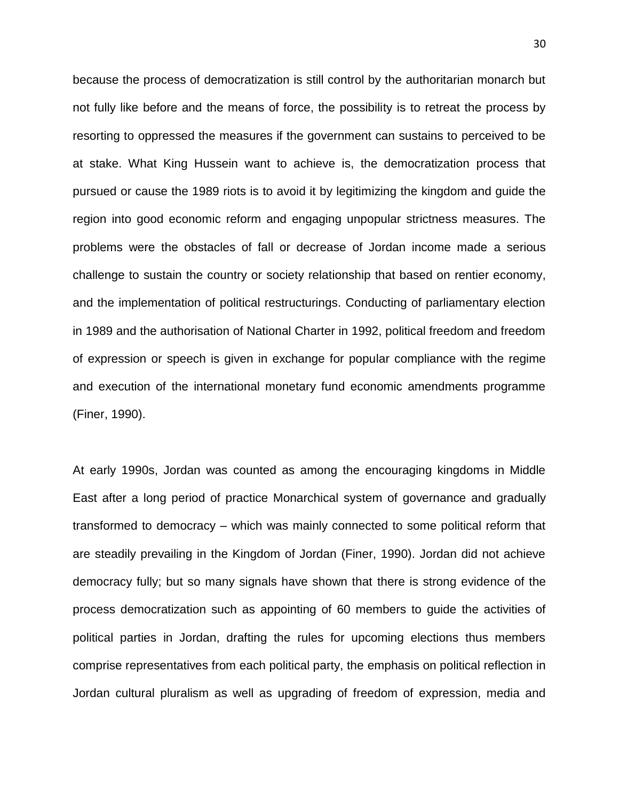because the process of democratization is still control by the authoritarian monarch but not fully like before and the means of force, the possibility is to retreat the process by resorting to oppressed the measures if the government can sustains to perceived to be at stake. What King Hussein want to achieve is, the democratization process that pursued or cause the 1989 riots is to avoid it by legitimizing the kingdom and guide the region into good economic reform and engaging unpopular strictness measures. The problems were the obstacles of fall or decrease of Jordan income made a serious challenge to sustain the country or society relationship that based on rentier economy, and the implementation of political restructurings. Conducting of parliamentary election in 1989 and the authorisation of National Charter in 1992, political freedom and freedom of expression or speech is given in exchange for popular compliance with the regime and execution of the international monetary fund economic amendments programme (Finer, 1990).

At early 1990s, Jordan was counted as among the encouraging kingdoms in Middle East after a long period of practice Monarchical system of governance and gradually transformed to democracy – which was mainly connected to some political reform that are steadily prevailing in the Kingdom of Jordan (Finer, 1990). Jordan did not achieve democracy fully; but so many signals have shown that there is strong evidence of the process democratization such as appointing of 60 members to guide the activities of political parties in Jordan, drafting the rules for upcoming elections thus members comprise representatives from each political party, the emphasis on political reflection in Jordan cultural pluralism as well as upgrading of freedom of expression, media and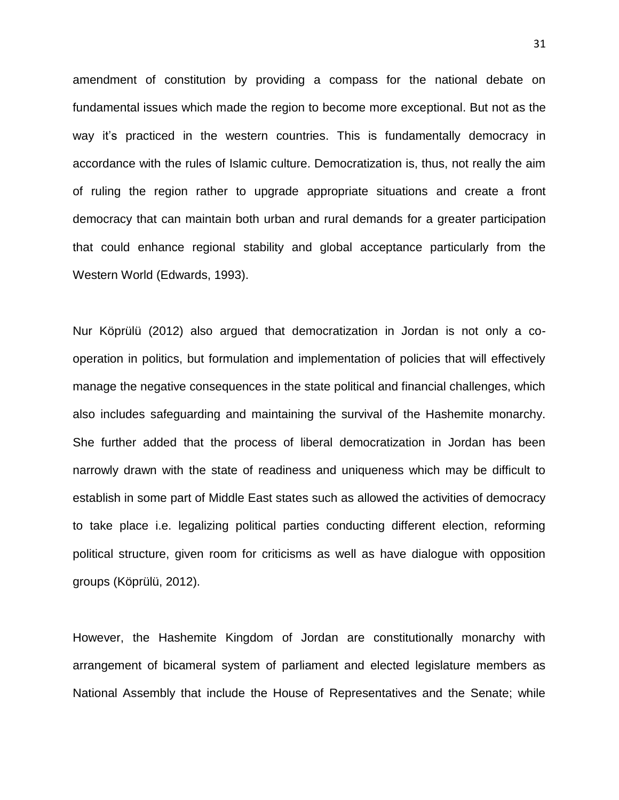amendment of constitution by providing a compass for the national debate on fundamental issues which made the region to become more exceptional. But not as the way it's practiced in the western countries. This is fundamentally democracy in accordance with the rules of Islamic culture. Democratization is, thus, not really the aim of ruling the region rather to upgrade appropriate situations and create a front democracy that can maintain both urban and rural demands for a greater participation that could enhance regional stability and global acceptance particularly from the Western World (Edwards, 1993).

Nur Köprülü (2012) also argued that democratization in Jordan is not only a cooperation in politics, but formulation and implementation of policies that will effectively manage the negative consequences in the state political and financial challenges, which also includes safeguarding and maintaining the survival of the Hashemite monarchy. She further added that the process of liberal democratization in Jordan has been narrowly drawn with the state of readiness and uniqueness which may be difficult to establish in some part of Middle East states such as allowed the activities of democracy to take place i.e. legalizing political parties conducting different election, reforming political structure, given room for criticisms as well as have dialogue with opposition groups (Köprülü, 2012).

However, the Hashemite Kingdom of Jordan are constitutionally monarchy with arrangement of bicameral system of parliament and elected legislature members as National Assembly that include the House of Representatives and the Senate; while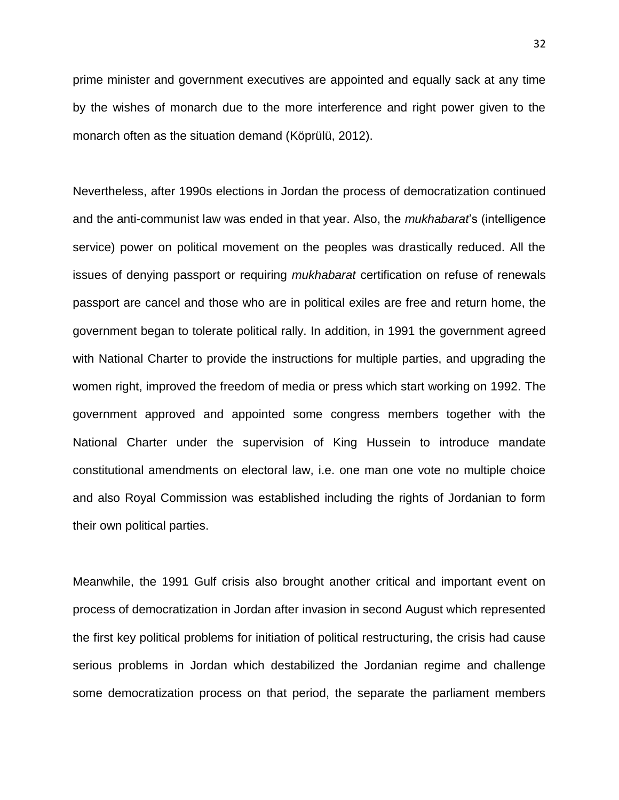prime minister and government executives are appointed and equally sack at any time by the wishes of monarch due to the more interference and right power given to the monarch often as the situation demand (Köprülü, 2012).

Nevertheless, after 1990s elections in Jordan the process of democratization continued and the anti-communist law was ended in that year. Also, the *mukhabarat*'s (intelligence service) power on political movement on the peoples was drastically reduced. All the issues of denying passport or requiring *mukhabarat* certification on refuse of renewals passport are cancel and those who are in political exiles are free and return home, the government began to tolerate political rally. In addition, in 1991 the government agreed with National Charter to provide the instructions for multiple parties, and upgrading the women right, improved the freedom of media or press which start working on 1992. The government approved and appointed some congress members together with the National Charter under the supervision of King Hussein to introduce mandate constitutional amendments on electoral law, i.e. one man one vote no multiple choice and also Royal Commission was established including the rights of Jordanian to form their own political parties.

Meanwhile, the 1991 Gulf crisis also brought another critical and important event on process of democratization in Jordan after invasion in second August which represented the first key political problems for initiation of political restructuring, the crisis had cause serious problems in Jordan which destabilized the Jordanian regime and challenge some democratization process on that period, the separate the parliament members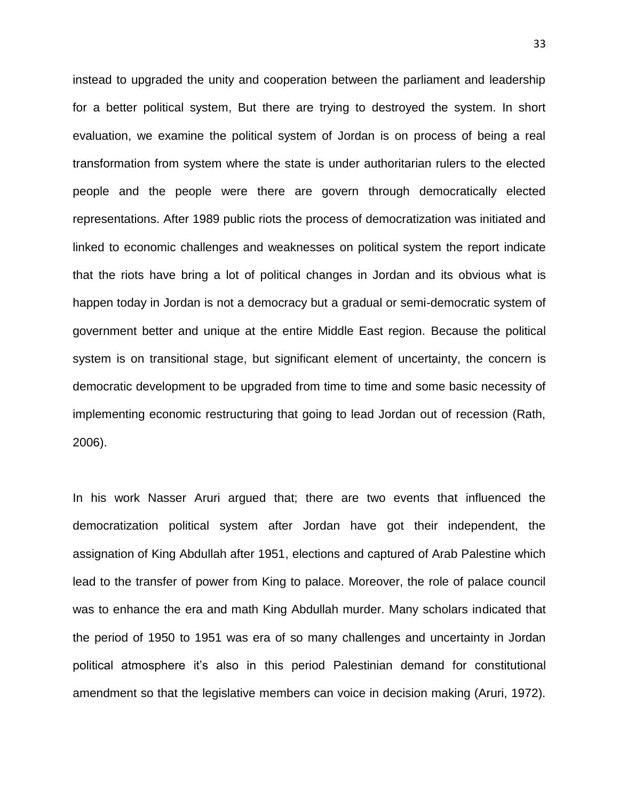instead to upgraded the unity and cooperation between the parliament and leadership for a better political system, But there are trying to destroyed the system. In short evaluation, we examine the political system of Jordan is on process of being a real transformation from system where the state is under authoritarian rulers to the elected people and the people were there are govern through democratically elected representations. After 1989 public riots the process of democratization was initiated and linked to economic challenges and weaknesses on political system the report indicate that the riots have bring a lot of political changes in Jordan and its obvious what is happen today in Jordan is not a democracy but a gradual or semi-democratic system of government better and unique at the entire Middle East region. Because the political system is on transitional stage, but significant element of uncertainty, the concern is democratic development to be upgraded from time to time and some basic necessity of implementing economic restructuring that going to lead Jordan out of recession (Rath, 2006).

In his work Nasser Aruri argued that; there are two events that influenced the democratization political system after Jordan have got their independent, the assignation of King Abdullah after 1951, elections and captured of Arab Palestine which lead to the transfer of power from King to palace. Moreover, the role of palace council was to enhance the era and math King Abdullah murder. Many scholars indicated that the period of 1950 to 1951 was era of so many challenges and uncertainty in Jordan political atmosphere it's also in this period Palestinian demand for constitutional amendment so that the legislative members can voice in decision making (Aruri, 1972).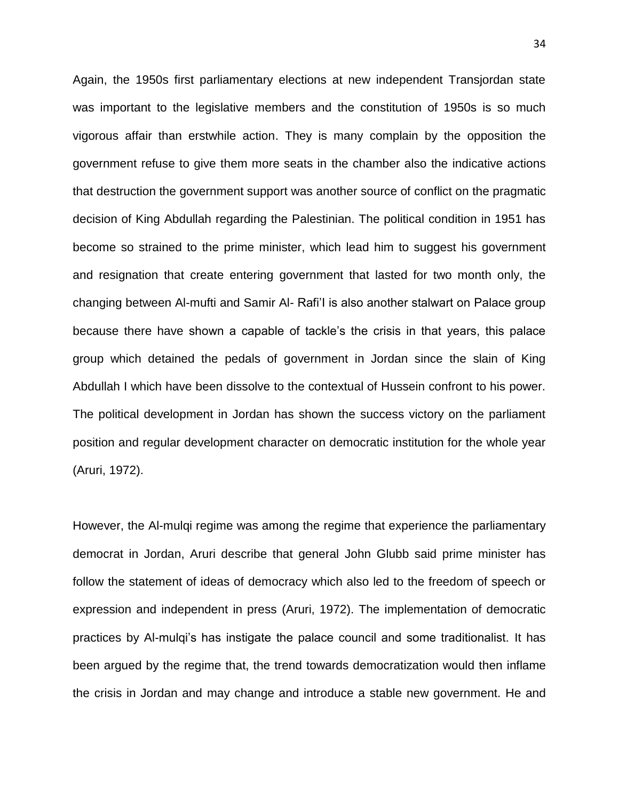Again, the 1950s first parliamentary elections at new independent Transjordan state was important to the legislative members and the constitution of 1950s is so much vigorous affair than erstwhile action. They is many complain by the opposition the government refuse to give them more seats in the chamber also the indicative actions that destruction the government support was another source of conflict on the pragmatic decision of King Abdullah regarding the Palestinian. The political condition in 1951 has become so strained to the prime minister, which lead him to suggest his government and resignation that create entering government that lasted for two month only, the changing between Al-mufti and Samir Al- Rafi'I is also another stalwart on Palace group because there have shown a capable of tackle's the crisis in that years, this palace group which detained the pedals of government in Jordan since the slain of King Abdullah I which have been dissolve to the contextual of Hussein confront to his power. The political development in Jordan has shown the success victory on the parliament position and regular development character on democratic institution for the whole year (Aruri, 1972).

However, the Al-mulqi regime was among the regime that experience the parliamentary democrat in Jordan, Aruri describe that general John Glubb said prime minister has follow the statement of ideas of democracy which also led to the freedom of speech or expression and independent in press (Aruri, 1972). The implementation of democratic practices by Al-mulqi's has instigate the palace council and some traditionalist. It has been argued by the regime that, the trend towards democratization would then inflame the crisis in Jordan and may change and introduce a stable new government. He and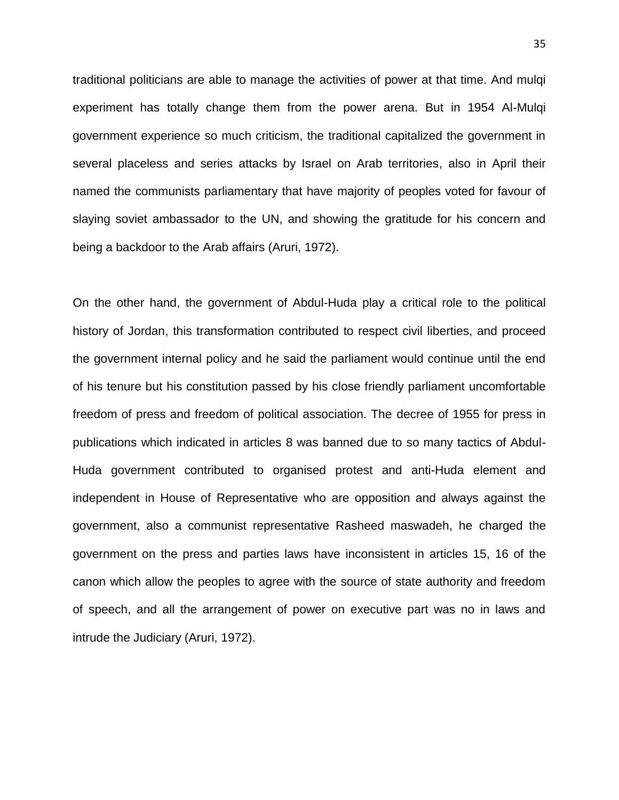traditional politicians are able to manage the activities of power at that time. And mulqi experiment has totally change them from the power arena. But in 1954 Al-Mulqi government experience so much criticism, the traditional capitalized the government in several placeless and series attacks by Israel on Arab territories, also in April their named the communists parliamentary that have majority of peoples voted for favour of slaying soviet ambassador to the UN, and showing the gratitude for his concern and being a backdoor to the Arab affairs (Aruri, 1972).

On the other hand, the government of Abdul-Huda play a critical role to the political history of Jordan, this transformation contributed to respect civil liberties, and proceed the government internal policy and he said the parliament would continue until the end of his tenure but his constitution passed by his close friendly parliament uncomfortable freedom of press and freedom of political association. The decree of 1955 for press in publications which indicated in articles 8 was banned due to so many tactics of Abdul-Huda government contributed to organised protest and anti-Huda element and independent in House of Representative who are opposition and always against the government, also a communist representative Rasheed maswadeh, he charged the government on the press and parties laws have inconsistent in articles 15, 16 of the canon which allow the peoples to agree with the source of state authority and freedom of speech, and all the arrangement of power on executive part was no in laws and intrude the Judiciary (Aruri, 1972).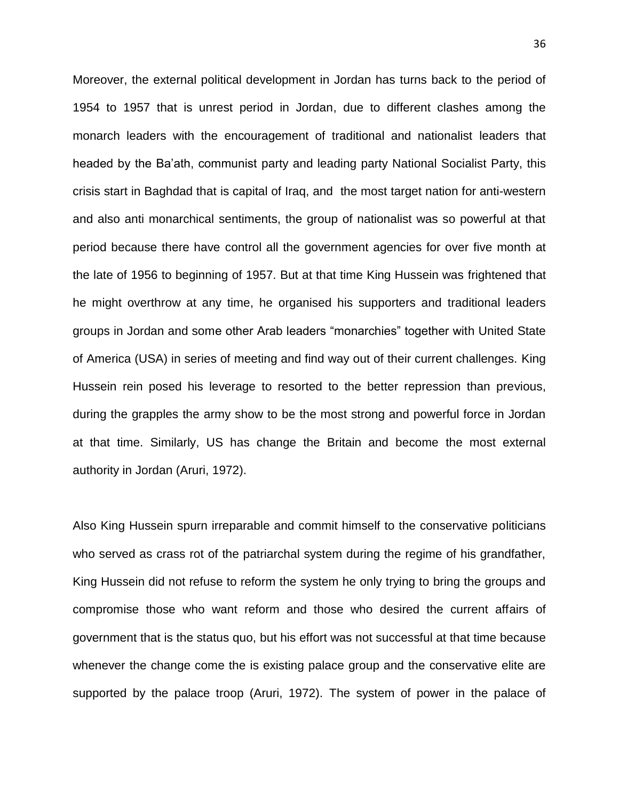Moreover, the external political development in Jordan has turns back to the period of 1954 to 1957 that is unrest period in Jordan, due to different clashes among the monarch leaders with the encouragement of traditional and nationalist leaders that headed by the Ba'ath, communist party and leading party National Socialist Party, this crisis start in Baghdad that is capital of Iraq, and the most target nation for anti-western and also anti monarchical sentiments, the group of nationalist was so powerful at that period because there have control all the government agencies for over five month at the late of 1956 to beginning of 1957. But at that time King Hussein was frightened that he might overthrow at any time, he organised his supporters and traditional leaders groups in Jordan and some other Arab leaders "monarchies" together with United State of America (USA) in series of meeting and find way out of their current challenges. King Hussein rein posed his leverage to resorted to the better repression than previous, during the grapples the army show to be the most strong and powerful force in Jordan at that time. Similarly, US has change the Britain and become the most external authority in Jordan (Aruri, 1972).

Also King Hussein spurn irreparable and commit himself to the conservative politicians who served as crass rot of the patriarchal system during the regime of his grandfather, King Hussein did not refuse to reform the system he only trying to bring the groups and compromise those who want reform and those who desired the current affairs of government that is the status quo, but his effort was not successful at that time because whenever the change come the is existing palace group and the conservative elite are supported by the palace troop (Aruri, 1972). The system of power in the palace of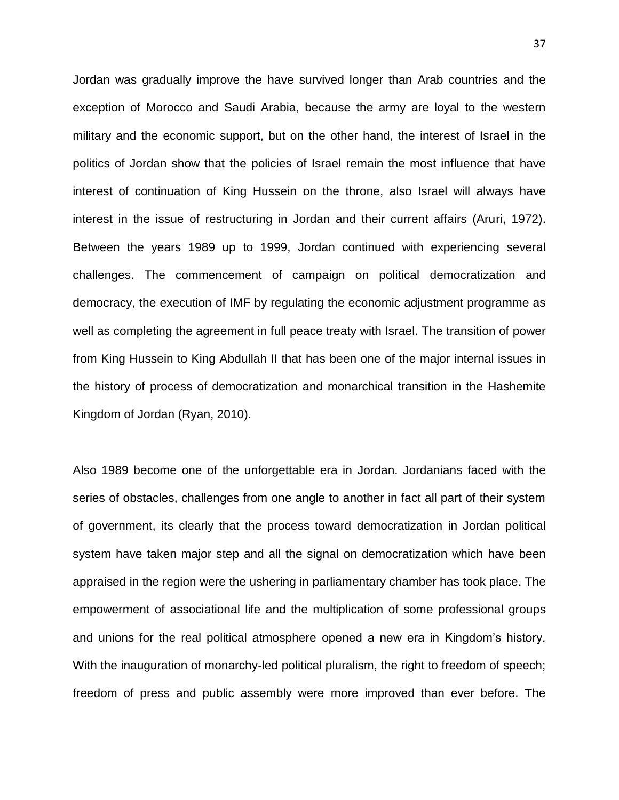Jordan was gradually improve the have survived longer than Arab countries and the exception of Morocco and Saudi Arabia, because the army are loyal to the western military and the economic support, but on the other hand, the interest of Israel in the politics of Jordan show that the policies of Israel remain the most influence that have interest of continuation of King Hussein on the throne, also Israel will always have interest in the issue of restructuring in Jordan and their current affairs (Aruri, 1972). Between the years 1989 up to 1999, Jordan continued with experiencing several challenges. The commencement of campaign on political democratization and democracy, the execution of IMF by regulating the economic adjustment programme as well as completing the agreement in full peace treaty with Israel. The transition of power from King Hussein to King Abdullah II that has been one of the major internal issues in the history of process of democratization and monarchical transition in the Hashemite Kingdom of Jordan (Ryan, 2010).

Also 1989 become one of the unforgettable era in Jordan. Jordanians faced with the series of obstacles, challenges from one angle to another in fact all part of their system of government, its clearly that the process toward democratization in Jordan political system have taken major step and all the signal on democratization which have been appraised in the region were the ushering in parliamentary chamber has took place. The empowerment of associational life and the multiplication of some professional groups and unions for the real political atmosphere opened a new era in Kingdom's history. With the inauguration of monarchy-led political pluralism, the right to freedom of speech; freedom of press and public assembly were more improved than ever before. The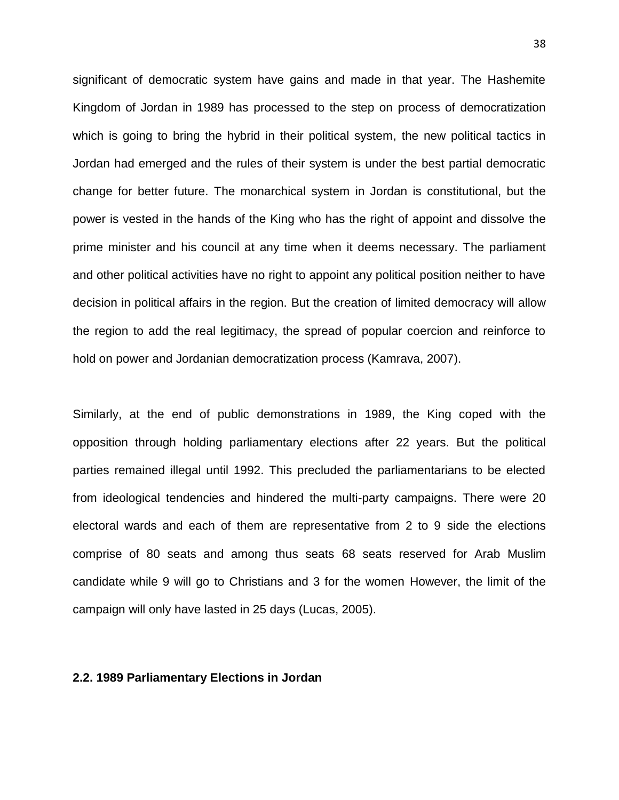significant of democratic system have gains and made in that year. The Hashemite Kingdom of Jordan in 1989 has processed to the step on process of democratization which is going to bring the hybrid in their political system, the new political tactics in Jordan had emerged and the rules of their system is under the best partial democratic change for better future. The monarchical system in Jordan is constitutional, but the power is vested in the hands of the King who has the right of appoint and dissolve the prime minister and his council at any time when it deems necessary. The parliament and other political activities have no right to appoint any political position neither to have decision in political affairs in the region. But the creation of limited democracy will allow the region to add the real legitimacy, the spread of popular coercion and reinforce to hold on power and Jordanian democratization process (Kamrava, 2007).

Similarly, at the end of public demonstrations in 1989, the King coped with the opposition through holding parliamentary elections after 22 years. But the political parties remained illegal until 1992. This precluded the parliamentarians to be elected from ideological tendencies and hindered the multi-party campaigns. There were 20 electoral wards and each of them are representative from 2 to 9 side the elections comprise of 80 seats and among thus seats 68 seats reserved for Arab Muslim candidate while 9 will go to Christians and 3 for the women However, the limit of the campaign will only have lasted in 25 days (Lucas, 2005).

## **2.2. 1989 Parliamentary Elections in Jordan**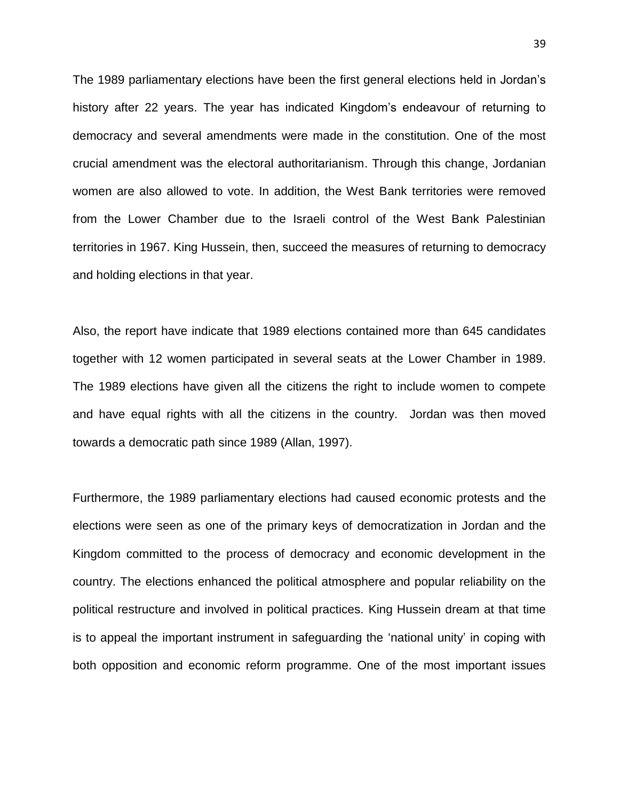The 1989 parliamentary elections have been the first general elections held in Jordan's history after 22 years. The year has indicated Kingdom's endeavour of returning to democracy and several amendments were made in the constitution. One of the most crucial amendment was the electoral authoritarianism. Through this change, Jordanian women are also allowed to vote. In addition, the West Bank territories were removed from the Lower Chamber due to the Israeli control of the West Bank Palestinian territories in 1967. King Hussein, then, succeed the measures of returning to democracy and holding elections in that year.

Also, the report have indicate that 1989 elections contained more than 645 candidates together with 12 women participated in several seats at the Lower Chamber in 1989. The 1989 elections have given all the citizens the right to include women to compete and have equal rights with all the citizens in the country. Jordan was then moved towards a democratic path since 1989 (Allan, 1997).

Furthermore, the 1989 parliamentary elections had caused economic protests and the elections were seen as one of the primary keys of democratization in Jordan and the Kingdom committed to the process of democracy and economic development in the country. The elections enhanced the political atmosphere and popular reliability on the political restructure and involved in political practices. King Hussein dream at that time is to appeal the important instrument in safeguarding the 'national unity' in coping with both opposition and economic reform programme. One of the most important issues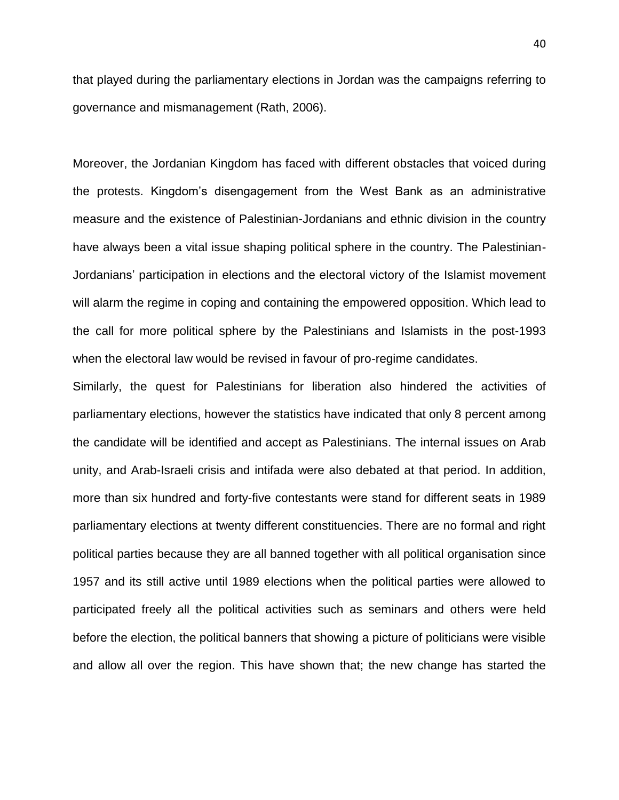that played during the parliamentary elections in Jordan was the campaigns referring to governance and mismanagement (Rath, 2006).

Moreover, the Jordanian Kingdom has faced with different obstacles that voiced during the protests. Kingdom's disengagement from the West Bank as an administrative measure and the existence of Palestinian-Jordanians and ethnic division in the country have always been a vital issue shaping political sphere in the country. The Palestinian-Jordanians' participation in elections and the electoral victory of the Islamist movement will alarm the regime in coping and containing the empowered opposition. Which lead to the call for more political sphere by the Palestinians and Islamists in the post-1993 when the electoral law would be revised in favour of pro-regime candidates.

Similarly, the quest for Palestinians for liberation also hindered the activities of parliamentary elections, however the statistics have indicated that only 8 percent among the candidate will be identified and accept as Palestinians. The internal issues on Arab unity, and Arab-Israeli crisis and intifada were also debated at that period. In addition, more than six hundred and forty-five contestants were stand for different seats in 1989 parliamentary elections at twenty different constituencies. There are no formal and right political parties because they are all banned together with all political organisation since 1957 and its still active until 1989 elections when the political parties were allowed to participated freely all the political activities such as seminars and others were held before the election, the political banners that showing a picture of politicians were visible and allow all over the region. This have shown that; the new change has started the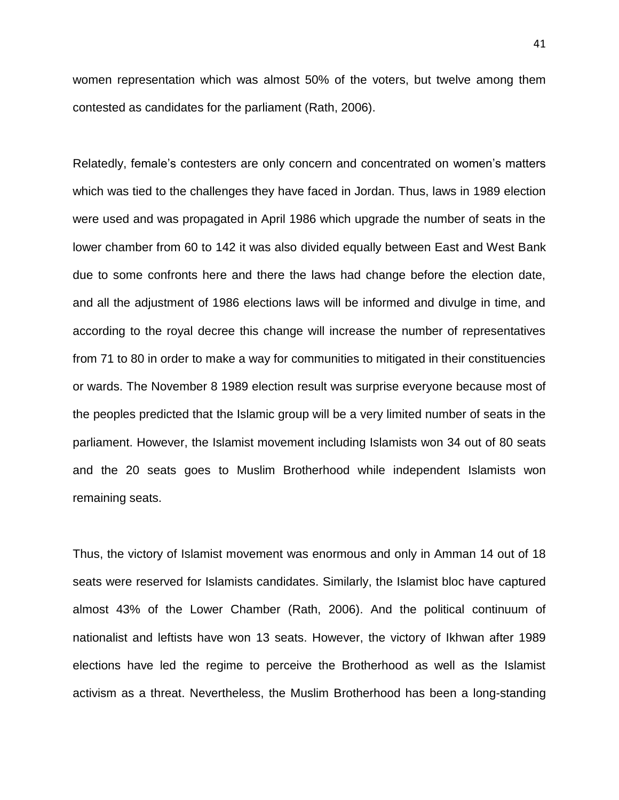women representation which was almost 50% of the voters, but twelve among them contested as candidates for the parliament (Rath, 2006).

Relatedly, female's contesters are only concern and concentrated on women's matters which was tied to the challenges they have faced in Jordan. Thus, laws in 1989 election were used and was propagated in April 1986 which upgrade the number of seats in the lower chamber from 60 to 142 it was also divided equally between East and West Bank due to some confronts here and there the laws had change before the election date, and all the adjustment of 1986 elections laws will be informed and divulge in time, and according to the royal decree this change will increase the number of representatives from 71 to 80 in order to make a way for communities to mitigated in their constituencies or wards. The November 8 1989 election result was surprise everyone because most of the peoples predicted that the Islamic group will be a very limited number of seats in the parliament. However, the Islamist movement including Islamists won 34 out of 80 seats and the 20 seats goes to Muslim Brotherhood while independent Islamists won remaining seats.

Thus, the victory of Islamist movement was enormous and only in Amman 14 out of 18 seats were reserved for Islamists candidates. Similarly, the Islamist bloc have captured almost 43% of the Lower Chamber (Rath, 2006). And the political continuum of nationalist and leftists have won 13 seats. However, the victory of Ikhwan after 1989 elections have led the regime to perceive the Brotherhood as well as the Islamist activism as a threat. Nevertheless, the Muslim Brotherhood has been a long-standing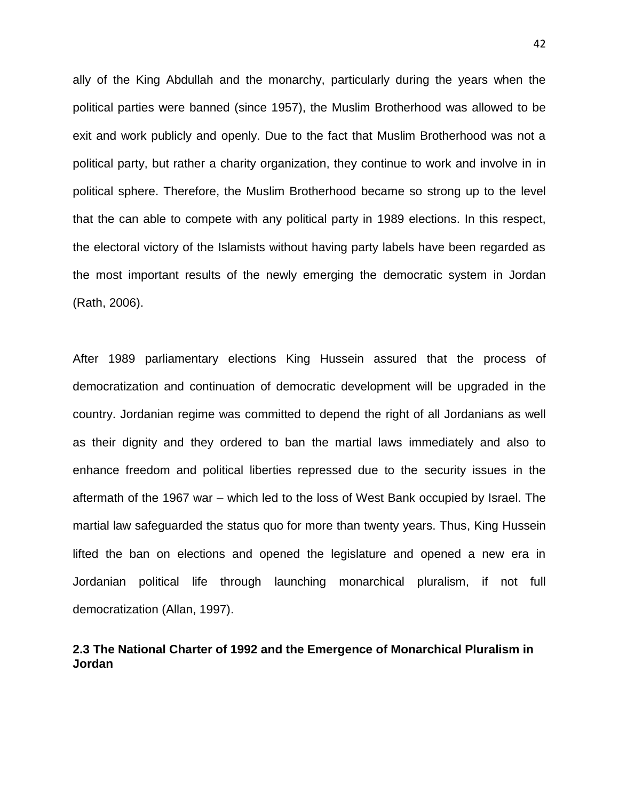ally of the King Abdullah and the monarchy, particularly during the years when the political parties were banned (since 1957), the Muslim Brotherhood was allowed to be exit and work publicly and openly. Due to the fact that Muslim Brotherhood was not a political party, but rather a charity organization, they continue to work and involve in in political sphere. Therefore, the Muslim Brotherhood became so strong up to the level that the can able to compete with any political party in 1989 elections. In this respect, the electoral victory of the Islamists without having party labels have been regarded as the most important results of the newly emerging the democratic system in Jordan (Rath, 2006).

After 1989 parliamentary elections King Hussein assured that the process of democratization and continuation of democratic development will be upgraded in the country. Jordanian regime was committed to depend the right of all Jordanians as well as their dignity and they ordered to ban the martial laws immediately and also to enhance freedom and political liberties repressed due to the security issues in the aftermath of the 1967 war – which led to the loss of West Bank occupied by Israel. The martial law safeguarded the status quo for more than twenty years. Thus, King Hussein lifted the ban on elections and opened the legislature and opened a new era in Jordanian political life through launching monarchical pluralism, if not full democratization (Allan, 1997).

# **2.3 The National Charter of 1992 and the Emergence of Monarchical Pluralism in Jordan**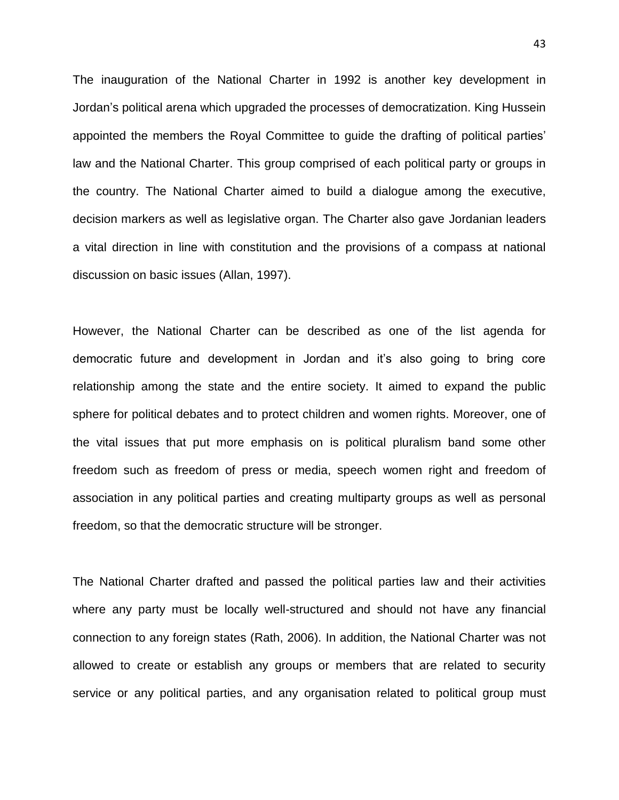The inauguration of the National Charter in 1992 is another key development in Jordan's political arena which upgraded the processes of democratization. King Hussein appointed the members the Royal Committee to guide the drafting of political parties' law and the National Charter. This group comprised of each political party or groups in the country. The National Charter aimed to build a dialogue among the executive, decision markers as well as legislative organ. The Charter also gave Jordanian leaders a vital direction in line with constitution and the provisions of a compass at national discussion on basic issues (Allan, 1997).

However, the National Charter can be described as one of the list agenda for democratic future and development in Jordan and it's also going to bring core relationship among the state and the entire society. It aimed to expand the public sphere for political debates and to protect children and women rights. Moreover, one of the vital issues that put more emphasis on is political pluralism band some other freedom such as freedom of press or media, speech women right and freedom of association in any political parties and creating multiparty groups as well as personal freedom, so that the democratic structure will be stronger.

The National Charter drafted and passed the political parties law and their activities where any party must be locally well-structured and should not have any financial connection to any foreign states (Rath, 2006). In addition, the National Charter was not allowed to create or establish any groups or members that are related to security service or any political parties, and any organisation related to political group must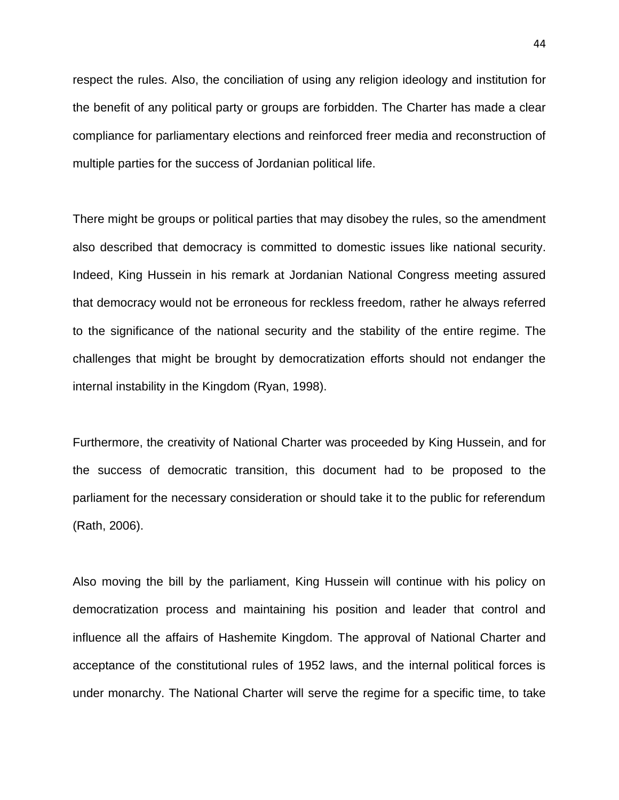respect the rules. Also, the conciliation of using any religion ideology and institution for the benefit of any political party or groups are forbidden. The Charter has made a clear compliance for parliamentary elections and reinforced freer media and reconstruction of multiple parties for the success of Jordanian political life.

There might be groups or political parties that may disobey the rules, so the amendment also described that democracy is committed to domestic issues like national security. Indeed, King Hussein in his remark at Jordanian National Congress meeting assured that democracy would not be erroneous for reckless freedom, rather he always referred to the significance of the national security and the stability of the entire regime. The challenges that might be brought by democratization efforts should not endanger the internal instability in the Kingdom (Ryan, 1998).

Furthermore, the creativity of National Charter was proceeded by King Hussein, and for the success of democratic transition, this document had to be proposed to the parliament for the necessary consideration or should take it to the public for referendum (Rath, 2006).

Also moving the bill by the parliament, King Hussein will continue with his policy on democratization process and maintaining his position and leader that control and influence all the affairs of Hashemite Kingdom. The approval of National Charter and acceptance of the constitutional rules of 1952 laws, and the internal political forces is under monarchy. The National Charter will serve the regime for a specific time, to take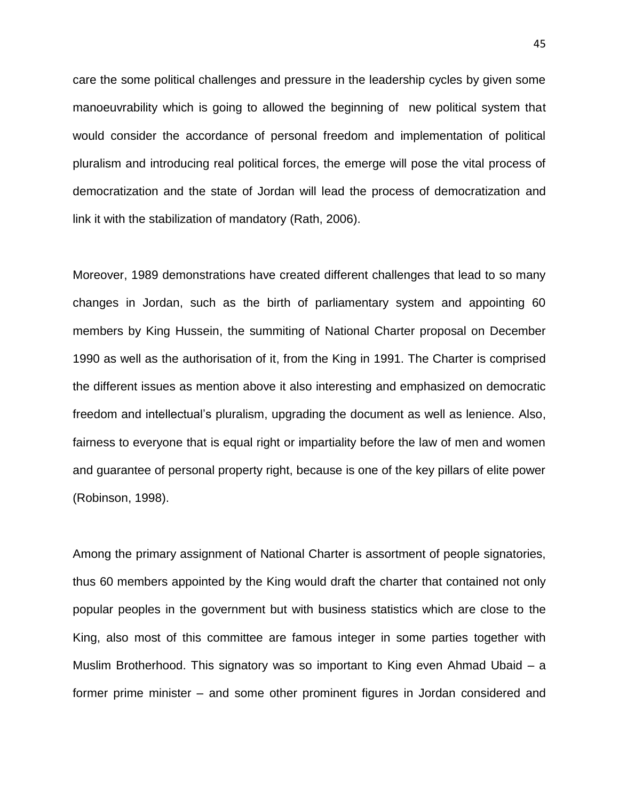care the some political challenges and pressure in the leadership cycles by given some manoeuvrability which is going to allowed the beginning of new political system that would consider the accordance of personal freedom and implementation of political pluralism and introducing real political forces, the emerge will pose the vital process of democratization and the state of Jordan will lead the process of democratization and link it with the stabilization of mandatory (Rath, 2006).

Moreover, 1989 demonstrations have created different challenges that lead to so many changes in Jordan, such as the birth of parliamentary system and appointing 60 members by King Hussein, the summiting of National Charter proposal on December 1990 as well as the authorisation of it, from the King in 1991. The Charter is comprised the different issues as mention above it also interesting and emphasized on democratic freedom and intellectual's pluralism, upgrading the document as well as lenience. Also, fairness to everyone that is equal right or impartiality before the law of men and women and guarantee of personal property right, because is one of the key pillars of elite power (Robinson, 1998).

Among the primary assignment of National Charter is assortment of people signatories, thus 60 members appointed by the King would draft the charter that contained not only popular peoples in the government but with business statistics which are close to the King, also most of this committee are famous integer in some parties together with Muslim Brotherhood. This signatory was so important to King even Ahmad Ubaid – a former prime minister – and some other prominent figures in Jordan considered and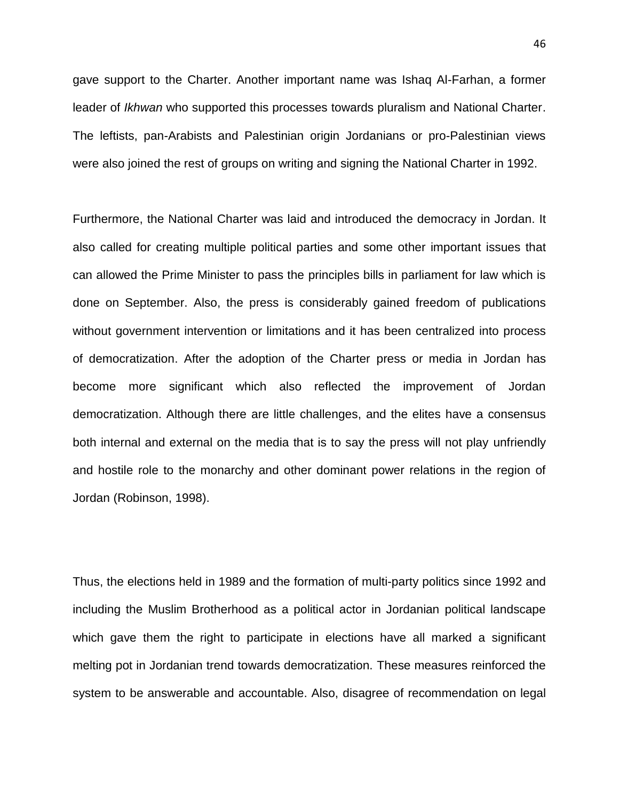gave support to the Charter. Another important name was Ishaq Al-Farhan, a former leader of *Ikhwan* who supported this processes towards pluralism and National Charter. The leftists, pan-Arabists and Palestinian origin Jordanians or pro-Palestinian views were also joined the rest of groups on writing and signing the National Charter in 1992.

Furthermore, the National Charter was laid and introduced the democracy in Jordan. It also called for creating multiple political parties and some other important issues that can allowed the Prime Minister to pass the principles bills in parliament for law which is done on September. Also, the press is considerably gained freedom of publications without government intervention or limitations and it has been centralized into process of democratization. After the adoption of the Charter press or media in Jordan has become more significant which also reflected the improvement of Jordan democratization. Although there are little challenges, and the elites have a consensus both internal and external on the media that is to say the press will not play unfriendly and hostile role to the monarchy and other dominant power relations in the region of Jordan (Robinson, 1998).

Thus, the elections held in 1989 and the formation of multi-party politics since 1992 and including the Muslim Brotherhood as a political actor in Jordanian political landscape which gave them the right to participate in elections have all marked a significant melting pot in Jordanian trend towards democratization. These measures reinforced the system to be answerable and accountable. Also, disagree of recommendation on legal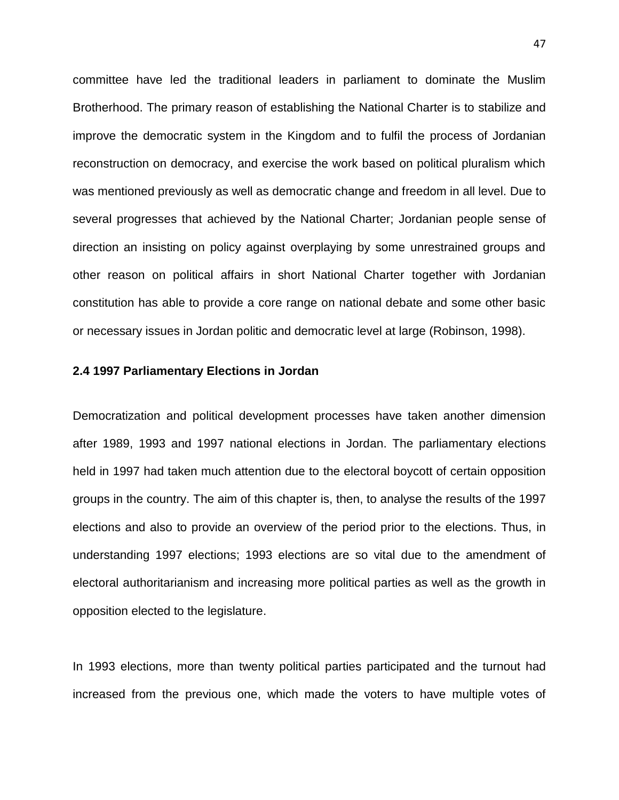committee have led the traditional leaders in parliament to dominate the Muslim Brotherhood. The primary reason of establishing the National Charter is to stabilize and improve the democratic system in the Kingdom and to fulfil the process of Jordanian reconstruction on democracy, and exercise the work based on political pluralism which was mentioned previously as well as democratic change and freedom in all level. Due to several progresses that achieved by the National Charter; Jordanian people sense of direction an insisting on policy against overplaying by some unrestrained groups and other reason on political affairs in short National Charter together with Jordanian constitution has able to provide a core range on national debate and some other basic or necessary issues in Jordan politic and democratic level at large (Robinson, 1998).

### **2.4 1997 Parliamentary Elections in Jordan**

Democratization and political development processes have taken another dimension after 1989, 1993 and 1997 national elections in Jordan. The parliamentary elections held in 1997 had taken much attention due to the electoral boycott of certain opposition groups in the country. The aim of this chapter is, then, to analyse the results of the 1997 elections and also to provide an overview of the period prior to the elections. Thus, in understanding 1997 elections; 1993 elections are so vital due to the amendment of electoral authoritarianism and increasing more political parties as well as the growth in opposition elected to the legislature.

In 1993 elections, more than twenty political parties participated and the turnout had increased from the previous one, which made the voters to have multiple votes of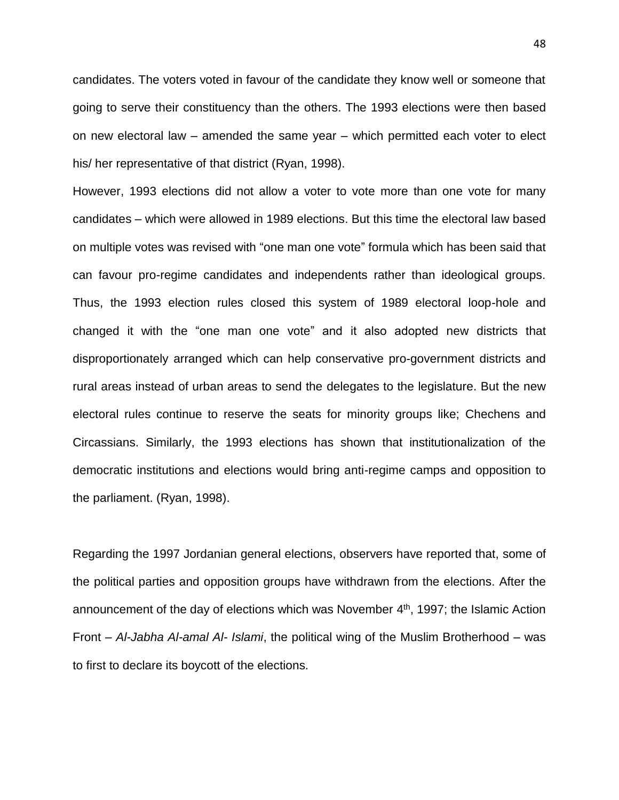candidates. The voters voted in favour of the candidate they know well or someone that going to serve their constituency than the others. The 1993 elections were then based on new electoral law – amended the same year – which permitted each voter to elect his/ her representative of that district (Ryan, 1998).

However, 1993 elections did not allow a voter to vote more than one vote for many candidates – which were allowed in 1989 elections. But this time the electoral law based on multiple votes was revised with "one man one vote" formula which has been said that can favour pro-regime candidates and independents rather than ideological groups. Thus, the 1993 election rules closed this system of 1989 electoral loop-hole and changed it with the "one man one vote" and it also adopted new districts that disproportionately arranged which can help conservative pro-government districts and rural areas instead of urban areas to send the delegates to the legislature. But the new electoral rules continue to reserve the seats for minority groups like; Chechens and Circassians. Similarly, the 1993 elections has shown that institutionalization of the democratic institutions and elections would bring anti-regime camps and opposition to the parliament. (Ryan, 1998).

Regarding the 1997 Jordanian general elections, observers have reported that, some of the political parties and opposition groups have withdrawn from the elections. After the announcement of the day of elections which was November 4<sup>th</sup>, 1997; the Islamic Action Front – *Al-Jabha Al-amal Al- Islami*, the political wing of the Muslim Brotherhood – was to first to declare its boycott of the elections.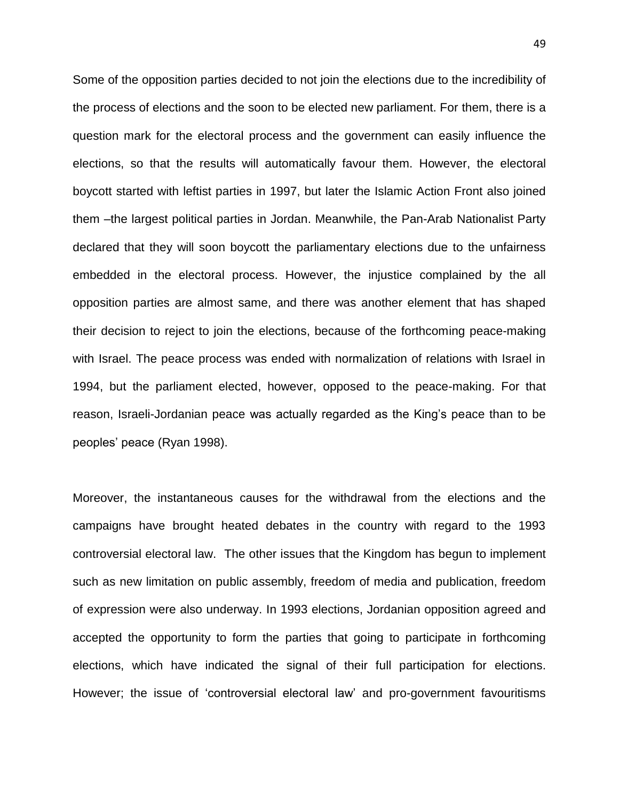Some of the opposition parties decided to not join the elections due to the incredibility of the process of elections and the soon to be elected new parliament. For them, there is a question mark for the electoral process and the government can easily influence the elections, so that the results will automatically favour them. However, the electoral boycott started with leftist parties in 1997, but later the Islamic Action Front also joined them –the largest political parties in Jordan. Meanwhile, the Pan-Arab Nationalist Party declared that they will soon boycott the parliamentary elections due to the unfairness embedded in the electoral process. However, the injustice complained by the all opposition parties are almost same, and there was another element that has shaped their decision to reject to join the elections, because of the forthcoming peace-making with Israel. The peace process was ended with normalization of relations with Israel in 1994, but the parliament elected, however, opposed to the peace-making. For that reason, Israeli-Jordanian peace was actually regarded as the King's peace than to be peoples' peace (Ryan 1998).

Moreover, the instantaneous causes for the withdrawal from the elections and the campaigns have brought heated debates in the country with regard to the 1993 controversial electoral law. The other issues that the Kingdom has begun to implement such as new limitation on public assembly, freedom of media and publication, freedom of expression were also underway. In 1993 elections, Jordanian opposition agreed and accepted the opportunity to form the parties that going to participate in forthcoming elections, which have indicated the signal of their full participation for elections. However; the issue of 'controversial electoral law' and pro-government favouritisms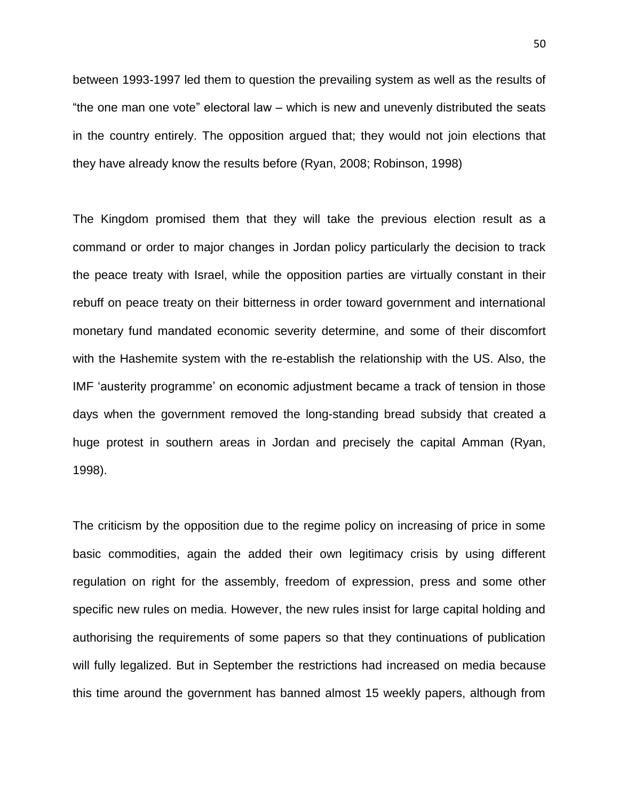between 1993-1997 led them to question the prevailing system as well as the results of "the one man one vote" electoral law – which is new and unevenly distributed the seats in the country entirely. The opposition argued that; they would not join elections that they have already know the results before (Ryan, 2008; Robinson, 1998)

The Kingdom promised them that they will take the previous election result as a command or order to major changes in Jordan policy particularly the decision to track the peace treaty with Israel, while the opposition parties are virtually constant in their rebuff on peace treaty on their bitterness in order toward government and international monetary fund mandated economic severity determine, and some of their discomfort with the Hashemite system with the re-establish the relationship with the US. Also, the IMF 'austerity programme' on economic adjustment became a track of tension in those days when the government removed the long-standing bread subsidy that created a huge protest in southern areas in Jordan and precisely the capital Amman (Ryan, 1998).

The criticism by the opposition due to the regime policy on increasing of price in some basic commodities, again the added their own legitimacy crisis by using different regulation on right for the assembly, freedom of expression, press and some other specific new rules on media. However, the new rules insist for large capital holding and authorising the requirements of some papers so that they continuations of publication will fully legalized. But in September the restrictions had increased on media because this time around the government has banned almost 15 weekly papers, although from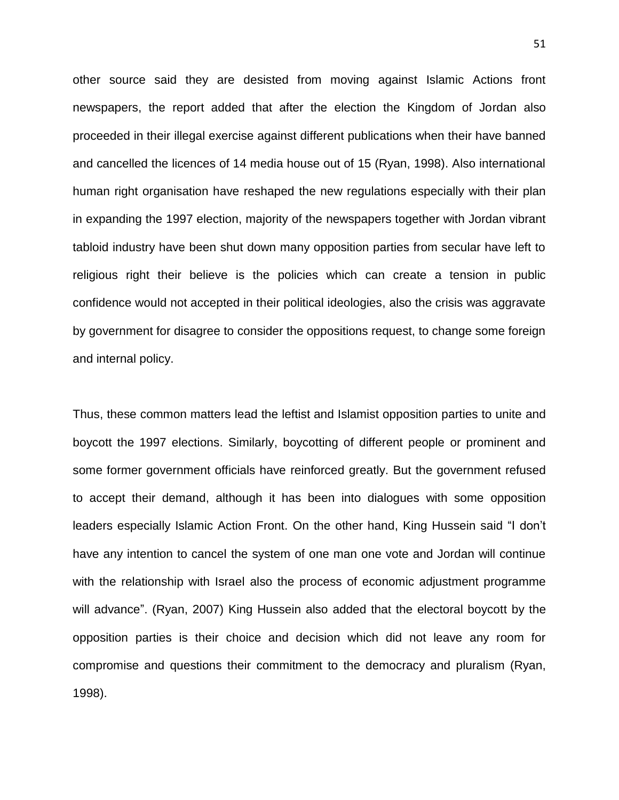other source said they are desisted from moving against Islamic Actions front newspapers, the report added that after the election the Kingdom of Jordan also proceeded in their illegal exercise against different publications when their have banned and cancelled the licences of 14 media house out of 15 (Ryan, 1998). Also international human right organisation have reshaped the new regulations especially with their plan in expanding the 1997 election, majority of the newspapers together with Jordan vibrant tabloid industry have been shut down many opposition parties from secular have left to religious right their believe is the policies which can create a tension in public confidence would not accepted in their political ideologies, also the crisis was aggravate by government for disagree to consider the oppositions request, to change some foreign and internal policy.

Thus, these common matters lead the leftist and Islamist opposition parties to unite and boycott the 1997 elections. Similarly, boycotting of different people or prominent and some former government officials have reinforced greatly. But the government refused to accept their demand, although it has been into dialogues with some opposition leaders especially Islamic Action Front. On the other hand, King Hussein said "I don't have any intention to cancel the system of one man one vote and Jordan will continue with the relationship with Israel also the process of economic adjustment programme will advance". (Ryan, 2007) King Hussein also added that the electoral boycott by the opposition parties is their choice and decision which did not leave any room for compromise and questions their commitment to the democracy and pluralism (Ryan, 1998).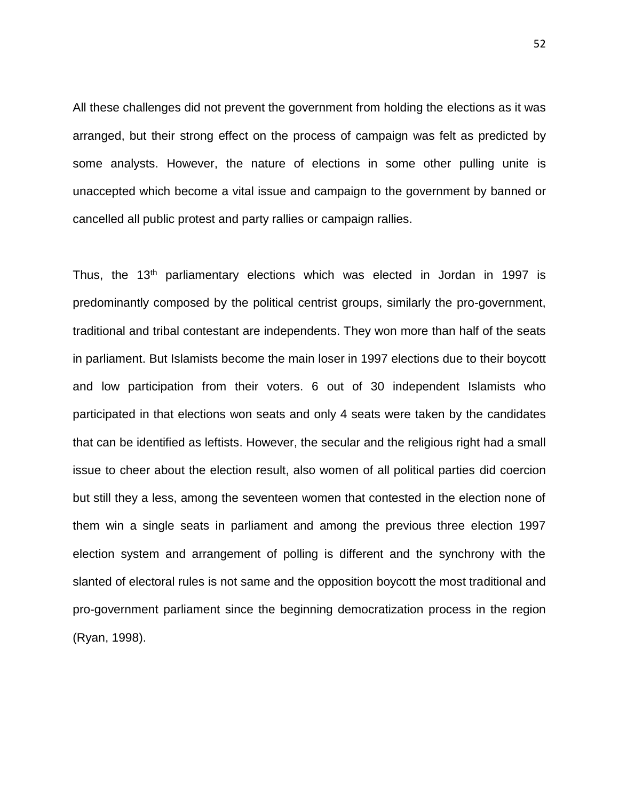All these challenges did not prevent the government from holding the elections as it was arranged, but their strong effect on the process of campaign was felt as predicted by some analysts. However, the nature of elections in some other pulling unite is unaccepted which become a vital issue and campaign to the government by banned or cancelled all public protest and party rallies or campaign rallies.

Thus, the 13th parliamentary elections which was elected in Jordan in 1997 is predominantly composed by the political centrist groups, similarly the pro-government, traditional and tribal contestant are independents. They won more than half of the seats in parliament. But Islamists become the main loser in 1997 elections due to their boycott and low participation from their voters. 6 out of 30 independent Islamists who participated in that elections won seats and only 4 seats were taken by the candidates that can be identified as leftists. However, the secular and the religious right had a small issue to cheer about the election result, also women of all political parties did coercion but still they a less, among the seventeen women that contested in the election none of them win a single seats in parliament and among the previous three election 1997 election system and arrangement of polling is different and the synchrony with the slanted of electoral rules is not same and the opposition boycott the most traditional and pro-government parliament since the beginning democratization process in the region (Ryan, 1998).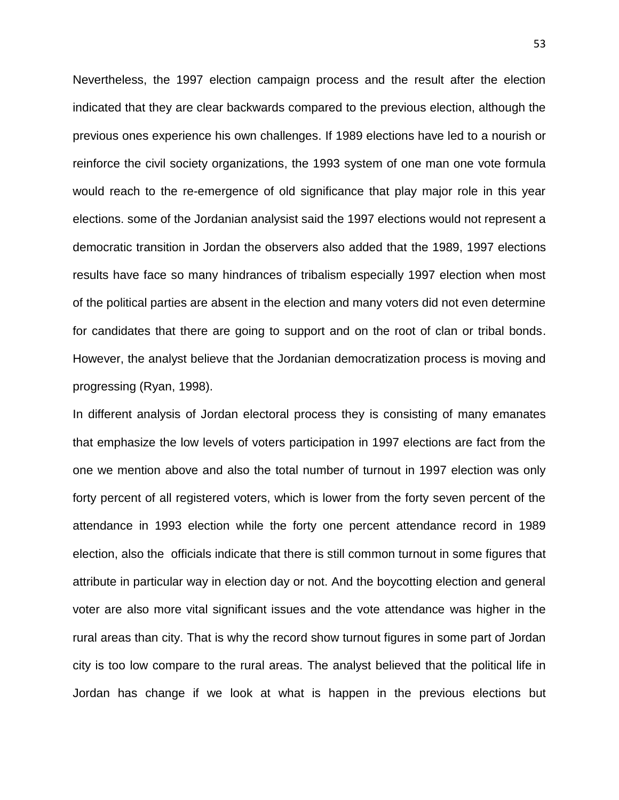Nevertheless, the 1997 election campaign process and the result after the election indicated that they are clear backwards compared to the previous election, although the previous ones experience his own challenges. If 1989 elections have led to a nourish or reinforce the civil society organizations, the 1993 system of one man one vote formula would reach to the re-emergence of old significance that play major role in this year elections. some of the Jordanian analysist said the 1997 elections would not represent a democratic transition in Jordan the observers also added that the 1989, 1997 elections results have face so many hindrances of tribalism especially 1997 election when most of the political parties are absent in the election and many voters did not even determine for candidates that there are going to support and on the root of clan or tribal bonds. However, the analyst believe that the Jordanian democratization process is moving and progressing (Ryan, 1998).

In different analysis of Jordan electoral process they is consisting of many emanates that emphasize the low levels of voters participation in 1997 elections are fact from the one we mention above and also the total number of turnout in 1997 election was only forty percent of all registered voters, which is lower from the forty seven percent of the attendance in 1993 election while the forty one percent attendance record in 1989 election, also the officials indicate that there is still common turnout in some figures that attribute in particular way in election day or not. And the boycotting election and general voter are also more vital significant issues and the vote attendance was higher in the rural areas than city. That is why the record show turnout figures in some part of Jordan city is too low compare to the rural areas. The analyst believed that the political life in Jordan has change if we look at what is happen in the previous elections but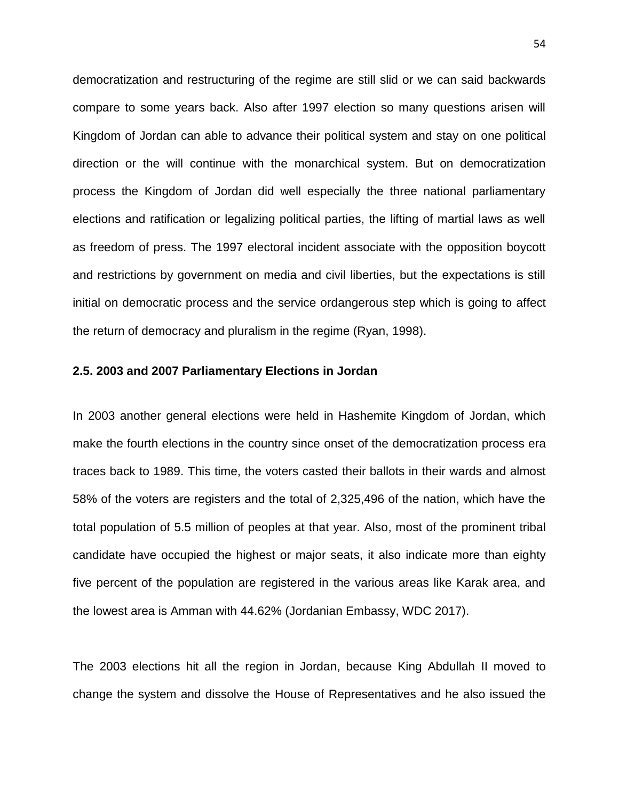democratization and restructuring of the regime are still slid or we can said backwards compare to some years back. Also after 1997 election so many questions arisen will Kingdom of Jordan can able to advance their political system and stay on one political direction or the will continue with the monarchical system. But on democratization process the Kingdom of Jordan did well especially the three national parliamentary elections and ratification or legalizing political parties, the lifting of martial laws as well as freedom of press. The 1997 electoral incident associate with the opposition boycott and restrictions by government on media and civil liberties, but the expectations is still initial on democratic process and the service ordangerous step which is going to affect the return of democracy and pluralism in the regime (Ryan, 1998).

## **2.5. 2003 and 2007 Parliamentary Elections in Jordan**

In 2003 another general elections were held in Hashemite Kingdom of Jordan, which make the fourth elections in the country since onset of the democratization process era traces back to 1989. This time, the voters casted their ballots in their wards and almost 58% of the voters are registers and the total of 2,325,496 of the nation, which have the total population of 5.5 million of peoples at that year. Also, most of the prominent tribal candidate have occupied the highest or major seats, it also indicate more than eighty five percent of the population are registered in the various areas like Karak area, and the lowest area is Amman with 44.62% (Jordanian Embassy, WDC 2017).

The 2003 elections hit all the region in Jordan, because King Abdullah II moved to change the system and dissolve the House of Representatives and he also issued the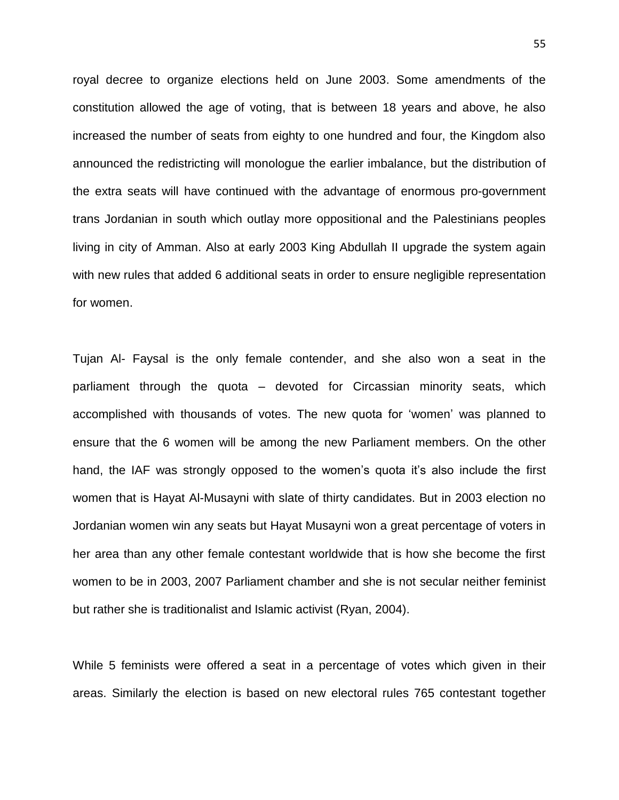royal decree to organize elections held on June 2003. Some amendments of the constitution allowed the age of voting, that is between 18 years and above, he also increased the number of seats from eighty to one hundred and four, the Kingdom also announced the redistricting will monologue the earlier imbalance, but the distribution of the extra seats will have continued with the advantage of enormous pro-government trans Jordanian in south which outlay more oppositional and the Palestinians peoples living in city of Amman. Also at early 2003 King Abdullah II upgrade the system again with new rules that added 6 additional seats in order to ensure negligible representation for women.

Tujan Al- Faysal is the only female contender, and she also won a seat in the parliament through the quota – devoted for Circassian minority seats, which accomplished with thousands of votes. The new quota for 'women' was planned to ensure that the 6 women will be among the new Parliament members. On the other hand, the IAF was strongly opposed to the women's quota it's also include the first women that is Hayat Al-Musayni with slate of thirty candidates. But in 2003 election no Jordanian women win any seats but Hayat Musayni won a great percentage of voters in her area than any other female contestant worldwide that is how she become the first women to be in 2003, 2007 Parliament chamber and she is not secular neither feminist but rather she is traditionalist and Islamic activist (Ryan, 2004).

While 5 feminists were offered a seat in a percentage of votes which given in their areas. Similarly the election is based on new electoral rules 765 contestant together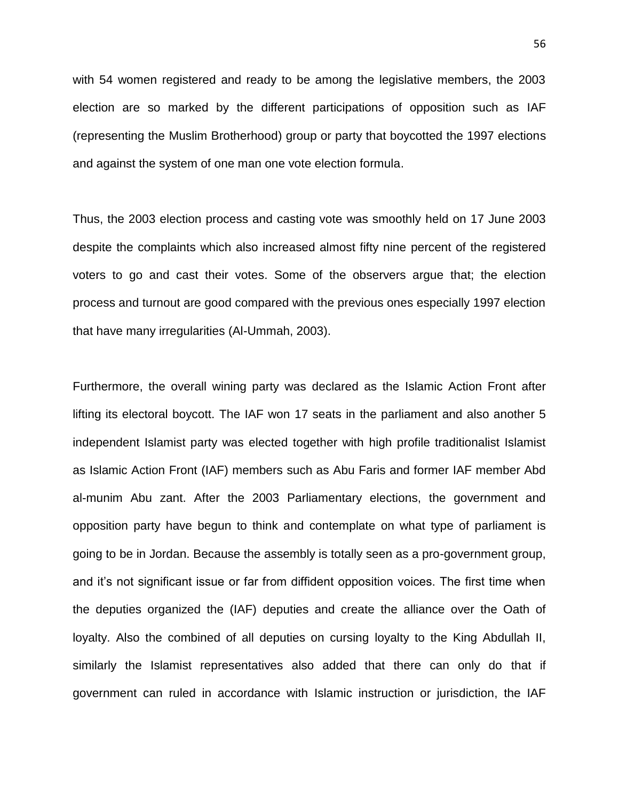with 54 women registered and ready to be among the legislative members, the 2003 election are so marked by the different participations of opposition such as IAF (representing the Muslim Brotherhood) group or party that boycotted the 1997 elections and against the system of one man one vote election formula.

Thus, the 2003 election process and casting vote was smoothly held on 17 June 2003 despite the complaints which also increased almost fifty nine percent of the registered voters to go and cast their votes. Some of the observers argue that; the election process and turnout are good compared with the previous ones especially 1997 election that have many irregularities (Al-Ummah, 2003).

Furthermore, the overall wining party was declared as the Islamic Action Front after lifting its electoral boycott. The IAF won 17 seats in the parliament and also another 5 independent Islamist party was elected together with high profile traditionalist Islamist as Islamic Action Front (IAF) members such as Abu Faris and former IAF member Abd al-munim Abu zant. After the 2003 Parliamentary elections, the government and opposition party have begun to think and contemplate on what type of parliament is going to be in Jordan. Because the assembly is totally seen as a pro-government group, and it's not significant issue or far from diffident opposition voices. The first time when the deputies organized the (IAF) deputies and create the alliance over the Oath of loyalty. Also the combined of all deputies on cursing loyalty to the King Abdullah II, similarly the Islamist representatives also added that there can only do that if government can ruled in accordance with Islamic instruction or jurisdiction, the IAF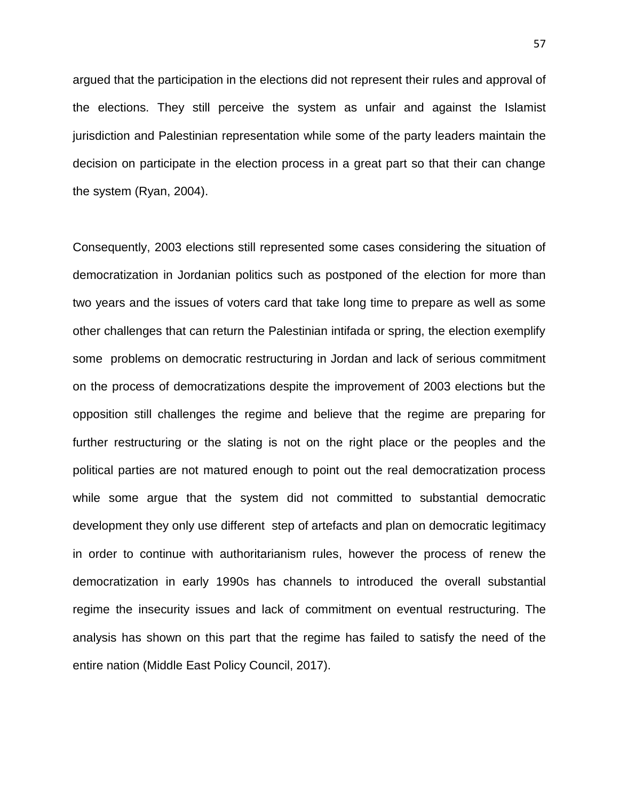argued that the participation in the elections did not represent their rules and approval of the elections. They still perceive the system as unfair and against the Islamist jurisdiction and Palestinian representation while some of the party leaders maintain the decision on participate in the election process in a great part so that their can change the system (Ryan, 2004).

Consequently, 2003 elections still represented some cases considering the situation of democratization in Jordanian politics such as postponed of the election for more than two years and the issues of voters card that take long time to prepare as well as some other challenges that can return the Palestinian intifada or spring, the election exemplify some problems on democratic restructuring in Jordan and lack of serious commitment on the process of democratizations despite the improvement of 2003 elections but the opposition still challenges the regime and believe that the regime are preparing for further restructuring or the slating is not on the right place or the peoples and the political parties are not matured enough to point out the real democratization process while some argue that the system did not committed to substantial democratic development they only use different step of artefacts and plan on democratic legitimacy in order to continue with authoritarianism rules, however the process of renew the democratization in early 1990s has channels to introduced the overall substantial regime the insecurity issues and lack of commitment on eventual restructuring. The analysis has shown on this part that the regime has failed to satisfy the need of the entire nation (Middle East Policy Council, 2017).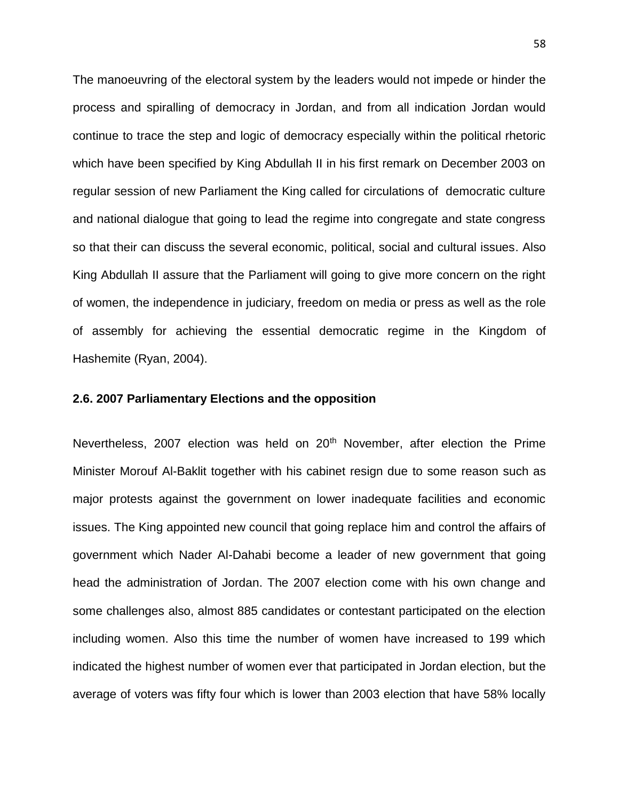The manoeuvring of the electoral system by the leaders would not impede or hinder the process and spiralling of democracy in Jordan, and from all indication Jordan would continue to trace the step and logic of democracy especially within the political rhetoric which have been specified by King Abdullah II in his first remark on December 2003 on regular session of new Parliament the King called for circulations of democratic culture and national dialogue that going to lead the regime into congregate and state congress so that their can discuss the several economic, political, social and cultural issues. Also King Abdullah II assure that the Parliament will going to give more concern on the right of women, the independence in judiciary, freedom on media or press as well as the role of assembly for achieving the essential democratic regime in the Kingdom of Hashemite (Ryan, 2004).

### **2.6. 2007 Parliamentary Elections and the opposition**

Nevertheless, 2007 election was held on 20<sup>th</sup> November, after election the Prime Minister Morouf Al-Baklit together with his cabinet resign due to some reason such as major protests against the government on lower inadequate facilities and economic issues. The King appointed new council that going replace him and control the affairs of government which Nader Al-Dahabi become a leader of new government that going head the administration of Jordan. The 2007 election come with his own change and some challenges also, almost 885 candidates or contestant participated on the election including women. Also this time the number of women have increased to 199 which indicated the highest number of women ever that participated in Jordan election, but the average of voters was fifty four which is lower than 2003 election that have 58% locally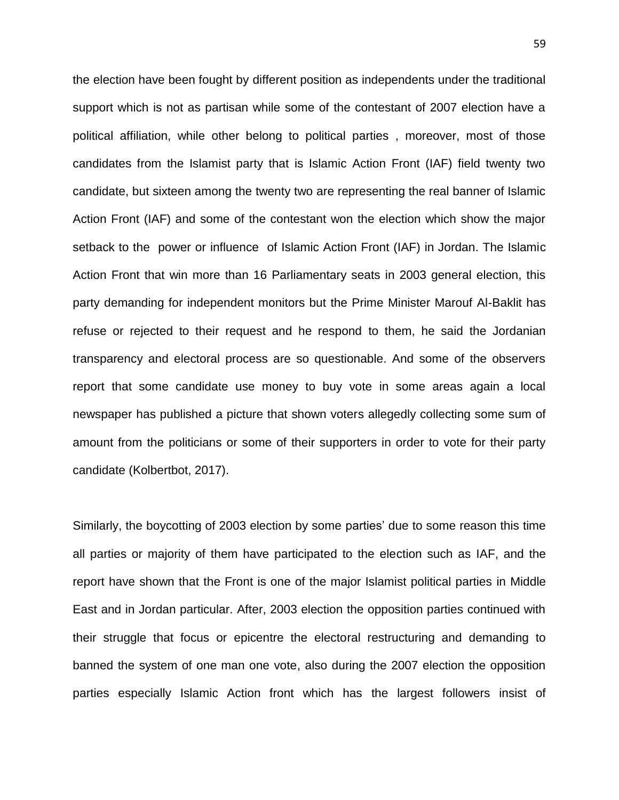the election have been fought by different position as independents under the traditional support which is not as partisan while some of the contestant of 2007 election have a political affiliation, while other belong to political parties , moreover, most of those candidates from the Islamist party that is Islamic Action Front (IAF) field twenty two candidate, but sixteen among the twenty two are representing the real banner of Islamic Action Front (IAF) and some of the contestant won the election which show the major setback to the power or influence of Islamic Action Front (IAF) in Jordan. The Islamic Action Front that win more than 16 Parliamentary seats in 2003 general election, this party demanding for independent monitors but the Prime Minister Marouf Al-Baklit has refuse or rejected to their request and he respond to them, he said the Jordanian transparency and electoral process are so questionable. And some of the observers report that some candidate use money to buy vote in some areas again a local newspaper has published a picture that shown voters allegedly collecting some sum of amount from the politicians or some of their supporters in order to vote for their party candidate (Kolbertbot, 2017).

Similarly, the boycotting of 2003 election by some parties' due to some reason this time all parties or majority of them have participated to the election such as IAF, and the report have shown that the Front is one of the major Islamist political parties in Middle East and in Jordan particular. After, 2003 election the opposition parties continued with their struggle that focus or epicentre the electoral restructuring and demanding to banned the system of one man one vote, also during the 2007 election the opposition parties especially Islamic Action front which has the largest followers insist of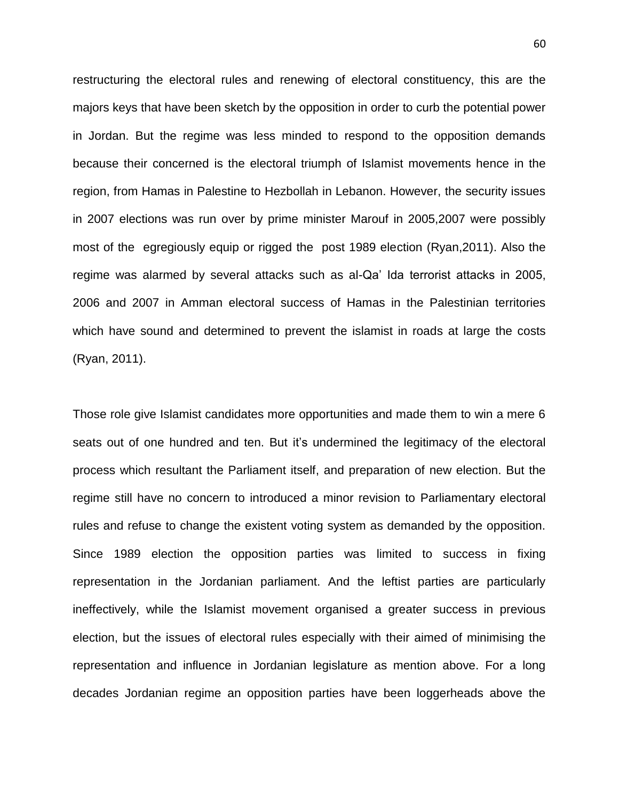restructuring the electoral rules and renewing of electoral constituency, this are the majors keys that have been sketch by the opposition in order to curb the potential power in Jordan. But the regime was less minded to respond to the opposition demands because their concerned is the electoral triumph of Islamist movements hence in the region, from Hamas in Palestine to Hezbollah in Lebanon. However, the security issues in 2007 elections was run over by prime minister Marouf in 2005,2007 were possibly most of the egregiously equip or rigged the post 1989 election (Ryan,2011). Also the regime was alarmed by several attacks such as al-Qa' Ida terrorist attacks in 2005, 2006 and 2007 in Amman electoral success of Hamas in the Palestinian territories which have sound and determined to prevent the islamist in roads at large the costs (Ryan, 2011).

Those role give Islamist candidates more opportunities and made them to win a mere 6 seats out of one hundred and ten. But it's undermined the legitimacy of the electoral process which resultant the Parliament itself, and preparation of new election. But the regime still have no concern to introduced a minor revision to Parliamentary electoral rules and refuse to change the existent voting system as demanded by the opposition. Since 1989 election the opposition parties was limited to success in fixing representation in the Jordanian parliament. And the leftist parties are particularly ineffectively, while the Islamist movement organised a greater success in previous election, but the issues of electoral rules especially with their aimed of minimising the representation and influence in Jordanian legislature as mention above. For a long decades Jordanian regime an opposition parties have been loggerheads above the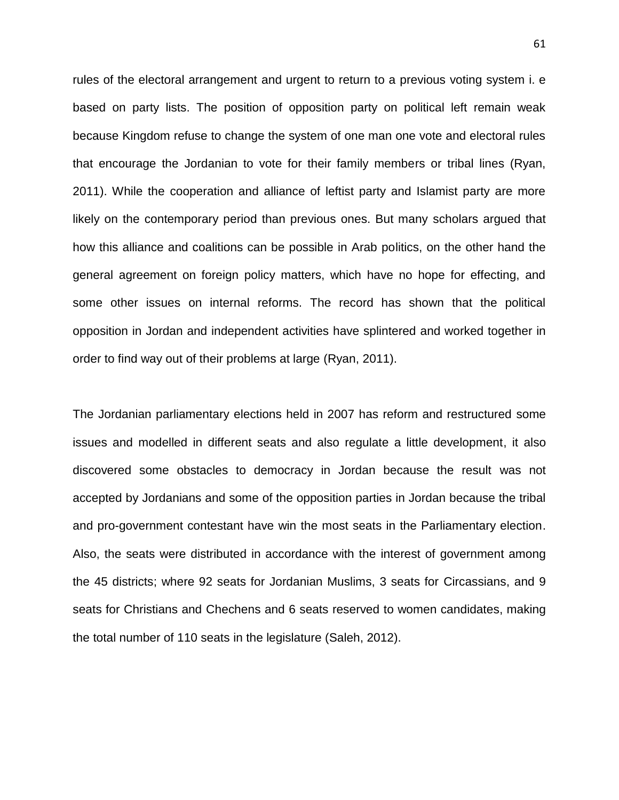rules of the electoral arrangement and urgent to return to a previous voting system i. e based on party lists. The position of opposition party on political left remain weak because Kingdom refuse to change the system of one man one vote and electoral rules that encourage the Jordanian to vote for their family members or tribal lines (Ryan, 2011). While the cooperation and alliance of leftist party and Islamist party are more likely on the contemporary period than previous ones. But many scholars argued that how this alliance and coalitions can be possible in Arab politics, on the other hand the general agreement on foreign policy matters, which have no hope for effecting, and some other issues on internal reforms. The record has shown that the political opposition in Jordan and independent activities have splintered and worked together in order to find way out of their problems at large (Ryan, 2011).

The Jordanian parliamentary elections held in 2007 has reform and restructured some issues and modelled in different seats and also regulate a little development, it also discovered some obstacles to democracy in Jordan because the result was not accepted by Jordanians and some of the opposition parties in Jordan because the tribal and pro-government contestant have win the most seats in the Parliamentary election. Also, the seats were distributed in accordance with the interest of government among the 45 districts; where 92 seats for Jordanian Muslims, 3 seats for Circassians, and 9 seats for Christians and Chechens and 6 seats reserved to women candidates, making the total number of 110 seats in the legislature (Saleh, 2012).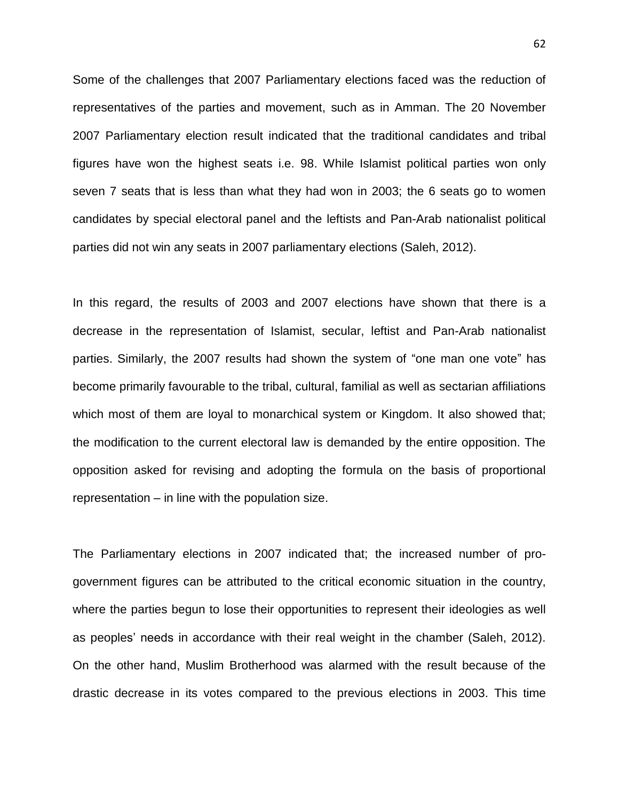Some of the challenges that 2007 Parliamentary elections faced was the reduction of representatives of the parties and movement, such as in Amman. The 20 November 2007 Parliamentary election result indicated that the traditional candidates and tribal figures have won the highest seats i.e. 98. While Islamist political parties won only seven 7 seats that is less than what they had won in 2003; the 6 seats go to women candidates by special electoral panel and the leftists and Pan-Arab nationalist political parties did not win any seats in 2007 parliamentary elections (Saleh, 2012).

In this regard, the results of 2003 and 2007 elections have shown that there is a decrease in the representation of Islamist, secular, leftist and Pan-Arab nationalist parties. Similarly, the 2007 results had shown the system of "one man one vote" has become primarily favourable to the tribal, cultural, familial as well as sectarian affiliations which most of them are loyal to monarchical system or Kingdom. It also showed that; the modification to the current electoral law is demanded by the entire opposition. The opposition asked for revising and adopting the formula on the basis of proportional representation – in line with the population size.

The Parliamentary elections in 2007 indicated that; the increased number of progovernment figures can be attributed to the critical economic situation in the country, where the parties begun to lose their opportunities to represent their ideologies as well as peoples' needs in accordance with their real weight in the chamber (Saleh, 2012). On the other hand, Muslim Brotherhood was alarmed with the result because of the drastic decrease in its votes compared to the previous elections in 2003. This time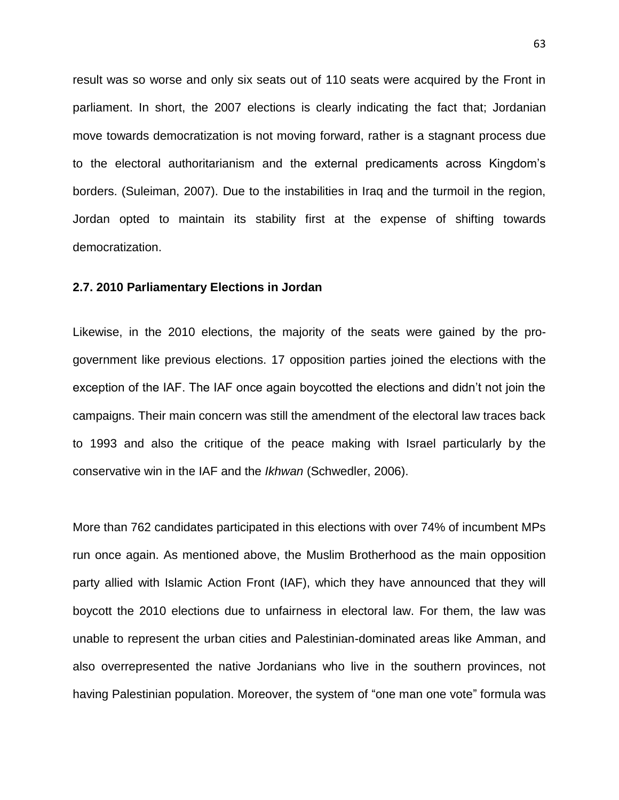result was so worse and only six seats out of 110 seats were acquired by the Front in parliament. In short, the 2007 elections is clearly indicating the fact that; Jordanian move towards democratization is not moving forward, rather is a stagnant process due to the electoral authoritarianism and the external predicaments across Kingdom's borders. (Suleiman, 2007). Due to the instabilities in Iraq and the turmoil in the region, Jordan opted to maintain its stability first at the expense of shifting towards democratization.

### **2.7. 2010 Parliamentary Elections in Jordan**

Likewise, in the 2010 elections, the majority of the seats were gained by the progovernment like previous elections. 17 opposition parties joined the elections with the exception of the IAF. The IAF once again boycotted the elections and didn't not join the campaigns. Their main concern was still the amendment of the electoral law traces back to 1993 and also the critique of the peace making with Israel particularly by the conservative win in the IAF and the *Ikhwan* (Schwedler, 2006).

More than 762 candidates participated in this elections with over 74% of incumbent MPs run once again. As mentioned above, the Muslim Brotherhood as the main opposition party allied with Islamic Action Front (IAF), which they have announced that they will boycott the 2010 elections due to unfairness in electoral law. For them, the law was unable to represent the urban cities and Palestinian-dominated areas like Amman, and also overrepresented the native Jordanians who live in the southern provinces, not having Palestinian population. Moreover, the system of "one man one vote" formula was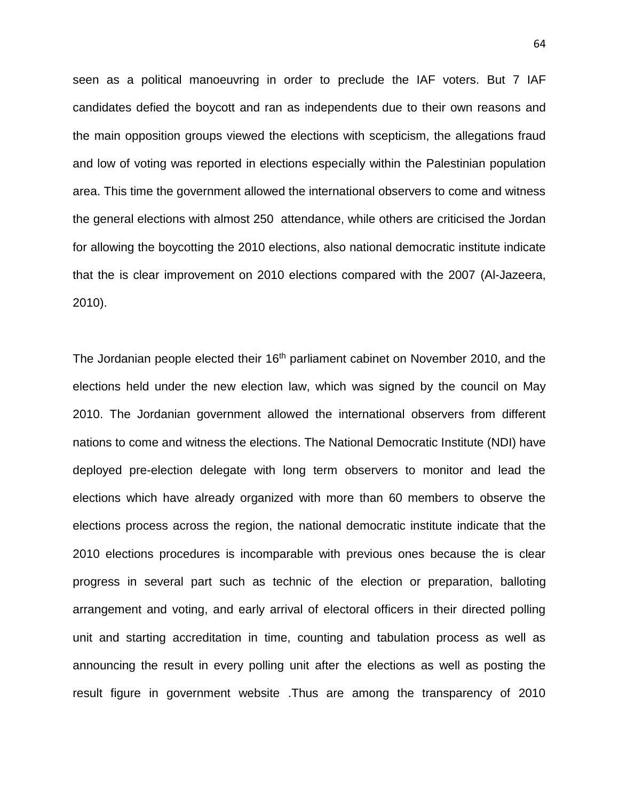seen as a political manoeuvring in order to preclude the IAF voters. But 7 IAF candidates defied the boycott and ran as independents due to their own reasons and the main opposition groups viewed the elections with scepticism, the allegations fraud and low of voting was reported in elections especially within the Palestinian population area. This time the government allowed the international observers to come and witness the general elections with almost 250 attendance, while others are criticised the Jordan for allowing the boycotting the 2010 elections, also national democratic institute indicate that the is clear improvement on 2010 elections compared with the 2007 (Al-Jazeera, 2010).

The Jordanian people elected their 16<sup>th</sup> parliament cabinet on November 2010, and the elections held under the new election law, which was signed by the council on May 2010. The Jordanian government allowed the international observers from different nations to come and witness the elections. The National Democratic Institute (NDI) have deployed pre-election delegate with long term observers to monitor and lead the elections which have already organized with more than 60 members to observe the elections process across the region, the national democratic institute indicate that the 2010 elections procedures is incomparable with previous ones because the is clear progress in several part such as technic of the election or preparation, balloting arrangement and voting, and early arrival of electoral officers in their directed polling unit and starting accreditation in time, counting and tabulation process as well as announcing the result in every polling unit after the elections as well as posting the result figure in government website .Thus are among the transparency of 2010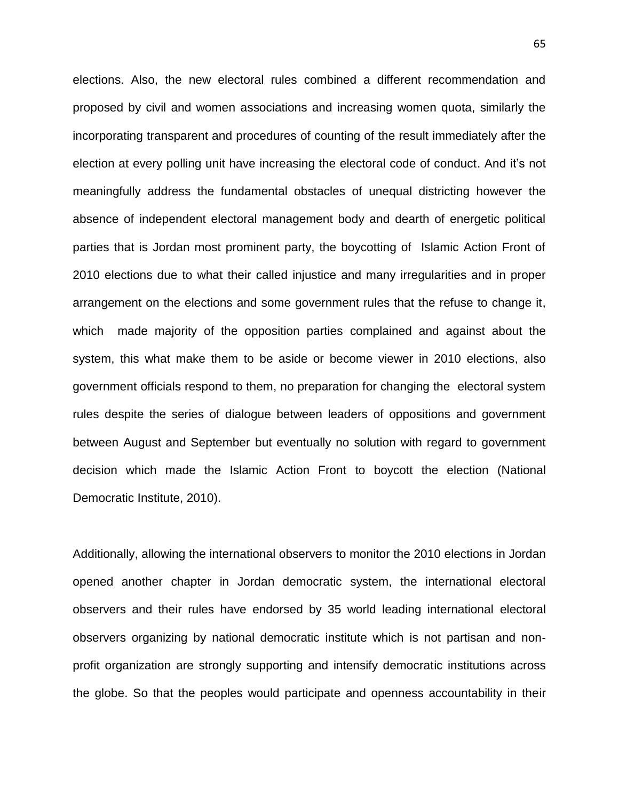elections. Also, the new electoral rules combined a different recommendation and proposed by civil and women associations and increasing women quota, similarly the incorporating transparent and procedures of counting of the result immediately after the election at every polling unit have increasing the electoral code of conduct. And it's not meaningfully address the fundamental obstacles of unequal districting however the absence of independent electoral management body and dearth of energetic political parties that is Jordan most prominent party, the boycotting of Islamic Action Front of 2010 elections due to what their called injustice and many irregularities and in proper arrangement on the elections and some government rules that the refuse to change it, which made majority of the opposition parties complained and against about the system, this what make them to be aside or become viewer in 2010 elections, also government officials respond to them, no preparation for changing the electoral system rules despite the series of dialogue between leaders of oppositions and government between August and September but eventually no solution with regard to government decision which made the Islamic Action Front to boycott the election (National Democratic Institute, 2010).

Additionally, allowing the international observers to monitor the 2010 elections in Jordan opened another chapter in Jordan democratic system, the international electoral observers and their rules have endorsed by 35 world leading international electoral observers organizing by national democratic institute which is not partisan and nonprofit organization are strongly supporting and intensify democratic institutions across the globe. So that the peoples would participate and openness accountability in their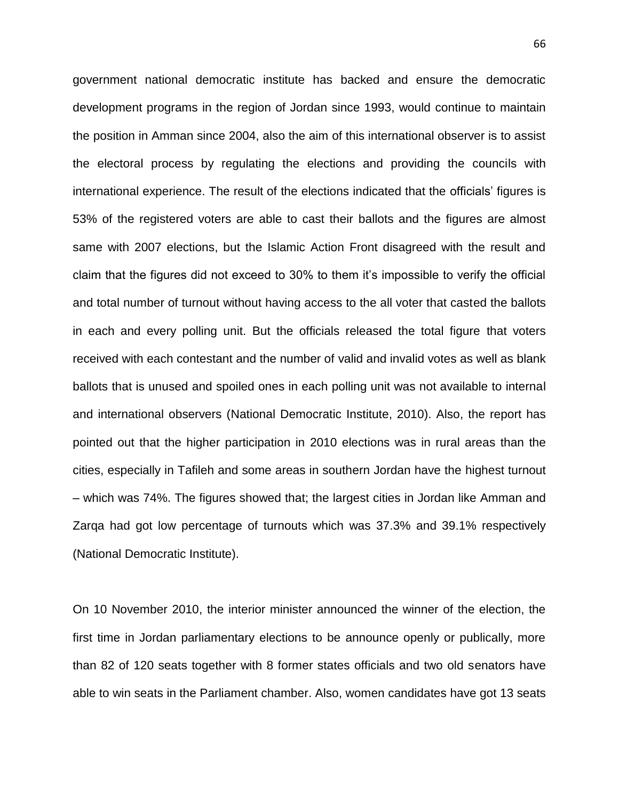government national democratic institute has backed and ensure the democratic development programs in the region of Jordan since 1993, would continue to maintain the position in Amman since 2004, also the aim of this international observer is to assist the electoral process by regulating the elections and providing the councils with international experience. The result of the elections indicated that the officials' figures is 53% of the registered voters are able to cast their ballots and the figures are almost same with 2007 elections, but the Islamic Action Front disagreed with the result and claim that the figures did not exceed to 30% to them it's impossible to verify the official and total number of turnout without having access to the all voter that casted the ballots in each and every polling unit. But the officials released the total figure that voters received with each contestant and the number of valid and invalid votes as well as blank ballots that is unused and spoiled ones in each polling unit was not available to internal and international observers (National Democratic Institute, 2010). Also, the report has pointed out that the higher participation in 2010 elections was in rural areas than the cities, especially in Tafileh and some areas in southern Jordan have the highest turnout – which was 74%. The figures showed that; the largest cities in Jordan like Amman and Zarqa had got low percentage of turnouts which was 37.3% and 39.1% respectively (National Democratic Institute).

On 10 November 2010, the interior minister announced the winner of the election, the first time in Jordan parliamentary elections to be announce openly or publically, more than 82 of 120 seats together with 8 former states officials and two old senators have able to win seats in the Parliament chamber. Also, women candidates have got 13 seats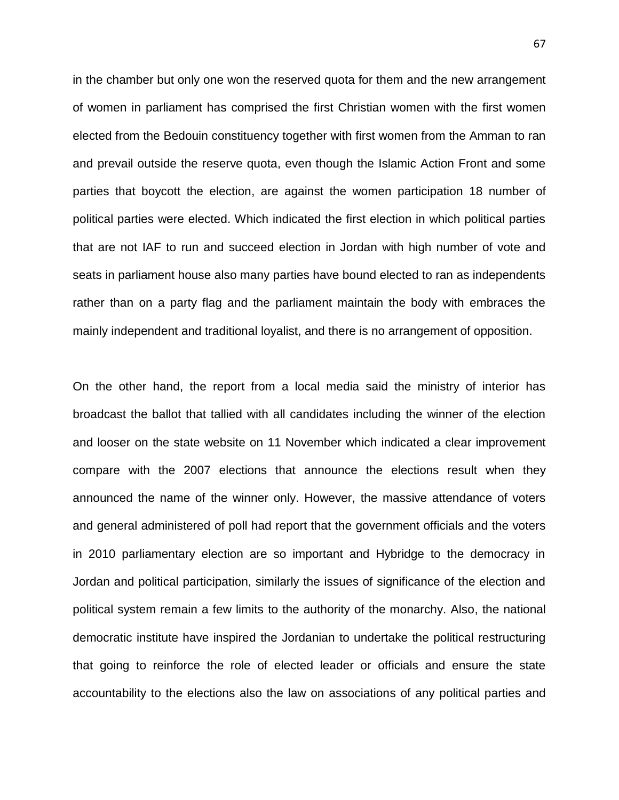in the chamber but only one won the reserved quota for them and the new arrangement of women in parliament has comprised the first Christian women with the first women elected from the Bedouin constituency together with first women from the Amman to ran and prevail outside the reserve quota, even though the Islamic Action Front and some parties that boycott the election, are against the women participation 18 number of political parties were elected. Which indicated the first election in which political parties that are not IAF to run and succeed election in Jordan with high number of vote and seats in parliament house also many parties have bound elected to ran as independents rather than on a party flag and the parliament maintain the body with embraces the mainly independent and traditional loyalist, and there is no arrangement of opposition.

On the other hand, the report from a local media said the ministry of interior has broadcast the ballot that tallied with all candidates including the winner of the election and looser on the state website on 11 November which indicated a clear improvement compare with the 2007 elections that announce the elections result when they announced the name of the winner only. However, the massive attendance of voters and general administered of poll had report that the government officials and the voters in 2010 parliamentary election are so important and Hybridge to the democracy in Jordan and political participation, similarly the issues of significance of the election and political system remain a few limits to the authority of the monarchy. Also, the national democratic institute have inspired the Jordanian to undertake the political restructuring that going to reinforce the role of elected leader or officials and ensure the state accountability to the elections also the law on associations of any political parties and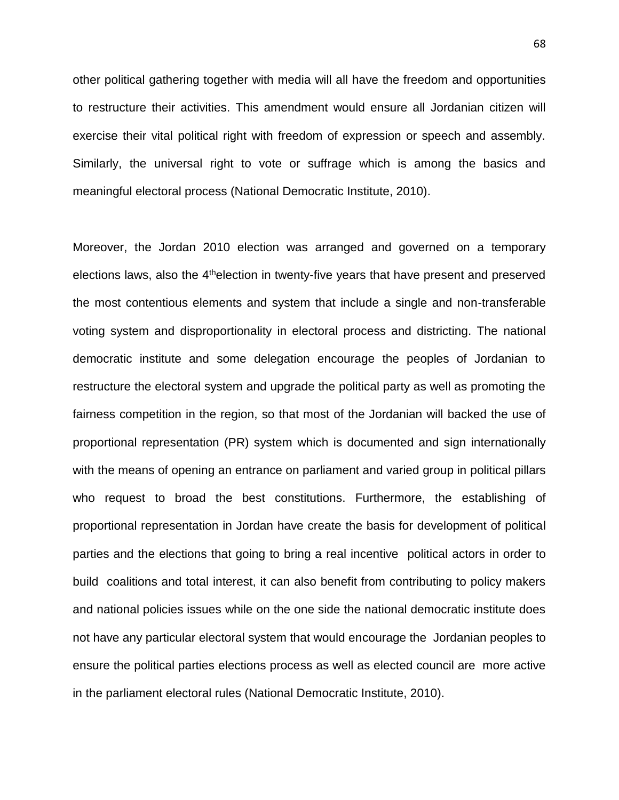other political gathering together with media will all have the freedom and opportunities to restructure their activities. This amendment would ensure all Jordanian citizen will exercise their vital political right with freedom of expression or speech and assembly. Similarly, the universal right to vote or suffrage which is among the basics and meaningful electoral process (National Democratic Institute, 2010).

Moreover, the Jordan 2010 election was arranged and governed on a temporary elections laws, also the 4<sup>th</sup>election in twenty-five years that have present and preserved the most contentious elements and system that include a single and non-transferable voting system and disproportionality in electoral process and districting. The national democratic institute and some delegation encourage the peoples of Jordanian to restructure the electoral system and upgrade the political party as well as promoting the fairness competition in the region, so that most of the Jordanian will backed the use of proportional representation (PR) system which is documented and sign internationally with the means of opening an entrance on parliament and varied group in political pillars who request to broad the best constitutions. Furthermore, the establishing of proportional representation in Jordan have create the basis for development of political parties and the elections that going to bring a real incentive political actors in order to build coalitions and total interest, it can also benefit from contributing to policy makers and national policies issues while on the one side the national democratic institute does not have any particular electoral system that would encourage the Jordanian peoples to ensure the political parties elections process as well as elected council are more active in the parliament electoral rules (National Democratic Institute, 2010).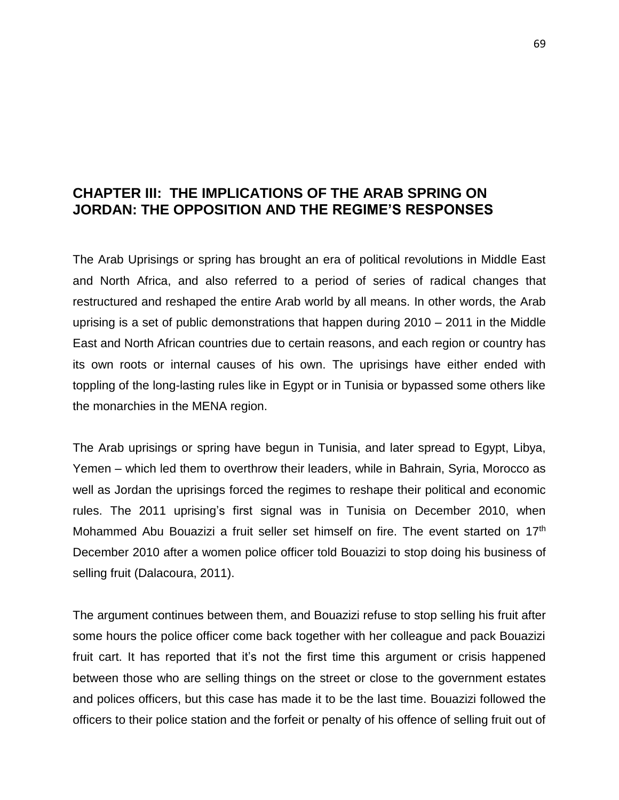# **CHAPTER III: THE IMPLICATIONS OF THE ARAB SPRING ON JORDAN: THE OPPOSITION AND THE REGIME'S RESPONSES**

The Arab Uprisings or spring has brought an era of political revolutions in Middle East and North Africa, and also referred to a period of series of radical changes that restructured and reshaped the entire Arab world by all means. In other words, the Arab uprising is a set of public demonstrations that happen during 2010 – 2011 in the Middle East and North African countries due to certain reasons, and each region or country has its own roots or internal causes of his own. The uprisings have either ended with toppling of the long-lasting rules like in Egypt or in Tunisia or bypassed some others like the monarchies in the MENA region.

The Arab uprisings or spring have begun in Tunisia, and later spread to Egypt, Libya, Yemen – which led them to overthrow their leaders, while in Bahrain, Syria, Morocco as well as Jordan the uprisings forced the regimes to reshape their political and economic rules. The 2011 uprising's first signal was in Tunisia on December 2010, when Mohammed Abu Bouazizi a fruit seller set himself on fire. The event started on 17<sup>th</sup> December 2010 after a women police officer told Bouazizi to stop doing his business of selling fruit (Dalacoura, 2011).

The argument continues between them, and Bouazizi refuse to stop selling his fruit after some hours the police officer come back together with her colleague and pack Bouazizi fruit cart. It has reported that it's not the first time this argument or crisis happened between those who are selling things on the street or close to the government estates and polices officers, but this case has made it to be the last time. Bouazizi followed the officers to their police station and the forfeit or penalty of his offence of selling fruit out of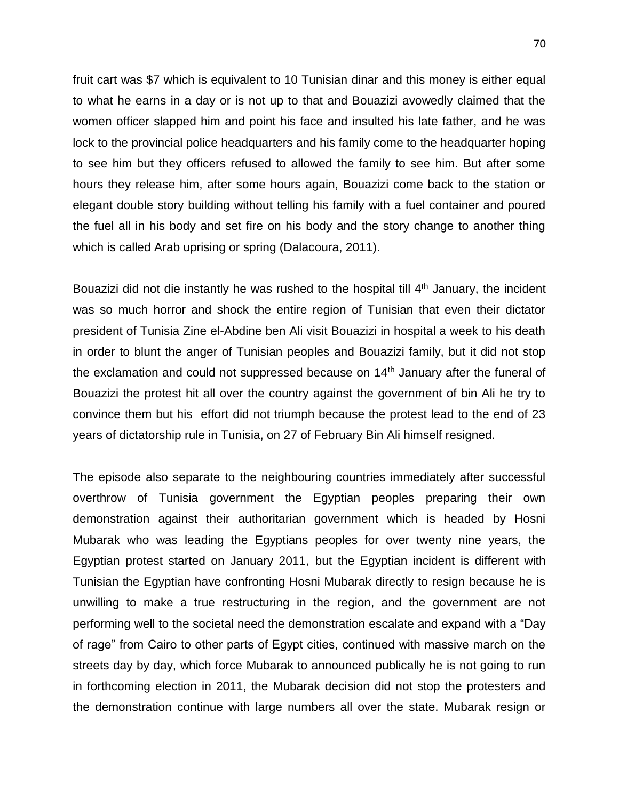fruit cart was \$7 which is equivalent to 10 Tunisian dinar and this money is either equal to what he earns in a day or is not up to that and Bouazizi avowedly claimed that the women officer slapped him and point his face and insulted his late father, and he was lock to the provincial police headquarters and his family come to the headquarter hoping to see him but they officers refused to allowed the family to see him. But after some hours they release him, after some hours again, Bouazizi come back to the station or elegant double story building without telling his family with a fuel container and poured the fuel all in his body and set fire on his body and the story change to another thing which is called Arab uprising or spring (Dalacoura, 2011).

Bouazizi did not die instantly he was rushed to the hospital till 4<sup>th</sup> January, the incident was so much horror and shock the entire region of Tunisian that even their dictator president of Tunisia Zine el-Abdine ben Ali visit Bouazizi in hospital a week to his death in order to blunt the anger of Tunisian peoples and Bouazizi family, but it did not stop the exclamation and could not suppressed because on 14<sup>th</sup> January after the funeral of Bouazizi the protest hit all over the country against the government of bin Ali he try to convince them but his effort did not triumph because the protest lead to the end of 23 years of dictatorship rule in Tunisia, on 27 of February Bin Ali himself resigned.

The episode also separate to the neighbouring countries immediately after successful overthrow of Tunisia government the Egyptian peoples preparing their own demonstration against their authoritarian government which is headed by Hosni Mubarak who was leading the Egyptians peoples for over twenty nine years, the Egyptian protest started on January 2011, but the Egyptian incident is different with Tunisian the Egyptian have confronting Hosni Mubarak directly to resign because he is unwilling to make a true restructuring in the region, and the government are not performing well to the societal need the demonstration escalate and expand with a "Day of rage" from Cairo to other parts of Egypt cities, continued with massive march on the streets day by day, which force Mubarak to announced publically he is not going to run in forthcoming election in 2011, the Mubarak decision did not stop the protesters and the demonstration continue with large numbers all over the state. Mubarak resign or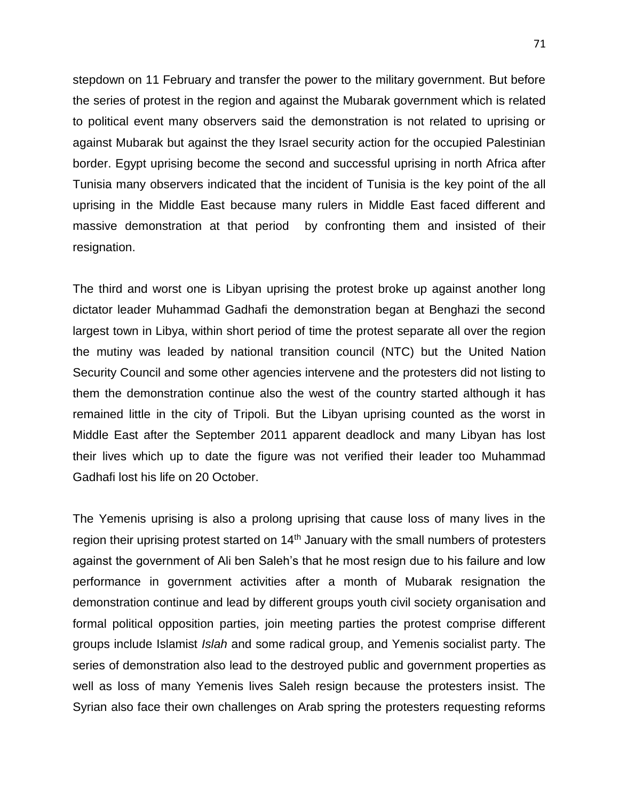stepdown on 11 February and transfer the power to the military government. But before the series of protest in the region and against the Mubarak government which is related to political event many observers said the demonstration is not related to uprising or against Mubarak but against the they Israel security action for the occupied Palestinian border. Egypt uprising become the second and successful uprising in north Africa after Tunisia many observers indicated that the incident of Tunisia is the key point of the all uprising in the Middle East because many rulers in Middle East faced different and massive demonstration at that period by confronting them and insisted of their resignation.

The third and worst one is Libyan uprising the protest broke up against another long dictator leader Muhammad Gadhafi the demonstration began at Benghazi the second largest town in Libya, within short period of time the protest separate all over the region the mutiny was leaded by national transition council (NTC) but the United Nation Security Council and some other agencies intervene and the protesters did not listing to them the demonstration continue also the west of the country started although it has remained little in the city of Tripoli. But the Libyan uprising counted as the worst in Middle East after the September 2011 apparent deadlock and many Libyan has lost their lives which up to date the figure was not verified their leader too Muhammad Gadhafi lost his life on 20 October.

The Yemenis uprising is also a prolong uprising that cause loss of many lives in the region their uprising protest started on 14<sup>th</sup> January with the small numbers of protesters against the government of Ali ben Saleh's that he most resign due to his failure and low performance in government activities after a month of Mubarak resignation the demonstration continue and lead by different groups youth civil society organisation and formal political opposition parties, join meeting parties the protest comprise different groups include Islamist *Islah* and some radical group, and Yemenis socialist party. The series of demonstration also lead to the destroyed public and government properties as well as loss of many Yemenis lives Saleh resign because the protesters insist. The Syrian also face their own challenges on Arab spring the protesters requesting reforms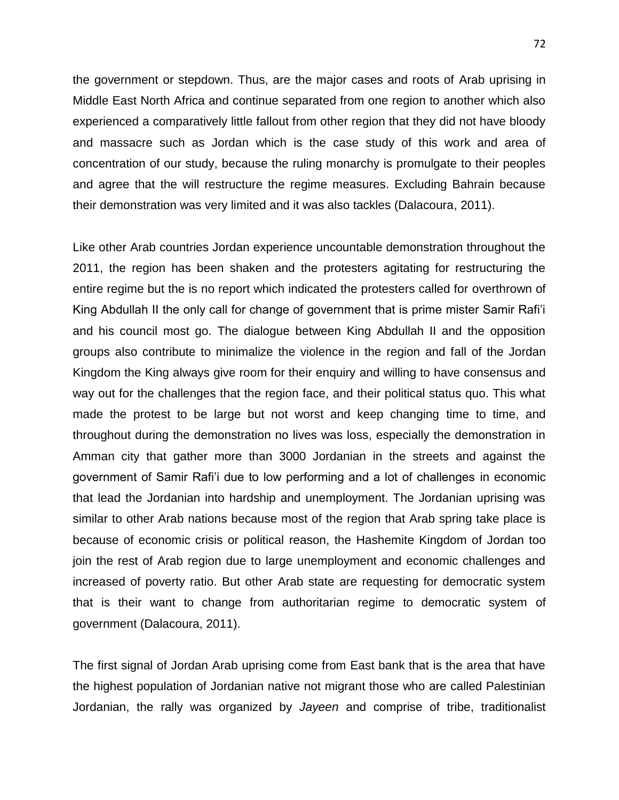the government or stepdown. Thus, are the major cases and roots of Arab uprising in Middle East North Africa and continue separated from one region to another which also experienced a comparatively little fallout from other region that they did not have bloody and massacre such as Jordan which is the case study of this work and area of concentration of our study, because the ruling monarchy is promulgate to their peoples and agree that the will restructure the regime measures. Excluding Bahrain because their demonstration was very limited and it was also tackles (Dalacoura, 2011).

Like other Arab countries Jordan experience uncountable demonstration throughout the 2011, the region has been shaken and the protesters agitating for restructuring the entire regime but the is no report which indicated the protesters called for overthrown of King Abdullah II the only call for change of government that is prime mister Samir Rafi'i and his council most go. The dialogue between King Abdullah II and the opposition groups also contribute to minimalize the violence in the region and fall of the Jordan Kingdom the King always give room for their enquiry and willing to have consensus and way out for the challenges that the region face, and their political status quo. This what made the protest to be large but not worst and keep changing time to time, and throughout during the demonstration no lives was loss, especially the demonstration in Amman city that gather more than 3000 Jordanian in the streets and against the government of Samir Rafi'i due to low performing and a lot of challenges in economic that lead the Jordanian into hardship and unemployment. The Jordanian uprising was similar to other Arab nations because most of the region that Arab spring take place is because of economic crisis or political reason, the Hashemite Kingdom of Jordan too join the rest of Arab region due to large unemployment and economic challenges and increased of poverty ratio. But other Arab state are requesting for democratic system that is their want to change from authoritarian regime to democratic system of government (Dalacoura, 2011).

The first signal of Jordan Arab uprising come from East bank that is the area that have the highest population of Jordanian native not migrant those who are called Palestinian Jordanian, the rally was organized by *Jayeen* and comprise of tribe, traditionalist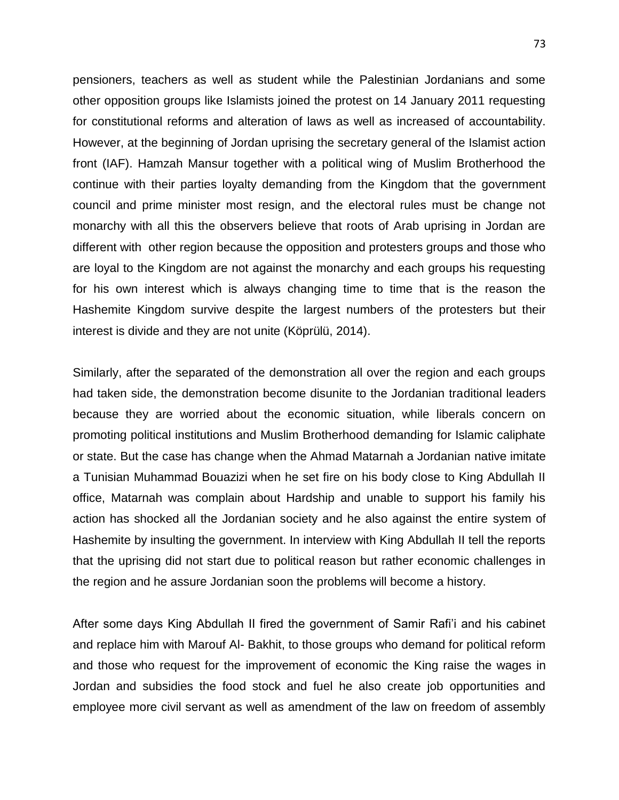pensioners, teachers as well as student while the Palestinian Jordanians and some other opposition groups like Islamists joined the protest on 14 January 2011 requesting for constitutional reforms and alteration of laws as well as increased of accountability. However, at the beginning of Jordan uprising the secretary general of the Islamist action front (IAF). Hamzah Mansur together with a political wing of Muslim Brotherhood the continue with their parties loyalty demanding from the Kingdom that the government council and prime minister most resign, and the electoral rules must be change not monarchy with all this the observers believe that roots of Arab uprising in Jordan are different with other region because the opposition and protesters groups and those who are loyal to the Kingdom are not against the monarchy and each groups his requesting for his own interest which is always changing time to time that is the reason the Hashemite Kingdom survive despite the largest numbers of the protesters but their interest is divide and they are not unite (Köprülü, 2014).

Similarly, after the separated of the demonstration all over the region and each groups had taken side, the demonstration become disunite to the Jordanian traditional leaders because they are worried about the economic situation, while liberals concern on promoting political institutions and Muslim Brotherhood demanding for Islamic caliphate or state. But the case has change when the Ahmad Matarnah a Jordanian native imitate a Tunisian Muhammad Bouazizi when he set fire on his body close to King Abdullah II office, Matarnah was complain about Hardship and unable to support his family his action has shocked all the Jordanian society and he also against the entire system of Hashemite by insulting the government. In interview with King Abdullah II tell the reports that the uprising did not start due to political reason but rather economic challenges in the region and he assure Jordanian soon the problems will become a history.

After some days King Abdullah II fired the government of Samir Rafi'i and his cabinet and replace him with Marouf Al- Bakhit, to those groups who demand for political reform and those who request for the improvement of economic the King raise the wages in Jordan and subsidies the food stock and fuel he also create job opportunities and employee more civil servant as well as amendment of the law on freedom of assembly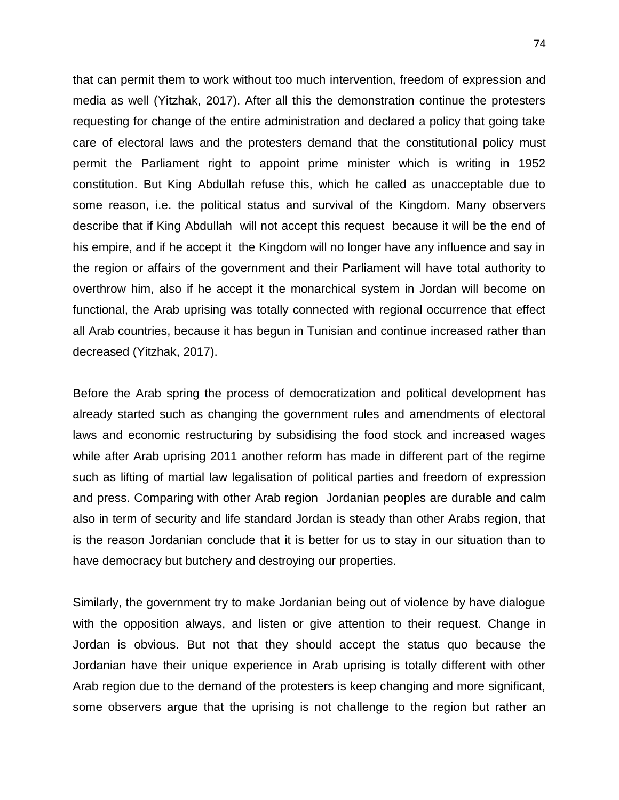that can permit them to work without too much intervention, freedom of expression and media as well (Yitzhak, 2017). After all this the demonstration continue the protesters requesting for change of the entire administration and declared a policy that going take care of electoral laws and the protesters demand that the constitutional policy must permit the Parliament right to appoint prime minister which is writing in 1952 constitution. But King Abdullah refuse this, which he called as unacceptable due to some reason, i.e. the political status and survival of the Kingdom. Many observers describe that if King Abdullah will not accept this request because it will be the end of his empire, and if he accept it the Kingdom will no longer have any influence and say in the region or affairs of the government and their Parliament will have total authority to overthrow him, also if he accept it the monarchical system in Jordan will become on functional, the Arab uprising was totally connected with regional occurrence that effect all Arab countries, because it has begun in Tunisian and continue increased rather than decreased (Yitzhak, 2017).

Before the Arab spring the process of democratization and political development has already started such as changing the government rules and amendments of electoral laws and economic restructuring by subsidising the food stock and increased wages while after Arab uprising 2011 another reform has made in different part of the regime such as lifting of martial law legalisation of political parties and freedom of expression and press. Comparing with other Arab region Jordanian peoples are durable and calm also in term of security and life standard Jordan is steady than other Arabs region, that is the reason Jordanian conclude that it is better for us to stay in our situation than to have democracy but butchery and destroying our properties.

Similarly, the government try to make Jordanian being out of violence by have dialogue with the opposition always, and listen or give attention to their request. Change in Jordan is obvious. But not that they should accept the status quo because the Jordanian have their unique experience in Arab uprising is totally different with other Arab region due to the demand of the protesters is keep changing and more significant, some observers argue that the uprising is not challenge to the region but rather an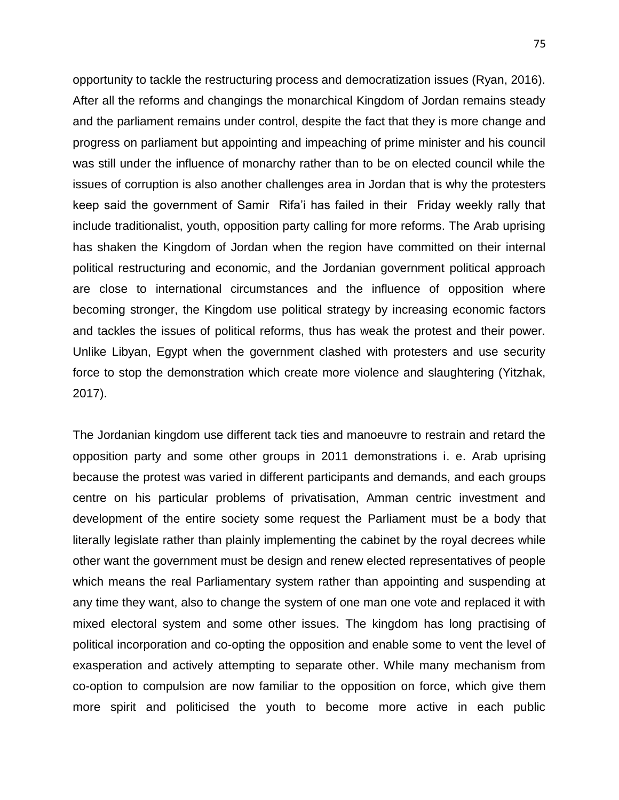opportunity to tackle the restructuring process and democratization issues (Ryan, 2016). After all the reforms and changings the monarchical Kingdom of Jordan remains steady and the parliament remains under control, despite the fact that they is more change and progress on parliament but appointing and impeaching of prime minister and his council was still under the influence of monarchy rather than to be on elected council while the issues of corruption is also another challenges area in Jordan that is why the protesters keep said the government of Samir Rifa'i has failed in their Friday weekly rally that include traditionalist, youth, opposition party calling for more reforms. The Arab uprising has shaken the Kingdom of Jordan when the region have committed on their internal political restructuring and economic, and the Jordanian government political approach are close to international circumstances and the influence of opposition where becoming stronger, the Kingdom use political strategy by increasing economic factors and tackles the issues of political reforms, thus has weak the protest and their power. Unlike Libyan, Egypt when the government clashed with protesters and use security force to stop the demonstration which create more violence and slaughtering (Yitzhak, 2017).

The Jordanian kingdom use different tack ties and manoeuvre to restrain and retard the opposition party and some other groups in 2011 demonstrations i. e. Arab uprising because the protest was varied in different participants and demands, and each groups centre on his particular problems of privatisation, Amman centric investment and development of the entire society some request the Parliament must be a body that literally legislate rather than plainly implementing the cabinet by the royal decrees while other want the government must be design and renew elected representatives of people which means the real Parliamentary system rather than appointing and suspending at any time they want, also to change the system of one man one vote and replaced it with mixed electoral system and some other issues. The kingdom has long practising of political incorporation and co-opting the opposition and enable some to vent the level of exasperation and actively attempting to separate other. While many mechanism from co-option to compulsion are now familiar to the opposition on force, which give them more spirit and politicised the youth to become more active in each public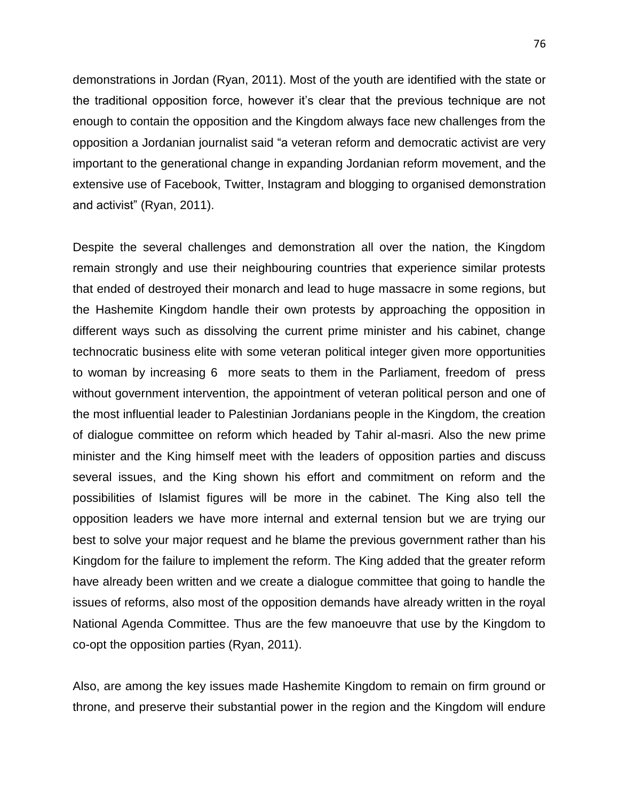demonstrations in Jordan (Ryan, 2011). Most of the youth are identified with the state or the traditional opposition force, however it's clear that the previous technique are not enough to contain the opposition and the Kingdom always face new challenges from the opposition a Jordanian journalist said "a veteran reform and democratic activist are very important to the generational change in expanding Jordanian reform movement, and the extensive use of Facebook, Twitter, Instagram and blogging to organised demonstration and activist" (Ryan, 2011).

Despite the several challenges and demonstration all over the nation, the Kingdom remain strongly and use their neighbouring countries that experience similar protests that ended of destroyed their monarch and lead to huge massacre in some regions, but the Hashemite Kingdom handle their own protests by approaching the opposition in different ways such as dissolving the current prime minister and his cabinet, change technocratic business elite with some veteran political integer given more opportunities to woman by increasing 6 more seats to them in the Parliament, freedom of press without government intervention, the appointment of veteran political person and one of the most influential leader to Palestinian Jordanians people in the Kingdom, the creation of dialogue committee on reform which headed by Tahir al-masri. Also the new prime minister and the King himself meet with the leaders of opposition parties and discuss several issues, and the King shown his effort and commitment on reform and the possibilities of Islamist figures will be more in the cabinet. The King also tell the opposition leaders we have more internal and external tension but we are trying our best to solve your major request and he blame the previous government rather than his Kingdom for the failure to implement the reform. The King added that the greater reform have already been written and we create a dialogue committee that going to handle the issues of reforms, also most of the opposition demands have already written in the royal National Agenda Committee. Thus are the few manoeuvre that use by the Kingdom to co-opt the opposition parties (Ryan, 2011).

Also, are among the key issues made Hashemite Kingdom to remain on firm ground or throne, and preserve their substantial power in the region and the Kingdom will endure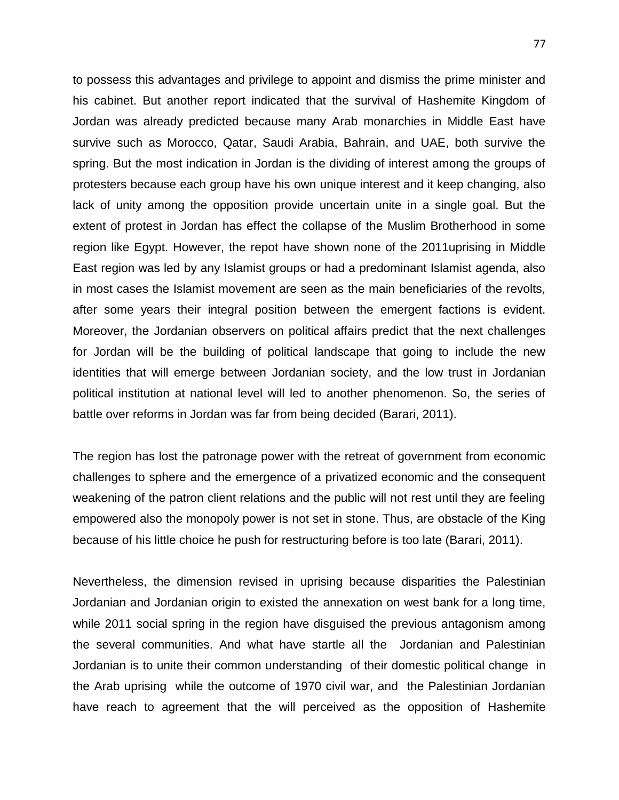to possess this advantages and privilege to appoint and dismiss the prime minister and his cabinet. But another report indicated that the survival of Hashemite Kingdom of Jordan was already predicted because many Arab monarchies in Middle East have survive such as Morocco, Qatar, Saudi Arabia, Bahrain, and UAE, both survive the spring. But the most indication in Jordan is the dividing of interest among the groups of protesters because each group have his own unique interest and it keep changing, also lack of unity among the opposition provide uncertain unite in a single goal. But the extent of protest in Jordan has effect the collapse of the Muslim Brotherhood in some region like Egypt. However, the repot have shown none of the 2011uprising in Middle East region was led by any Islamist groups or had a predominant Islamist agenda, also in most cases the Islamist movement are seen as the main beneficiaries of the revolts, after some years their integral position between the emergent factions is evident. Moreover, the Jordanian observers on political affairs predict that the next challenges for Jordan will be the building of political landscape that going to include the new identities that will emerge between Jordanian society, and the low trust in Jordanian political institution at national level will led to another phenomenon. So, the series of battle over reforms in Jordan was far from being decided (Barari, 2011).

The region has lost the patronage power with the retreat of government from economic challenges to sphere and the emergence of a privatized economic and the consequent weakening of the patron client relations and the public will not rest until they are feeling empowered also the monopoly power is not set in stone. Thus, are obstacle of the King because of his little choice he push for restructuring before is too late (Barari, 2011).

Nevertheless, the dimension revised in uprising because disparities the Palestinian Jordanian and Jordanian origin to existed the annexation on west bank for a long time, while 2011 social spring in the region have disguised the previous antagonism among the several communities. And what have startle all the Jordanian and Palestinian Jordanian is to unite their common understanding of their domestic political change in the Arab uprising while the outcome of 1970 civil war, and the Palestinian Jordanian have reach to agreement that the will perceived as the opposition of Hashemite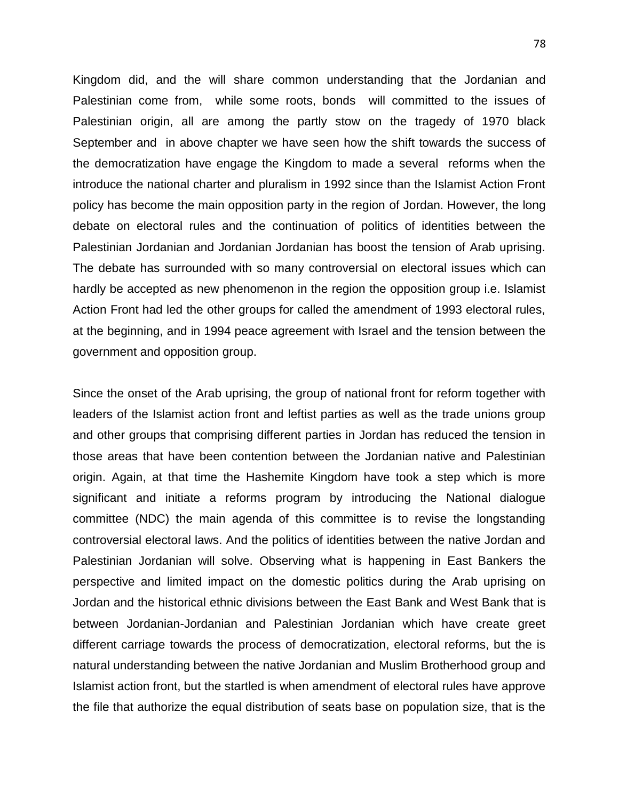Kingdom did, and the will share common understanding that the Jordanian and Palestinian come from, while some roots, bonds will committed to the issues of Palestinian origin, all are among the partly stow on the tragedy of 1970 black September and in above chapter we have seen how the shift towards the success of the democratization have engage the Kingdom to made a several reforms when the introduce the national charter and pluralism in 1992 since than the Islamist Action Front policy has become the main opposition party in the region of Jordan. However, the long debate on electoral rules and the continuation of politics of identities between the Palestinian Jordanian and Jordanian Jordanian has boost the tension of Arab uprising. The debate has surrounded with so many controversial on electoral issues which can hardly be accepted as new phenomenon in the region the opposition group i.e. Islamist Action Front had led the other groups for called the amendment of 1993 electoral rules, at the beginning, and in 1994 peace agreement with Israel and the tension between the government and opposition group.

Since the onset of the Arab uprising, the group of national front for reform together with leaders of the Islamist action front and leftist parties as well as the trade unions group and other groups that comprising different parties in Jordan has reduced the tension in those areas that have been contention between the Jordanian native and Palestinian origin. Again, at that time the Hashemite Kingdom have took a step which is more significant and initiate a reforms program by introducing the National dialogue committee (NDC) the main agenda of this committee is to revise the longstanding controversial electoral laws. And the politics of identities between the native Jordan and Palestinian Jordanian will solve. Observing what is happening in East Bankers the perspective and limited impact on the domestic politics during the Arab uprising on Jordan and the historical ethnic divisions between the East Bank and West Bank that is between Jordanian-Jordanian and Palestinian Jordanian which have create greet different carriage towards the process of democratization, electoral reforms, but the is natural understanding between the native Jordanian and Muslim Brotherhood group and Islamist action front, but the startled is when amendment of electoral rules have approve the file that authorize the equal distribution of seats base on population size, that is the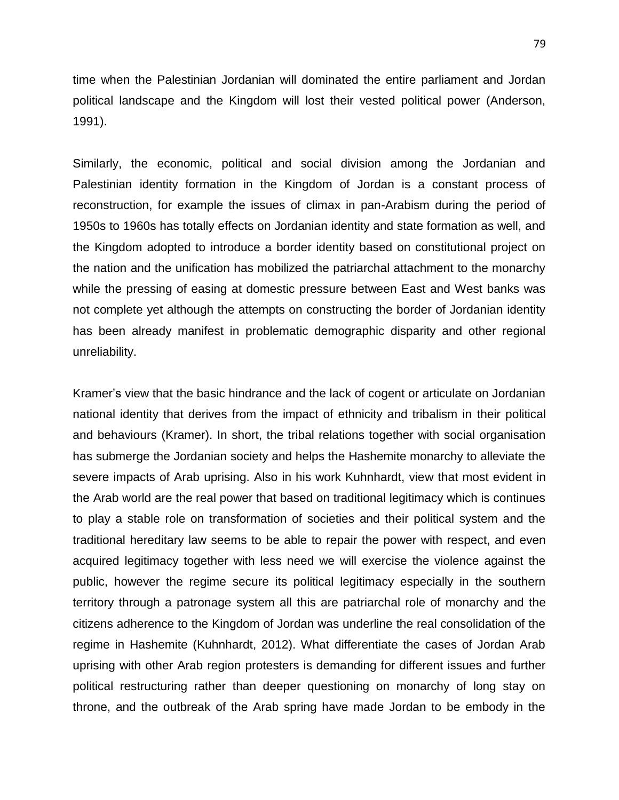time when the Palestinian Jordanian will dominated the entire parliament and Jordan political landscape and the Kingdom will lost their vested political power (Anderson, 1991).

Similarly, the economic, political and social division among the Jordanian and Palestinian identity formation in the Kingdom of Jordan is a constant process of reconstruction, for example the issues of climax in pan-Arabism during the period of 1950s to 1960s has totally effects on Jordanian identity and state formation as well, and the Kingdom adopted to introduce a border identity based on constitutional project on the nation and the unification has mobilized the patriarchal attachment to the monarchy while the pressing of easing at domestic pressure between East and West banks was not complete yet although the attempts on constructing the border of Jordanian identity has been already manifest in problematic demographic disparity and other regional unreliability.

Kramer's view that the basic hindrance and the lack of cogent or articulate on Jordanian national identity that derives from the impact of ethnicity and tribalism in their political and behaviours (Kramer). In short, the tribal relations together with social organisation has submerge the Jordanian society and helps the Hashemite monarchy to alleviate the severe impacts of Arab uprising. Also in his work Kuhnhardt, view that most evident in the Arab world are the real power that based on traditional legitimacy which is continues to play a stable role on transformation of societies and their political system and the traditional hereditary law seems to be able to repair the power with respect, and even acquired legitimacy together with less need we will exercise the violence against the public, however the regime secure its political legitimacy especially in the southern territory through a patronage system all this are patriarchal role of monarchy and the citizens adherence to the Kingdom of Jordan was underline the real consolidation of the regime in Hashemite (Kuhnhardt, 2012). What differentiate the cases of Jordan Arab uprising with other Arab region protesters is demanding for different issues and further political restructuring rather than deeper questioning on monarchy of long stay on throne, and the outbreak of the Arab spring have made Jordan to be embody in the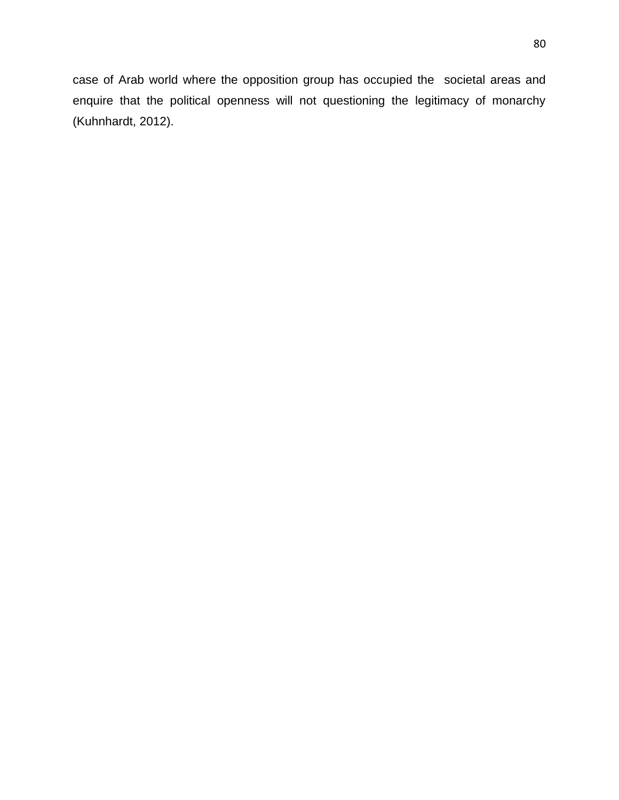case of Arab world where the opposition group has occupied the societal areas and enquire that the political openness will not questioning the legitimacy of monarchy (Kuhnhardt, 2012).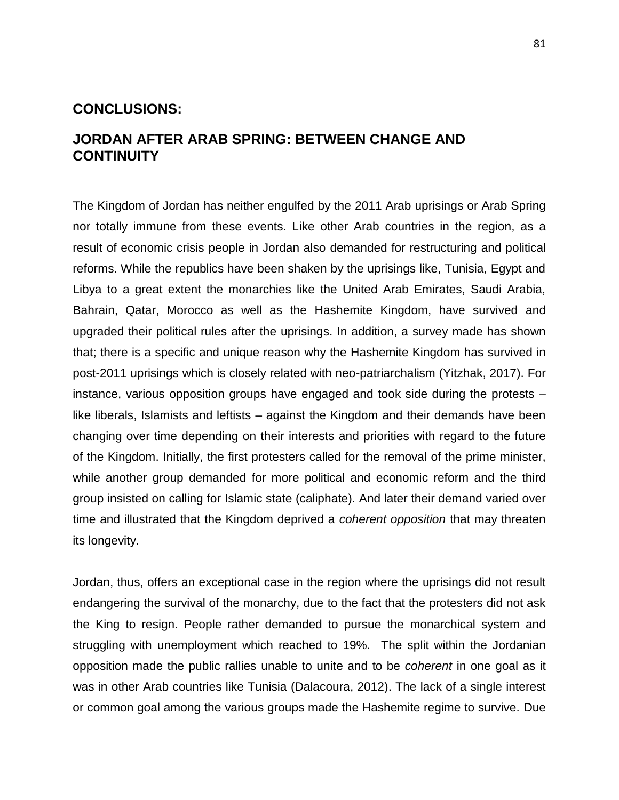### **CONCLUSIONS:**

# **JORDAN AFTER ARAB SPRING: BETWEEN CHANGE AND CONTINUITY**

The Kingdom of Jordan has neither engulfed by the 2011 Arab uprisings or Arab Spring nor totally immune from these events. Like other Arab countries in the region, as a result of economic crisis people in Jordan also demanded for restructuring and political reforms. While the republics have been shaken by the uprisings like, Tunisia, Egypt and Libya to a great extent the monarchies like the United Arab Emirates, Saudi Arabia, Bahrain, Qatar, Morocco as well as the Hashemite Kingdom, have survived and upgraded their political rules after the uprisings. In addition, a survey made has shown that; there is a specific and unique reason why the Hashemite Kingdom has survived in post-2011 uprisings which is closely related with neo-patriarchalism (Yitzhak, 2017). For instance, various opposition groups have engaged and took side during the protests – like liberals, Islamists and leftists – against the Kingdom and their demands have been changing over time depending on their interests and priorities with regard to the future of the Kingdom. Initially, the first protesters called for the removal of the prime minister, while another group demanded for more political and economic reform and the third group insisted on calling for Islamic state (caliphate). And later their demand varied over time and illustrated that the Kingdom deprived a *coherent opposition* that may threaten its longevity.

Jordan, thus, offers an exceptional case in the region where the uprisings did not result endangering the survival of the monarchy, due to the fact that the protesters did not ask the King to resign. People rather demanded to pursue the monarchical system and struggling with unemployment which reached to 19%. The split within the Jordanian opposition made the public rallies unable to unite and to be *coherent* in one goal as it was in other Arab countries like Tunisia (Dalacoura, 2012). The lack of a single interest or common goal among the various groups made the Hashemite regime to survive. Due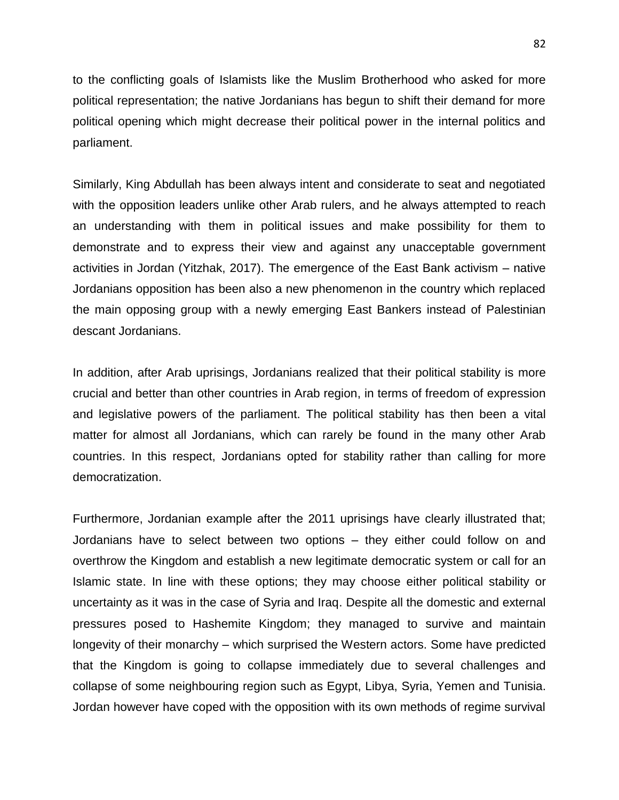to the conflicting goals of Islamists like the Muslim Brotherhood who asked for more political representation; the native Jordanians has begun to shift their demand for more political opening which might decrease their political power in the internal politics and parliament.

Similarly, King Abdullah has been always intent and considerate to seat and negotiated with the opposition leaders unlike other Arab rulers, and he always attempted to reach an understanding with them in political issues and make possibility for them to demonstrate and to express their view and against any unacceptable government activities in Jordan (Yitzhak, 2017). The emergence of the East Bank activism – native Jordanians opposition has been also a new phenomenon in the country which replaced the main opposing group with a newly emerging East Bankers instead of Palestinian descant Jordanians.

In addition, after Arab uprisings, Jordanians realized that their political stability is more crucial and better than other countries in Arab region, in terms of freedom of expression and legislative powers of the parliament. The political stability has then been a vital matter for almost all Jordanians, which can rarely be found in the many other Arab countries. In this respect, Jordanians opted for stability rather than calling for more democratization.

Furthermore, Jordanian example after the 2011 uprisings have clearly illustrated that; Jordanians have to select between two options – they either could follow on and overthrow the Kingdom and establish a new legitimate democratic system or call for an Islamic state. In line with these options; they may choose either political stability or uncertainty as it was in the case of Syria and Iraq. Despite all the domestic and external pressures posed to Hashemite Kingdom; they managed to survive and maintain longevity of their monarchy – which surprised the Western actors. Some have predicted that the Kingdom is going to collapse immediately due to several challenges and collapse of some neighbouring region such as Egypt, Libya, Syria, Yemen and Tunisia. Jordan however have coped with the opposition with its own methods of regime survival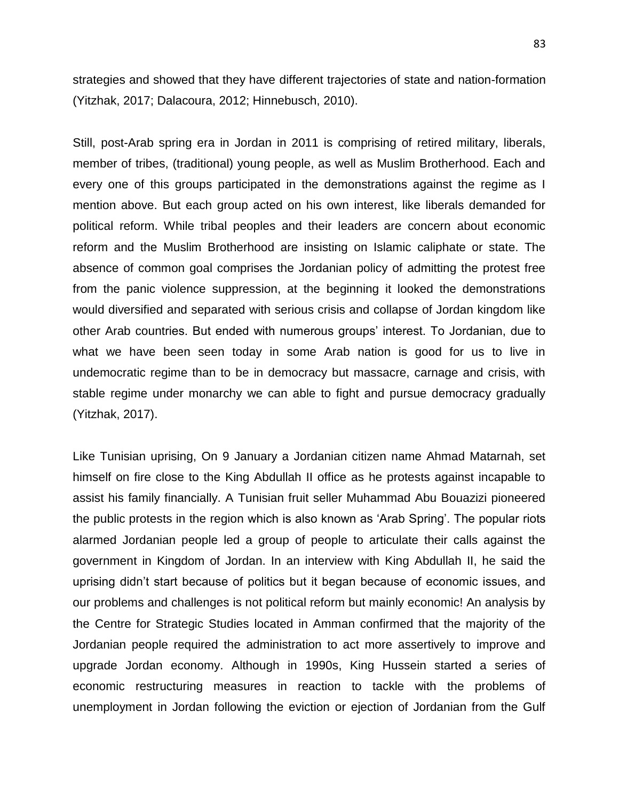strategies and showed that they have different trajectories of state and nation-formation (Yitzhak, 2017; Dalacoura, 2012; Hinnebusch, 2010).

Still, post-Arab spring era in Jordan in 2011 is comprising of retired military, liberals, member of tribes, (traditional) young people, as well as Muslim Brotherhood. Each and every one of this groups participated in the demonstrations against the regime as I mention above. But each group acted on his own interest, like liberals demanded for political reform. While tribal peoples and their leaders are concern about economic reform and the Muslim Brotherhood are insisting on Islamic caliphate or state. The absence of common goal comprises the Jordanian policy of admitting the protest free from the panic violence suppression, at the beginning it looked the demonstrations would diversified and separated with serious crisis and collapse of Jordan kingdom like other Arab countries. But ended with numerous groups' interest. To Jordanian, due to what we have been seen today in some Arab nation is good for us to live in undemocratic regime than to be in democracy but massacre, carnage and crisis, with stable regime under monarchy we can able to fight and pursue democracy gradually (Yitzhak, 2017).

Like Tunisian uprising, On 9 January a Jordanian citizen name Ahmad Matarnah, set himself on fire close to the King Abdullah II office as he protests against incapable to assist his family financially. A Tunisian fruit seller Muhammad Abu Bouazizi pioneered the public protests in the region which is also known as 'Arab Spring'. The popular riots alarmed Jordanian people led a group of people to articulate their calls against the government in Kingdom of Jordan. In an interview with King Abdullah II, he said the uprising didn't start because of politics but it began because of economic issues, and our problems and challenges is not political reform but mainly economic! An analysis by the Centre for Strategic Studies located in Amman confirmed that the majority of the Jordanian people required the administration to act more assertively to improve and upgrade Jordan economy. Although in 1990s, King Hussein started a series of economic restructuring measures in reaction to tackle with the problems of unemployment in Jordan following the eviction or ejection of Jordanian from the Gulf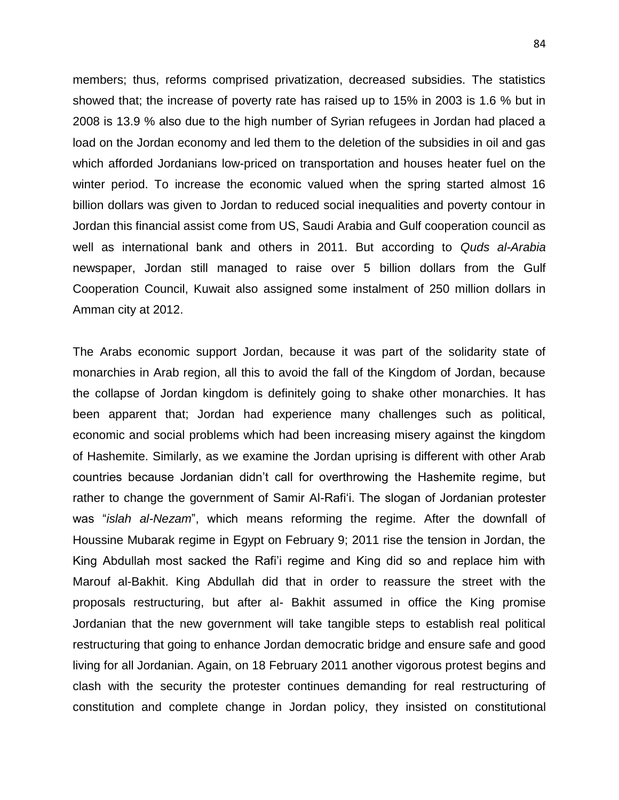members; thus, reforms comprised privatization, decreased subsidies. The statistics showed that; the increase of poverty rate has raised up to 15% in 2003 is 1.6 % but in 2008 is 13.9 % also due to the high number of Syrian refugees in Jordan had placed a load on the Jordan economy and led them to the deletion of the subsidies in oil and gas which afforded Jordanians low-priced on transportation and houses heater fuel on the winter period. To increase the economic valued when the spring started almost 16 billion dollars was given to Jordan to reduced social inequalities and poverty contour in Jordan this financial assist come from US, Saudi Arabia and Gulf cooperation council as well as international bank and others in 2011. But according to *Quds al-Arabia* newspaper, Jordan still managed to raise over 5 billion dollars from the Gulf Cooperation Council, Kuwait also assigned some instalment of 250 million dollars in Amman city at 2012.

The Arabs economic support Jordan, because it was part of the solidarity state of monarchies in Arab region, all this to avoid the fall of the Kingdom of Jordan, because the collapse of Jordan kingdom is definitely going to shake other monarchies. It has been apparent that; Jordan had experience many challenges such as political, economic and social problems which had been increasing misery against the kingdom of Hashemite. Similarly, as we examine the Jordan uprising is different with other Arab countries because Jordanian didn't call for overthrowing the Hashemite regime, but rather to change the government of Samir Al-Rafi'i. The slogan of Jordanian protester was "*islah al-Nezam*", which means reforming the regime. After the downfall of Houssine Mubarak regime in Egypt on February 9; 2011 rise the tension in Jordan, the King Abdullah most sacked the Rafi'i regime and King did so and replace him with Marouf al-Bakhit. King Abdullah did that in order to reassure the street with the proposals restructuring, but after al- Bakhit assumed in office the King promise Jordanian that the new government will take tangible steps to establish real political restructuring that going to enhance Jordan democratic bridge and ensure safe and good living for all Jordanian. Again, on 18 February 2011 another vigorous protest begins and clash with the security the protester continues demanding for real restructuring of constitution and complete change in Jordan policy, they insisted on constitutional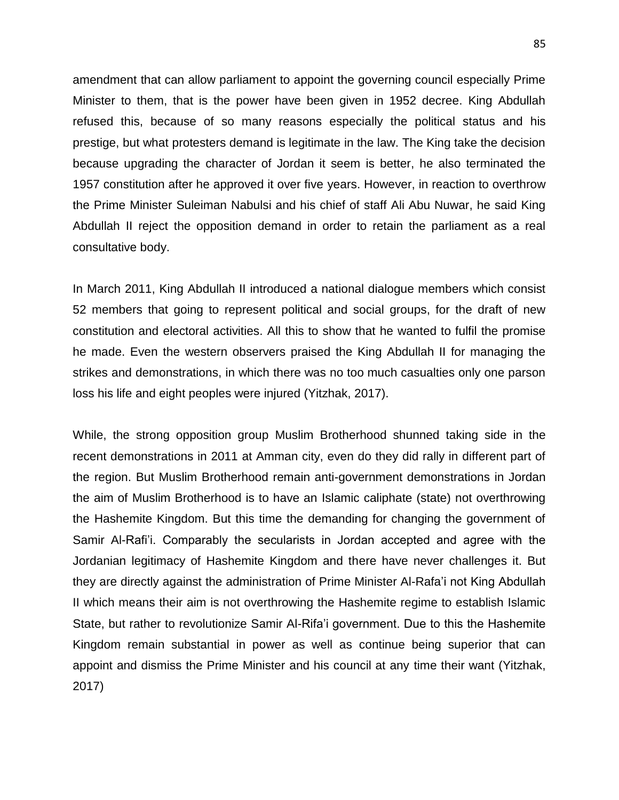amendment that can allow parliament to appoint the governing council especially Prime Minister to them, that is the power have been given in 1952 decree. King Abdullah refused this, because of so many reasons especially the political status and his prestige, but what protesters demand is legitimate in the law. The King take the decision because upgrading the character of Jordan it seem is better, he also terminated the 1957 constitution after he approved it over five years. However, in reaction to overthrow the Prime Minister Suleiman Nabulsi and his chief of staff Ali Abu Nuwar, he said King Abdullah II reject the opposition demand in order to retain the parliament as a real consultative body.

In March 2011, King Abdullah II introduced a national dialogue members which consist 52 members that going to represent political and social groups, for the draft of new constitution and electoral activities. All this to show that he wanted to fulfil the promise he made. Even the western observers praised the King Abdullah II for managing the strikes and demonstrations, in which there was no too much casualties only one parson loss his life and eight peoples were injured (Yitzhak, 2017).

While, the strong opposition group Muslim Brotherhood shunned taking side in the recent demonstrations in 2011 at Amman city, even do they did rally in different part of the region. But Muslim Brotherhood remain anti-government demonstrations in Jordan the aim of Muslim Brotherhood is to have an Islamic caliphate (state) not overthrowing the Hashemite Kingdom. But this time the demanding for changing the government of Samir Al-Rafi'i. Comparably the secularists in Jordan accepted and agree with the Jordanian legitimacy of Hashemite Kingdom and there have never challenges it. But they are directly against the administration of Prime Minister Al-Rafa'i not King Abdullah II which means their aim is not overthrowing the Hashemite regime to establish Islamic State, but rather to revolutionize Samir Al-Rifa'i government. Due to this the Hashemite Kingdom remain substantial in power as well as continue being superior that can appoint and dismiss the Prime Minister and his council at any time their want (Yitzhak, 2017)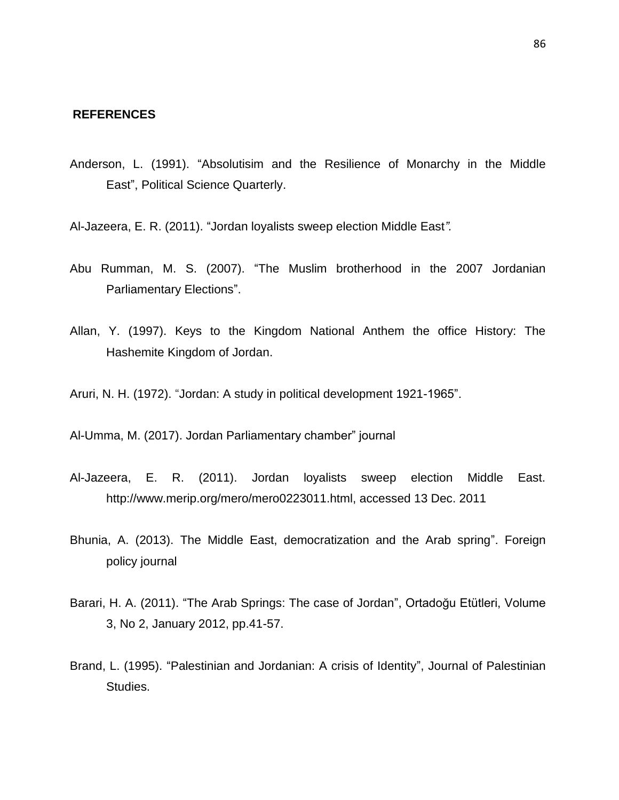#### **REFERENCES**

Anderson, L. (1991). "Absolutisim and the Resilience of Monarchy in the Middle East", Political Science Quarterly.

Al-Jazeera, E. R. (2011). "Jordan loyalists sweep election Middle East*".*

- Abu Rumman, M. S. (2007). "The Muslim brotherhood in the 2007 Jordanian Parliamentary Elections".
- Allan, Y. (1997). Keys to the Kingdom National Anthem the office History: The Hashemite Kingdom of Jordan.
- Aruri, N. H. (1972). "Jordan: A study in political development 1921-1965".

Al-Umma, M. (2017). Jordan Parliamentary chamber" journal

- Al-Jazeera, E. R. (2011). Jordan loyalists sweep election Middle East. http://www.merip.org/mero/mero0223011.html, accessed 13 Dec. 2011
- Bhunia, A. (2013). The Middle East, democratization and the Arab spring". Foreign policy journal
- Barari, H. A. (2011). "The Arab Springs: The case of Jordan", Ortadoğu Etütleri, Volume 3, No 2, January 2012, pp.41-57.
- Brand, L. (1995). "Palestinian and Jordanian: A crisis of Identity", Journal of Palestinian Studies.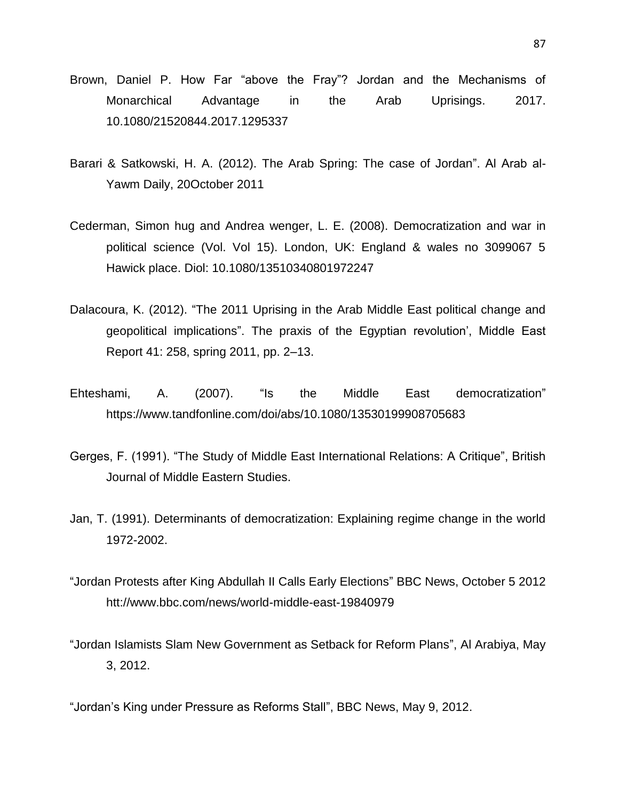- Brown, Daniel P. How Far "above the Fray"? Jordan and the Mechanisms of Monarchical Advantage in the Arab Uprisings. 2017. 10.1080/21520844.2017.1295337
- Barari & Satkowski, H. A. (2012). The Arab Spring: The case of Jordan". Al Arab al-Yawm Daily, 20October 2011
- Cederman, Simon hug and Andrea wenger, L. E. (2008). Democratization and war in political science (Vol. Vol 15). London, UK: England & wales no 3099067 5 Hawick place. Diol: 10.1080/13510340801972247
- Dalacoura, K. (2012). "The 2011 Uprising in the Arab Middle East political change and geopolitical implications". The praxis of the Egyptian revolution', Middle East Report 41: 258, spring 2011, pp. 2–13.
- Ehteshami, A. (2007). "Is the Middle East democratization" https://www.tandfonline.com/doi/abs/10.1080/13530199908705683
- Gerges, F. (1991). "The Study of Middle East International Relations: A Critique", British Journal of Middle Eastern Studies.
- Jan, T. (1991). Determinants of democratization: Explaining regime change in the world 1972-2002.
- "Jordan Protests after King Abdullah II Calls Early Elections" BBC News, October 5 2012 htt://www.bbc.com/news/world-middle-east-19840979
- "Jordan Islamists Slam New Government as Setback for Reform Plans", Al Arabiya, May 3, 2012.
- "Jordan's King under Pressure as Reforms Stall", BBC News, May 9, 2012.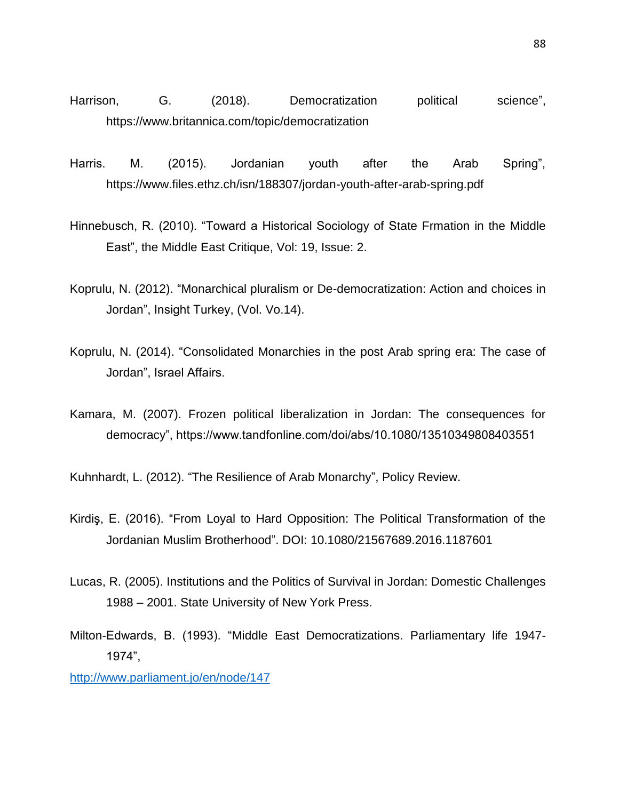- Harrison, G. (2018). Democratization political science", https://www.britannica.com/topic/democratization
- Harris. M. (2015). Jordanian youth after the Arab Spring", https://www.files.ethz.ch/isn/188307/jordan-youth-after-arab-spring.pdf
- Hinnebusch, R. (2010). "Toward a Historical Sociology of State Frmation in the Middle East", the Middle East Critique, Vol: 19, Issue: 2.
- Koprulu, N. (2012). "Monarchical pluralism or De-democratization: Action and choices in Jordan", Insight Turkey, (Vol. Vo.14).
- Koprulu, N. (2014). "Consolidated Monarchies in the post Arab spring era: The case of Jordan", Israel Affairs.
- Kamara, M. (2007). Frozen political liberalization in Jordan: The consequences for democracy", https://www.tandfonline.com/doi/abs/10.1080/13510349808403551

Kuhnhardt, L. (2012). "The Resilience of Arab Monarchy", Policy Review.

- Kirdiş, E. (2016). "From Loyal to Hard Opposition: The Political Transformation of the Jordanian Muslim Brotherhood". DOI: 10.1080/21567689.2016.1187601
- Lucas, R. (2005). Institutions and the Politics of Survival in Jordan: Domestic Challenges 1988 – 2001. State University of New York Press.
- Milton-Edwards, B. (1993). "Middle East Democratizations. Parliamentary life 1947- 1974",

<http://www.parliament.jo/en/node/147>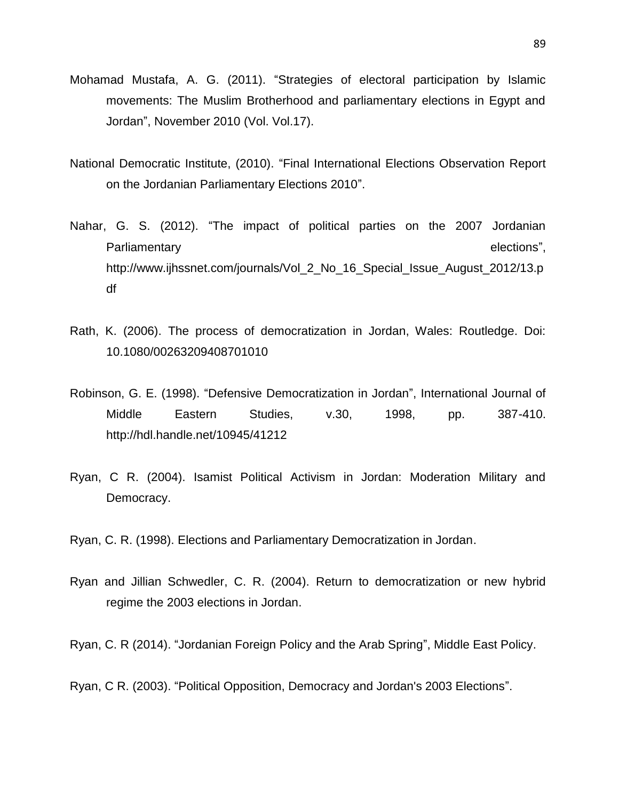- Mohamad Mustafa, A. G. (2011). "Strategies of electoral participation by Islamic movements: The Muslim Brotherhood and parliamentary elections in Egypt and Jordan", November 2010 (Vol. Vol.17).
- National Democratic Institute, (2010). "Final International Elections Observation Report on the Jordanian Parliamentary Elections 2010".
- Nahar, G. S. (2012). "The impact of political parties on the 2007 Jordanian Parliamentary elections", http://www.ijhssnet.com/journals/Vol\_2\_No\_16\_Special\_Issue\_August\_2012/13.p df
- Rath, K. (2006). The process of democratization in Jordan, Wales: Routledge. Doi: 10.1080/00263209408701010
- Robinson, G. E. (1998). "Defensive Democratization in Jordan", International Journal of Middle Eastern Studies, v.30, 1998, pp. 387-410. http://hdl.handle.net/10945/41212
- Ryan, C R. (2004). Isamist Political Activism in Jordan: Moderation Military and Democracy.

Ryan, C. R. (1998). Elections and Parliamentary Democratization in Jordan.

Ryan and Jillian Schwedler, C. R. (2004). Return to democratization or new hybrid regime the 2003 elections in Jordan.

Ryan, C. R (2014). "Jordanian Foreign Policy and the Arab Spring", Middle East Policy.

Ryan, C R. (2003). "Political Opposition, Democracy and Jordan's 2003 Elections".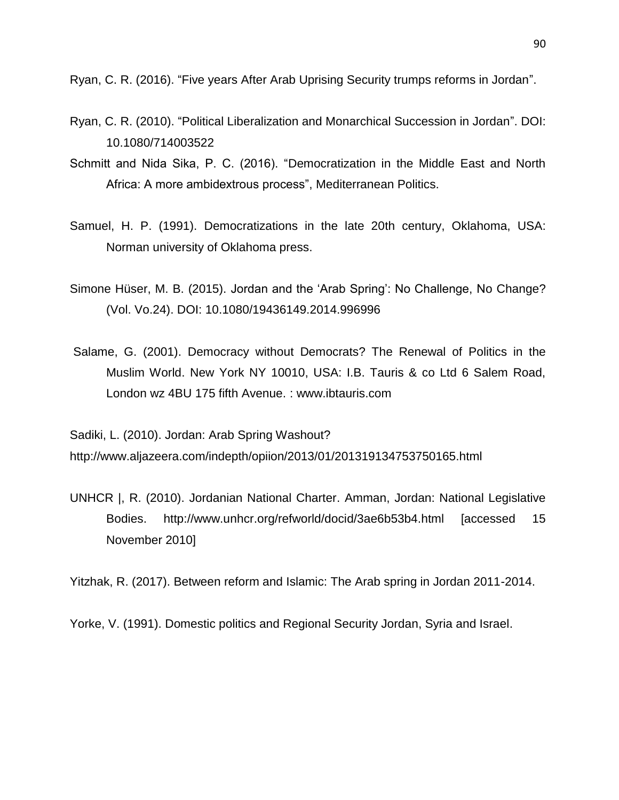Ryan, C. R. (2016). "Five years After Arab Uprising Security trumps reforms in Jordan".

- Ryan, C. R. (2010). "Political Liberalization and Monarchical Succession in Jordan". DOI: 10.1080/714003522
- Schmitt and Nida Sika, P. C. (2016). "Democratization in the Middle East and North Africa: A more ambidextrous process", Mediterranean Politics.
- Samuel, H. P. (1991). Democratizations in the late 20th century, Oklahoma, USA: Norman university of Oklahoma press.
- Simone Hüser, M. B. (2015). Jordan and the 'Arab Spring': No Challenge, No Change? (Vol. Vo.24). DOI: 10.1080/19436149.2014.996996
- Salame, G. (2001). Democracy without Democrats? The Renewal of Politics in the Muslim World. New York NY 10010, USA: I.B. Tauris & co Ltd 6 Salem Road, London wz 4BU 175 fifth Avenue. : www.ibtauris.com

Sadiki, L. (2010). Jordan: Arab Spring Washout? http://www.aljazeera.com/indepth/opiion/2013/01/201319134753750165.html

UNHCR |, R. (2010). Jordanian National Charter. Amman, Jordan: National Legislative Bodies. http://www.unhcr.org/refworld/docid/3ae6b53b4.html [accessed 15 November 2010]

Yitzhak, R. (2017). Between reform and Islamic: The Arab spring in Jordan 2011-2014.

Yorke, V. (1991). Domestic politics and Regional Security Jordan, Syria and Israel.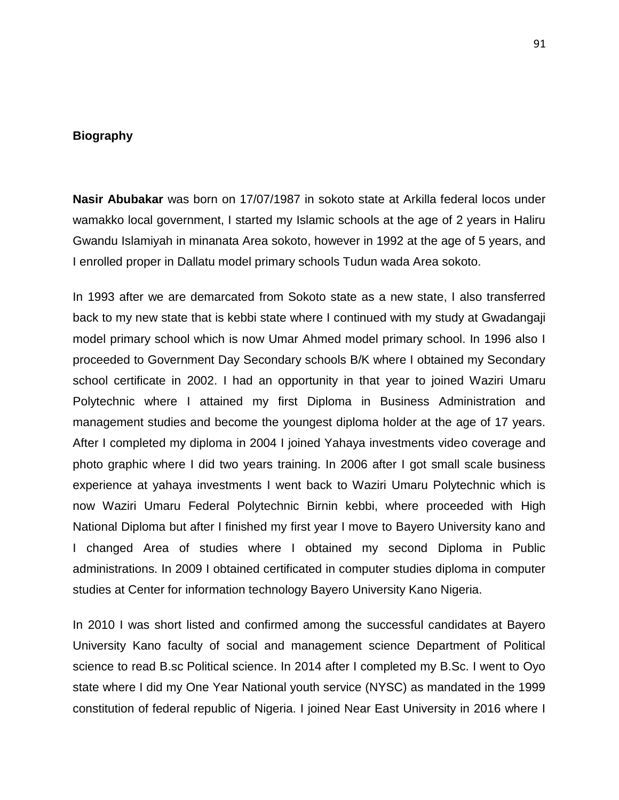#### **Biography**

**Nasir Abubakar** was born on 17/07/1987 in sokoto state at Arkilla federal locos under wamakko local government, I started my Islamic schools at the age of 2 years in Haliru Gwandu Islamiyah in minanata Area sokoto, however in 1992 at the age of 5 years, and I enrolled proper in Dallatu model primary schools Tudun wada Area sokoto.

In 1993 after we are demarcated from Sokoto state as a new state, I also transferred back to my new state that is kebbi state where I continued with my study at Gwadangaji model primary school which is now Umar Ahmed model primary school. In 1996 also I proceeded to Government Day Secondary schools B/K where I obtained my Secondary school certificate in 2002. I had an opportunity in that year to joined Waziri Umaru Polytechnic where I attained my first Diploma in Business Administration and management studies and become the youngest diploma holder at the age of 17 years. After I completed my diploma in 2004 I joined Yahaya investments video coverage and photo graphic where I did two years training. In 2006 after I got small scale business experience at yahaya investments I went back to Waziri Umaru Polytechnic which is now Waziri Umaru Federal Polytechnic Birnin kebbi, where proceeded with High National Diploma but after I finished my first year I move to Bayero University kano and I changed Area of studies where I obtained my second Diploma in Public administrations. In 2009 I obtained certificated in computer studies diploma in computer studies at Center for information technology Bayero University Kano Nigeria.

In 2010 I was short listed and confirmed among the successful candidates at Bayero University Kano faculty of social and management science Department of Political science to read B.sc Political science. In 2014 after I completed my B.Sc. I went to Oyo state where I did my One Year National youth service (NYSC) as mandated in the 1999 constitution of federal republic of Nigeria. I joined Near East University in 2016 where I